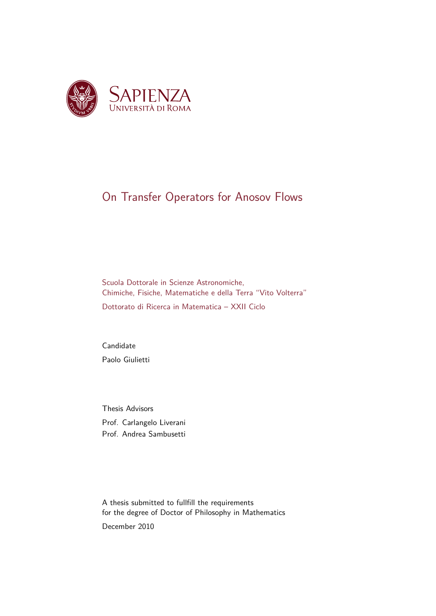

### On Transfer Operators for Anosov Flows

Scuola Dottorale in Scienze Astronomiche, Chimiche, Fisiche, Matematiche e della Terra "Vito Volterra"

Dottorato di Ricerca in Matematica – XXII Ciclo

Candidate Paolo Giulietti

Thesis Advisors Prof. Carlangelo Liverani Prof. Andrea Sambusetti

A thesis submitted to fullfill the requirements for the degree of Doctor of Philosophy in Mathematics

December 2010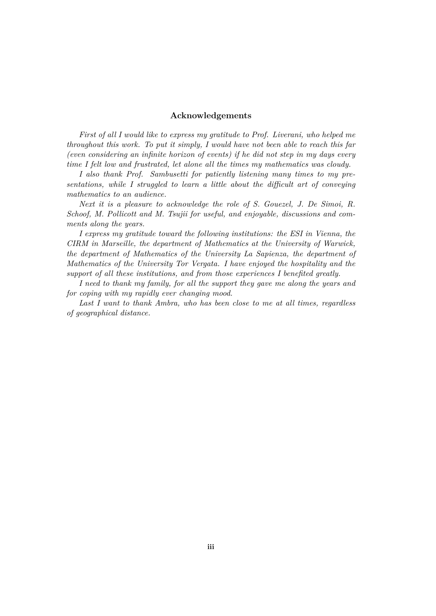#### **Acknowledgements**

*First of all I would like to express my gratitude to Prof. Liverani, who helped me throughout this work. To put it simply, I would have not been able to reach this far (even considering an infinite horizon of events) if he did not step in my days every time I felt low and frustrated, let alone all the times my mathematics was cloudy.*

*I also thank Prof. Sambusetti for patiently listening many times to my presentations, while I struggled to learn a little about the difficult art of conveying mathematics to an audience.*

*Next it is a pleasure to acknowledge the role of S. Gouezel, J. De Simoi, R. Schoof, M. Pollicott and M. Tsujii for useful, and enjoyable, discussions and comments along the years.*

*I express my gratitude toward the following institutions: the ESI in Vienna, the CIRM in Marseille, the department of Mathematics at the University of Warwick, the department of Mathematics of the University La Sapienza, the department of Mathematics of the University Tor Vergata. I have enjoyed the hospitality and the support of all these institutions, and from those experiences I benefited greatly.*

*I need to thank my family, for all the support they gave me along the years and for coping with my rapidly ever changing mood.*

*Last I want to thank Ambra, who has been close to me at all times, regardless of geographical distance.*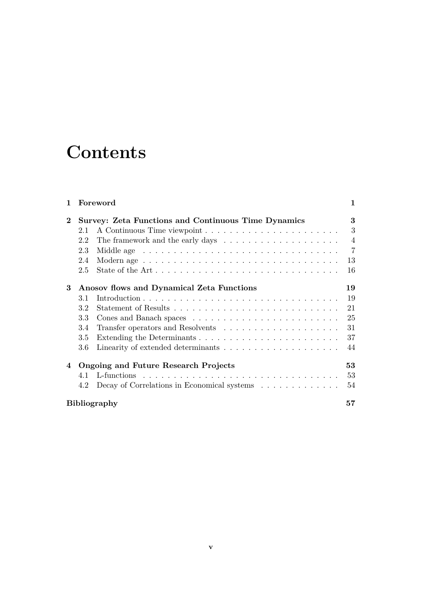## **Contents**

| 1        |                                                            | Foreword                                                                     | 1              |
|----------|------------------------------------------------------------|------------------------------------------------------------------------------|----------------|
| $\bf{2}$ | <b>Survey: Zeta Functions and Continuous Time Dynamics</b> |                                                                              | 3              |
|          | 2.1                                                        |                                                                              | 3              |
|          | 2.2                                                        | The framework and the early days $\dots \dots \dots \dots \dots \dots \dots$ | $\overline{4}$ |
|          | 2.3                                                        |                                                                              | $\overline{7}$ |
|          | 2.4                                                        |                                                                              | 13             |
|          | 2.5                                                        |                                                                              | 16             |
| 3        | Anosov flows and Dynamical Zeta Functions                  |                                                                              | 19             |
|          | 3.1                                                        |                                                                              | 19             |
|          | 3.2                                                        |                                                                              | 21             |
|          | 3.3                                                        |                                                                              | 25             |
|          | 3.4                                                        |                                                                              | 31             |
|          | 3.5                                                        |                                                                              | 37             |
|          | 3.6                                                        |                                                                              | 44             |
| 4        | <b>Ongoing and Future Research Projects</b>                |                                                                              | 53             |
|          | 4.1                                                        |                                                                              | 53             |
|          | 4.2                                                        | Decay of Correlations in Economical systems $\ldots \ldots \ldots \ldots$    | 54             |
|          | <b>Bibliography</b>                                        |                                                                              |                |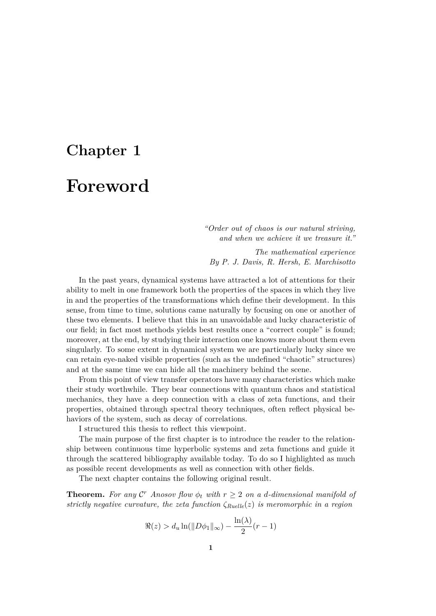# **Chapter 1 Foreword**

*"Order out of chaos is our natural striving, and when we achieve it we treasure it."*

*The mathematical experience By P. J. Davis, R. Hersh, E. Marchisotto*

In the past years, dynamical systems have attracted a lot of attentions for their ability to melt in one framework both the properties of the spaces in which they live in and the properties of the transformations which define their development. In this sense, from time to time, solutions came naturally by focusing on one or another of these two elements. I believe that this in an unavoidable and lucky characteristic of our field; in fact most methods yields best results once a "correct couple" is found; moreover, at the end, by studying their interaction one knows more about them even singularly. To some extent in dynamical system we are particularly lucky since we can retain eye-naked visible properties (such as the undefined "chaotic" structures) and at the same time we can hide all the machinery behind the scene.

From this point of view transfer operators have many characteristics which make their study worthwhile. They bear connections with quantum chaos and statistical mechanics, they have a deep connection with a class of zeta functions, and their properties, obtained through spectral theory techniques, often reflect physical behaviors of the system, such as decay of correlations.

I structured this thesis to reflect this viewpoint.

The main purpose of the first chapter is to introduce the reader to the relationship between continuous time hyperbolic systems and zeta functions and guide it through the scattered bibliography available today. To do so I highlighted as much as possible recent developments as well as connection with other fields.

The next chapter contains the following original result.

**Theorem.** For any  $\mathcal{C}^r$  Anosov flow  $\phi_t$  with  $r \geq 2$  on a *d*-dimensional manifold of *strictly negative curvature, the zeta function ζRuelle*(*z*) *is meromorphic in a region*

$$
\Re(z) > d_u \ln(\|D\phi_1\|_{\infty}) - \frac{\ln(\lambda)}{2}(r-1)
$$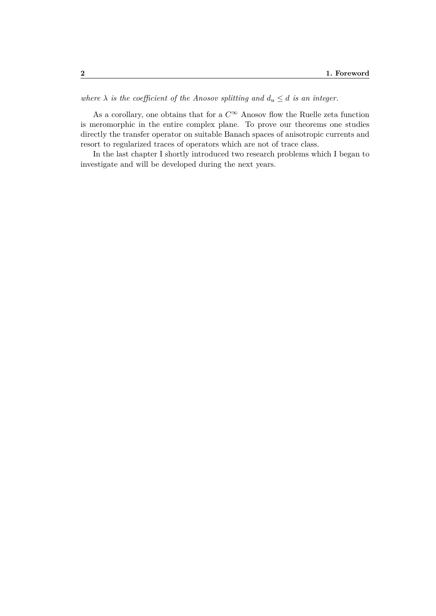*where*  $\lambda$  *is the coefficient of the Anosov splitting and*  $d_u \leq d$  *is an integer.* 

As a corollary, one obtains that for a  $C^\infty$  Anosov flow the Ruelle zeta function is meromorphic in the entire complex plane. To prove our theorems one studies directly the transfer operator on suitable Banach spaces of anisotropic currents and resort to regularized traces of operators which are not of trace class.

In the last chapter I shortly introduced two research problems which I began to investigate and will be developed during the next years.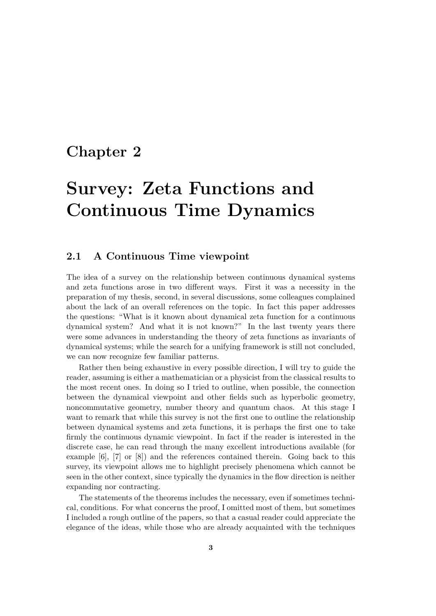### **Chapter 2**

## **Survey: Zeta Functions and Continuous Time Dynamics**

#### **2.1 A Continuous Time viewpoint**

The idea of a survey on the relationship between continuous dynamical systems and zeta functions arose in two different ways. First it was a necessity in the preparation of my thesis, second, in several discussions, some colleagues complained about the lack of an overall references on the topic. In fact this paper addresses the questions: "What is it known about dynamical zeta function for a continuous dynamical system? And what it is not known?" In the last twenty years there were some advances in understanding the theory of zeta functions as invariants of dynamical systems; while the search for a unifying framework is still not concluded, we can now recognize few familiar patterns.

Rather then being exhaustive in every possible direction, I will try to guide the reader, assuming is either a mathematician or a physicist from the classical results to the most recent ones. In doing so I tried to outline, when possible, the connection between the dynamical viewpoint and other fields such as hyperbolic geometry, noncommutative geometry, number theory and quantum chaos. At this stage I want to remark that while this survey is not the first one to outline the relationship between dynamical systems and zeta functions, it is perhaps the first one to take firmly the continuous dynamic viewpoint. In fact if the reader is interested in the discrete case, he can read through the many excellent introductions available (for example [6], [7] or [8]) and the references contained therein. Going back to this survey, its viewpoint allows me to highlight precisely phenomena which cannot be seen in the other context, since typically the dynamics in the flow direction is neither expanding nor contracting.

The statements of the theorems includes the necessary, even if sometimes technical, conditions. For what concerns the proof, I omitted most of them, but sometimes I included a rough outline of the papers, so that a casual reader could appreciate the elegance of the ideas, while those who are already acquainted with the techniques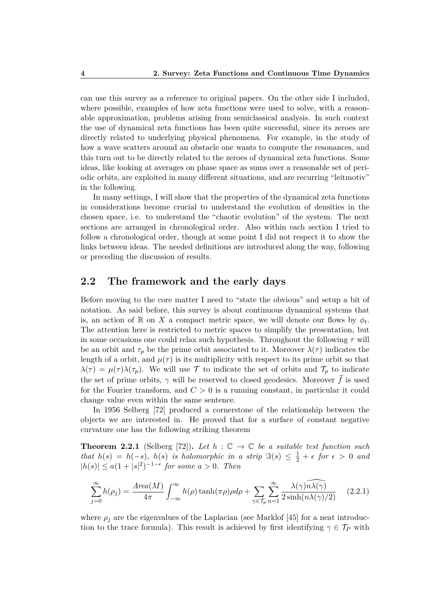can use this survey as a reference to original papers. On the other side I included, where possible, examples of how zeta functions were used to solve, with a reasonable approximation, problems arising from semiclassical analysis. In such context the use of dynamical zeta functions has been quite successful, since its zeroes are directly related to underlying physical phenomena. For example, in the study of how a wave scatters around an obstacle one wants to compute the resonances, and this turn out to be directly related to the zeroes of dynamical zeta functions. Some ideas, like looking at averages on phase space as sums over a reasonable set of periodic orbits, are exploited in many different situations, and are recurring "leitmotiv" in the following.

In many settings, I will show that the properties of the dynamical zeta functions in considerations become crucial to understand the evolution of densities in the chosen space, i.e. to understand the "chaotic evolution" of the system. The next sections are arranged in chronological order. Also within each section I tried to follow a chronological order, though at some point I did not respect it to show the links between ideas. The needed definitions are introduced along the way, following or preceding the discussion of results.

#### **2.2 The framework and the early days**

Before moving to the core matter I need to "state the obvious" and setup a bit of notation. As said before, this survey is about continuous dynamical systems that is, an action of  $\mathbb R$  on *X* a compact metric space, we will denote our flows by  $\phi_t$ . The attention here is restricted to metric spaces to simplify the presentation, but in some occasions one could relax such hypothesis. Throughout the following *τ* will be an orbit and  $\tau_p$  be the prime orbit associated to it. Moreover  $\lambda(\tau)$  indicates the length of a orbit, and  $\mu(\tau)$  is its multiplicity with respect to its prime orbit so that  $\lambda(\tau) = \mu(\tau)\lambda(\tau_p)$ . We will use T to indicate the set of orbits and  $\mathcal{T}_p$  to indicate the set of prime orbits,  $\gamma$  will be reserved to closed geodesics. Moreover  $\hat{f}$  is used for the Fourier transform, and  $C > 0$  is a running constant, in particular it could change value even within the same sentence.

In 1956 Selberg [72] produced a cornerstone of the relationship between the objects we are interested in. He proved that for a surface of constant negative curvature one has the following striking theorem

**Theorem 2.2.1** (Selberg [72]). Let  $h : \mathbb{C} \to \mathbb{C}$  be a suitable test function such *that*  $h(s) = h(-s)$ ,  $h(s)$  *is holomorphic in a strip*  $\Im(s) \leq \frac{1}{2} + \epsilon$  *for*  $\epsilon > 0$  *and*  $|h(s)|$  ≤  $a(1+|s|^2)^{-1-\epsilon}$  *for some*  $a > 0$ *. Then* 

$$
\sum_{j=0}^{\infty} h(\rho_j) = \frac{Area(M)}{4\pi} \int_{-\infty}^{\infty} h(\rho) \tanh(\pi \rho) \rho d\rho + \sum_{\gamma \in \mathcal{T}_p} \sum_{n=1}^{\infty} \frac{\lambda(\gamma) \widehat{n\lambda(\gamma)}}{2 \sinh(n\lambda(\gamma)/2)} \tag{2.2.1}
$$

where  $\rho_i$  are the eigenvalues of the Laplacian (see Marklof [45] for a neat introduction to the trace formula). This result is achieved by first identifying  $\gamma \in \mathcal{T}_P$  with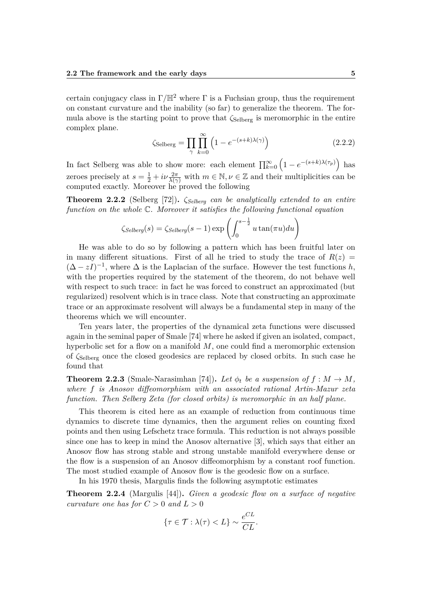certain conjugacy class in  $\Gamma/\mathbb{H}^2$  where  $\Gamma$  is a Fuchsian group, thus the requirement on constant curvature and the inability (so far) to generalize the theorem. The formula above is the starting point to prove that  $\zeta_{\text{Selberg}}$  is meromorphic in the entire complex plane.

$$
\zeta_{\text{Selberg}} = \prod_{\gamma} \prod_{k=0}^{\infty} \left( 1 - e^{-(s+k)\lambda(\gamma)} \right) \tag{2.2.2}
$$

In fact Selberg was able to show more: each element  $\prod_{k=0}^{\infty} \left(1 - e^{-(s+k)\lambda(\tau_p)}\right)$  has zeroes precisely at  $s = \frac{1}{2} + i\nu \frac{2\pi}{\lambda(\gamma)}$  with  $m \in \mathbb{N}, \nu \in \mathbb{Z}$  and their multiplicities can be computed exactly. Moreover he proved the following

**Theorem 2.2.2** (Selberg [72])**.** *ζSelberg can be analytically extended to an entire function on the whole* C*. Moreover it satisfies the following functional equation*

$$
\zeta_{Selberg}(s) = \zeta_{Selberg}(s-1) \exp\left(\int_0^{s-\frac{1}{2}} u \tan(\pi u) du\right)
$$

He was able to do so by following a pattern which has been fruitful later on in many different situations. First of all he tried to study the trace of  $R(z)$  $(\Delta - zI)^{-1}$ , where  $\Delta$  is the Laplacian of the surface. However the test functions *h*, with the properties required by the statement of the theorem, do not behave well with respect to such trace: in fact he was forced to construct an approximated (but regularized) resolvent which is in trace class. Note that constructing an approximate trace or an approximate resolvent will always be a fundamental step in many of the theorems which we will encounter.

Ten years later, the properties of the dynamical zeta functions were discussed again in the seminal paper of Smale [74] where he asked if given an isolated, compact, hyperbolic set for a flow on a manifold *M*, one could find a meromorphic extension of *ζ*Selberg once the closed geodesics are replaced by closed orbits. In such case he found that

**Theorem 2.2.3** (Smale-Narasimhan [74]). Let  $\phi_t$  be a suspension of  $f : M \to M$ , *where f is Anosov diffeomorphism with an associated rational Artin-Mazur zeta function. Then Selberg Zeta (for closed orbits) is meromorphic in an half plane.*

This theorem is cited here as an example of reduction from continuous time dynamics to discrete time dynamics, then the argument relies on counting fixed points and then using Lefschetz trace formula. This reduction is not always possible since one has to keep in mind the Anosov alternative [3], which says that either an Anosov flow has strong stable and strong unstable manifold everywhere dense or the flow is a suspension of an Anosov diffeomorphism by a constant roof function. The most studied example of Anosov flow is the geodesic flow on a surface.

In his 1970 thesis, Margulis finds the following asymptotic estimates

**Theorem 2.2.4** (Margulis [44])**.** *Given a geodesic flow on a surface of negative curvature one has for*  $C > 0$  *and*  $L > 0$ 

$$
\{\tau\in\mathcal{T}: \lambda(\tau) < L\} \sim \frac{e^{CL}}{CL}.
$$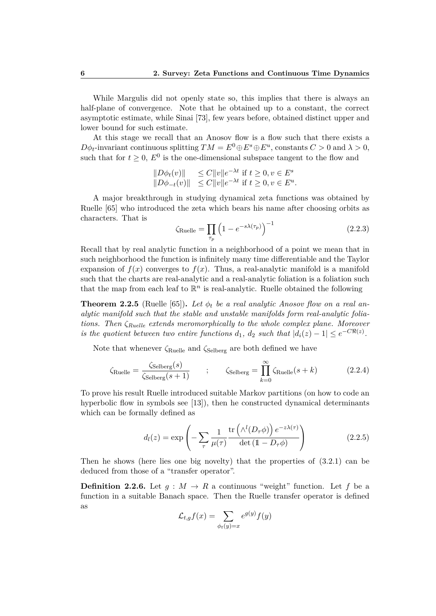While Margulis did not openly state so, this implies that there is always an half-plane of convergence. Note that he obtained up to a constant, the correct asymptotic estimate, while Sinai [73], few years before, obtained distinct upper and lower bound for such estimate.

At this stage we recall that an Anosov flow is a flow such that there exists a *D* $\phi$ *t*-invariant continuous splitting  $TM = E^0 \oplus E^s \oplus E^u$ , constants  $C > 0$  and  $\lambda > 0$ , such that for  $t \geq 0$ ,  $E^0$  is the one-dimensional subspace tangent to the flow and

$$
\begin{array}{ll}\n\|D\phi_t(v)\| & \le C\|v\|e^{-\lambda t} \text{ if } t \ge 0, v \in E^s \\
\|D\phi_{-t}(v)\| & \le C\|v\|e^{-\lambda t} \text{ if } t \ge 0, v \in E^u.\n\end{array}
$$

A major breakthrough in studying dynamical zeta functions was obtained by Ruelle [65] who introduced the zeta which bears his name after choosing orbits as characters. That is

$$
\zeta_{\text{Rule}} = \prod_{\tau_p} \left( 1 - e^{-s\lambda(\tau_p)} \right)^{-1} \tag{2.2.3}
$$

Recall that by real analytic function in a neighborhood of a point we mean that in such neighborhood the function is infinitely many time differentiable and the Taylor expansion of  $f(x)$  converges to  $f(x)$ . Thus, a real-analytic manifold is a manifold such that the charts are real-analytic and a real-analytic foliation is a foliation such that the map from each leaf to  $\mathbb{R}^n$  is real-analytic. Ruelle obtained the following

**Theorem 2.2.5** (Ruelle [65]). Let  $\phi_t$  be a real analytic Anosov flow on a real an*alytic manifold such that the stable and unstable manifolds form real-analytic foliations. Then ζRuelle extends meromorphically to the whole complex plane. Moreover is the quotient between two entire functions*  $d_1$ ,  $d_2$  *such that*  $|d_i(z) - 1| \leq e^{-C\Re(z)}$ .

Note that whenever *ζ*Ruelle and *ζ*Selberg are both defined we have

$$
\zeta_{\text{Rule}} = \frac{\zeta_{\text{Selberg}}(s)}{\zeta_{\text{Selberg}}(s+1)} \qquad ; \qquad \zeta_{\text{Selberg}} = \prod_{k=0}^{\infty} \zeta_{\text{Rule}}(s+k) \tag{2.2.4}
$$

To prove his result Ruelle introduced suitable Markov partitions (on how to code an hyperbolic flow in symbols see [13]), then he constructed dynamical determinants which can be formally defined as

$$
d_l(z) = \exp\left(-\sum_{\tau} \frac{1}{\mu(\tau)} \frac{\text{tr}\left(\Lambda^l(D_\tau \phi)\right) e^{-z\lambda(\tau)}}{\det\left(\mathbb{1} - D_\tau \phi\right)}\right) \tag{2.2.5}
$$

Then he shows (here lies one big novelty) that the properties of  $(3.2.1)$  can be deduced from those of a "transfer operator".

**Definition 2.2.6.** Let  $q : M \to R$  a continuous "weight" function. Let f be a function in a suitable Banach space. Then the Ruelle transfer operator is defined as

$$
\mathcal{L}_{t,g}f(x) = \sum_{\phi_t(y)=x} e^{g(y)} f(y)
$$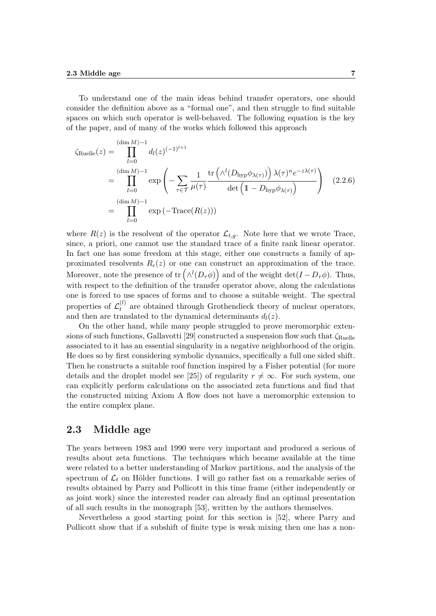To understand one of the main ideas behind transfer operators, one should consider the definition above as a "formal one", and then struggle to find suitable spaces on which such operator is well-behaved. The following equation is the key of the paper, and of many of the works which followed this approach

$$
\zeta_{\text{Rule}}(z) = \prod_{l=0}^{(\dim M)-1} d_l(z)^{(-1)^{l+1}}
$$
  
= 
$$
\prod_{l=0}^{(\dim M)-1} \exp\left(-\sum_{\tau \in \mathcal{T}} \frac{1}{\mu(\tau)} \frac{\text{tr}\left(\Lambda^l(D_{\text{hyp}}\phi_{\lambda(\tau)})\right) \lambda(\tau)^n e^{-z\lambda(\tau)}}{\text{det}\left(1-D_{\text{hyp}}\phi_{\lambda(\tau)}\right)}\right)
$$
(2.2.6)  
= 
$$
\prod_{l=0}^{(\dim M)-1} \exp(-\text{Trace}(R(z)))
$$

where  $R(z)$  is the resolvent of the operator  $\mathcal{L}_{t,g}$ . Note here that we wrote Trace, since, a priori, one cannot use the standard trace of a finite rank linear operator. In fact one has some freedom at this stage, either one constructs a family of approximated resolvents  $R_{\epsilon}(z)$  or one can construct an approximation of the trace. Moreover, note the presence of  $\text{tr}\left(\wedge^{l}(D_{\tau}\phi)\right)$  and of the weight  $\text{det}(I - D_{\tau}\phi)$ . Thus, with respect to the definition of the transfer operator above, along the calculations one is forced to use spaces of forms and to choose a suitable weight. The spectral properties of  $\mathcal{L}_t^{(l)}$  $t_t^{(t)}$  are obtained through Grothendieck theory of nuclear operators, and then are translated to the dynamical determinants  $d_l(z)$ .

On the other hand, while many people struggled to prove meromorphic extensions of such functions, Gallavotti [29] constructed a suspension flow such that  $\zeta_{\text{Rule}}$ associated to it has an essential singularity in a negative neighborhood of the origin. He does so by first considering symbolic dynamics, specifically a full one sided shift. Then he constructs a suitable roof function inspired by a Fisher potential (for more details and the droplet model see [25]) of regularity  $r \neq \infty$ . For such system, one can explicitly perform calculations on the associated zeta functions and find that the constructed mixing Axiom A flow does not have a meromorphic extension to the entire complex plane.

#### **2.3 Middle age**

The years between 1983 and 1990 were very important and produced a serious of results about zeta functions. The techniques which became available at the time were related to a better understanding of Markov partitions, and the analysis of the spectrum of  $\mathcal{L}_t$  on Hölder functions. I will go rather fast on a remarkable series of results obtained by Parry and Pollicott in this time frame (either independently or as joint work) since the interested reader can already find an optimal presentation of all such results in the monograph [53], written by the authors themselves.

Nevertheless a good starting point for this section is [52], where Parry and Pollicott show that if a subshift of finite type is weak mixing then one has a non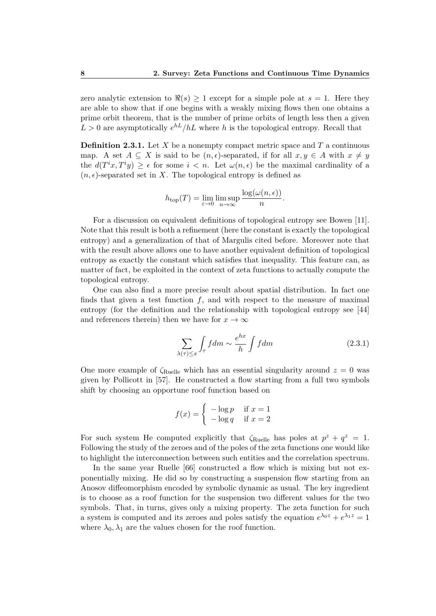zero analytic extension to  $\Re(s) \geq 1$  except for a simple pole at  $s = 1$ . Here they are able to show that if one begins with a weakly mixing flows then one obtains a prime orbit theorem, that is the number of prime orbits of length less then a given  $L > 0$  are asymptotically  $e^{hL}/hL$  where *h* is the topological entropy. Recall that

**Definition 2.3.1.** Let *X* be a nonempty compact metric space and *T* a continuous map. A set  $A \subseteq X$  is said to be  $(n, \epsilon)$ -separated, if for all  $x, y \in A$  with  $x \neq y$ the  $d(T^i x, T^i y) \geq \epsilon$  for some  $i < n$ . Let  $\omega(n, \epsilon)$  be the maximal cardinality of a  $(n, \epsilon)$ -separated set in *X*. The topological entropy is defined as

$$
h_{\text{top}}(T) = \lim_{\varepsilon \to 0} \limsup_{n \to \infty} \frac{\log(\omega(n, \epsilon))}{n}.
$$

For a discussion on equivalent definitions of topological entropy see Bowen [11]. Note that this result is both a refinement (here the constant is exactly the topological entropy) and a generalization of that of Margulis cited before. Moreover note that with the result above allows one to have another equivalent definition of topological entropy as exactly the constant which satisfies that inequality. This feature can, as matter of fact, be exploited in the context of zeta functions to actually compute the topological entropy.

One can also find a more precise result about spatial distribution. In fact one finds that given a test function  $f$ , and with respect to the measure of maximal entropy (for the definition and the relationship with topological entropy see [44] and references therein) then we have for  $x \to \infty$ 

$$
\sum_{\lambda(\tau)\leq x} \int_{\tau} f dm \sim \frac{e^{hx}}{h} \int f dm \tag{2.3.1}
$$

One more example of  $\zeta_{\text{Ruelle}}$  which has an essential singularity around  $z = 0$  was given by Pollicott in [57]. He constructed a flow starting from a full two symbols shift by choosing an opportune roof function based on

$$
f(x) = \begin{cases} -\log p & \text{if } x = 1\\ -\log q & \text{if } x = 2 \end{cases}
$$

For such system He computed explicitly that  $\zeta_{\text{Rule}}$  has poles at  $p^z + q^z = 1$ . Following the study of the zeroes and of the poles of the zeta functions one would like to highlight the interconnection between such entities and the correlation spectrum.

In the same year Ruelle [66] constructed a flow which is mixing but not exponentially mixing. He did so by constructing a suspension flow starting from an Anosov diffeomorphism encoded by symbolic dynamic as usual. The key ingredient is to choose as a roof function for the suspension two different values for the two symbols. That, in turns, gives only a mixing property. The zeta function for such a system is computed and its zeroes and poles satisfy the equation  $e^{\lambda_0 z} + e^{\lambda_1 z} = 1$ where  $\lambda_0, \lambda_1$  are the values chosen for the roof function.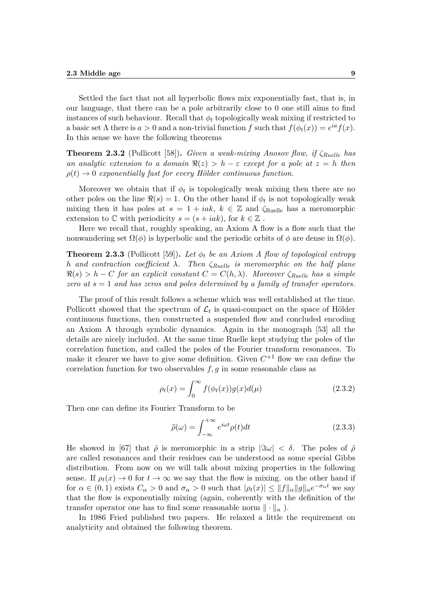Settled the fact that not all hyperbolic flows mix exponentially fast, that is, in our language, that there can be a pole arbitrarily close to 0 one still aims to find instances of such behaviour. Recall that  $\phi_t$  topologically weak mixing if restricted to a basic set  $\Lambda$  there is  $a > 0$  and a non-trivial function  $f$  such that  $f(\phi_t(x)) = e^{ia} f(x)$ . In this sense we have the following theorems

**Theorem 2.3.2** (Pollicott [58])**.** *Given a weak-mixing Anosov flow, if ζRuelle has an analytic extension to a domain*  $\Re(z) > h - \varepsilon$  *except for a pole at*  $z = h$  *then*  $\rho(t) \rightarrow 0$  *exponentially fast for every Hölder continuous function.* 

Moreover we obtain that if  $\phi_t$  is topologically weak mixing then there are no other poles on the line  $\Re(s) = 1$ . On the other hand if  $\phi_t$  is not topologically weak mixing then it has poles at  $s = 1 + iak$ ,  $k \in \mathbb{Z}$  and  $\zeta_{\text{Rule}}$  has a meromorphic extension to  $\mathbb C$  with periodicity  $s = (s + iak)$ , for  $k \in \mathbb Z$ .

Here we recall that, roughly speaking, an Axiom A flow is a flow such that the nonwandering set  $\Omega(\phi)$  is hyperbolic and the periodic orbits of  $\phi$  are dense in  $\Omega(\phi)$ .

**Theorem 2.3.3** (Pollicott [59]). Let  $\phi_t$  be an Axiom A flow of topological entropy *h and contraction coefficient λ. Then ζRuelle is meromorphic on the half plane*  $\Re(s) > h - C$  *for an explicit constant*  $C = C(h, \lambda)$ *. Moreover*  $\zeta_{Ruelle}$  *has a simple zero at s* = 1 *and has zeros and poles determined by a family of transfer operators.*

The proof of this result follows a scheme which was well established at the time. Pollicott showed that the spectrum of  $\mathcal{L}_t$  is quasi-compact on the space of Hölder continuous functions, then constructed a suspended flow and concluded encoding an Axiom A through symbolic dynamics. Again in the monograph [53] all the details are nicely included. At the same time Ruelle kept studying the poles of the correlation function, and called the poles of the Fourier transform resonances. To make it clearer we have to give some definition. Given  $C^{+1}$  flow we can define the correlation function for two observables  $f, g$  in some reasonable class as

$$
\rho_t(x) = \int_0^\infty f(\phi_t(x))g(x)d(\mu) \tag{2.3.2}
$$

Then one can define its Fourier Transform to be

$$
\hat{\rho}(\omega) = \int_{-\infty}^{+\infty} e^{i\omega t} \rho(t) dt
$$
\n(2.3.3)

He showed in [67] that  $\hat{\rho}$  is meromorphic in a strip  $|\Im \omega| < \delta$ . The poles of  $\hat{\rho}$ are called resonances and their residues can be understood as some special Gibbs distribution. From now on we will talk about mixing properties in the following sense. If  $\rho_t(x) \to 0$  for  $t \to \infty$  we say that the flow is mixing. on the other hand if for  $\alpha \in (0,1)$  exists  $C_{\alpha} > 0$  and  $\sigma_{\alpha} > 0$  such that  $|\rho_t(x)| \leq ||f||_{\alpha} ||g||_{\alpha} e^{-\sigma_{\alpha} t}$  we say that the flow is exponentially mixing (again, coherently with the definition of the transfer operator one has to find some reasonable norm  $\|\cdot\|_{\alpha}$ ).

In 1986 Fried published two papers. He relaxed a little the requirement on analyticity and obtained the following theorem.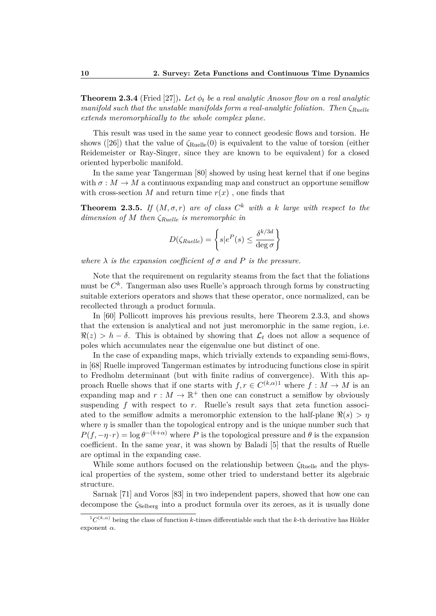**Theorem 2.3.4** (Fried [27]). Let  $\phi_t$  be a real analytic Anosov flow on a real analytic *manifold such that the unstable manifolds form a real-analytic foliation. Then ζRuelle extends meromorphically to the whole complex plane.*

This result was used in the same year to connect geodesic flows and torsion. He shows ([26]) that the value of  $\zeta_{\text{Ruelle}}(0)$  is equivalent to the value of torsion (either Reidemeister or Ray-Singer, since they are known to be equivalent) for a closed oriented hyperbolic manifold.

In the same year Tangerman [80] showed by using heat kernel that if one begins with  $\sigma : M \to M$  a continuous expanding map and construct an opportune semiflow with cross-section *M* and return time  $r(x)$ , one finds that

**Theorem 2.3.5.** If  $(M, \sigma, r)$  are of class  $C^k$  with a k large with respect to the *dimension of M then ζRuelle is meromorphic in*

$$
D(\zeta_{Rule}) = \left\{ s | e^P(s) \le \frac{\delta^{k/3d}}{\deg \sigma} \right\}
$$

*where*  $\lambda$  *is the expansion coefficient of*  $\sigma$  *and*  $P$  *is the pressure.* 

Note that the requirement on regularity steams from the fact that the foliations must be *C k* . Tangerman also uses Ruelle's approach through forms by constructing suitable exteriors operators and shows that these operator, once normalized, can be recollected through a product formula.

In [60] Pollicott improves his previous results, here Theorem 2.3.3, and shows that the extension is analytical and not just meromorphic in the same region, i.e.  $\Re(z) > h - \delta$ . This is obtained by showing that  $\mathcal{L}_t$  does not allow a sequence of poles which accumulates near the eigenvalue one but distinct of one.

In the case of expanding maps, which trivially extends to expanding semi-flows, in [68] Ruelle improved Tangerman estimates by introducing functions close in spirit to Fredholm determinant (but with finite radius of convergence). With this approach Ruelle shows that if one starts with  $f, r \in C^{(k,\alpha)1}$  where  $f : M \to M$  is an expanding map and  $r : M \to \mathbb{R}^+$  then one can construct a semiflow by obviously suspending *f* with respect to *r*. Ruelle's result says that zeta function associated to the semiflow admits a meromorphic extension to the half-plane  $\Re(s) > \eta$ where  $\eta$  is smaller than the topological entropy and is the unique number such that  $P(f, -\eta \cdot r) = \log \theta^{-(k+\alpha)}$  where *P* is the topological pressure and  $\theta$  is the expansion coefficient. In the same year, it was shown by Baladi [5] that the results of Ruelle are optimal in the expanding case.

While some authors focused on the relationship between  $\zeta_{\text{Ruelle}}$  and the physical properties of the system, some other tried to understand better its algebraic structure.

Sarnak [71] and Voros [83] in two independent papers, showed that how one can decompose the  $\zeta_{\text{Selberg}}$  into a product formula over its zeroes, as it is usually done

 ${}^{1}C^{(k,\alpha)}$  being the class of function *k*-times differentiable such that the *k*-th derivative has Hölder exponent *α*.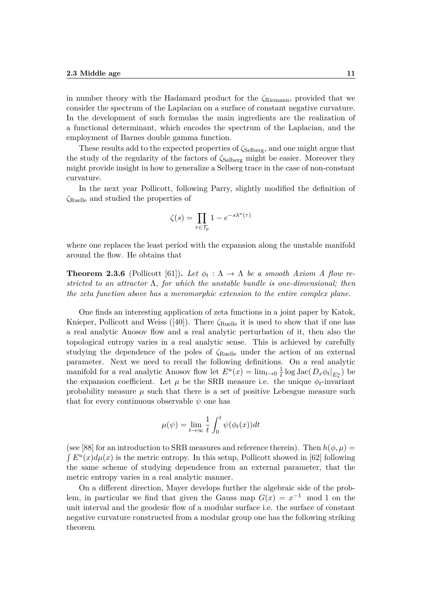in number theory with the Hadamard product for the *ζ*Riemann, provided that we consider the spectrum of the Laplacian on a surface of constant negative curvature. In the development of such formulas the main ingredients are the realization of a functional determinant, which encodes the spectrum of the Laplacian, and the employment of Barnes double gamma function.

These results add to the expected properties of *ζ*Selberg, and one might argue that the study of the regularity of the factors of  $\zeta_{\text{Selberg}}$  might be easier. Moreover they might provide insight in how to generalize a Selberg trace in the case of non-constant curvature.

In the next year Pollicott, following Parry, slightly modified the definition of *ζ*Ruelle and studied the properties of

$$
\zeta(s) = \prod_{\tau \in \mathcal{T}_p} 1 - e^{-s\lambda^u(\tau)}
$$

where one replaces the least period with the expansion along the unstable manifold around the flow. He obtains that

**Theorem 2.3.6** (Pollicott [61]). Let  $\phi_t : \Lambda \to \Lambda$  be a smooth Axiom A flow re*stricted to an attractor* Λ*, for which the unstable bundle is one-dimensional; then the zeta function above has a meromorphic extension to the entire complex plane.*

One finds an interesting application of zeta functions in a joint paper by Katok, Knieper, Pollicott and Weiss ([40]). There  $\zeta_{\text{Ruelle}}$  it is used to show that if one has a real analytic Anosov flow and a real analytic perturbation of it, then also the topological entropy varies in a real analytic sense. This is achieved by carefully studying the dependence of the poles of *ζ*Ruelle under the action of an external parameter. Next we need to recall the following definitions. On a real analytic manifold for a real analytic Anosov flow let  $E^u(x) = \lim_{t\to 0} \frac{1}{t}$  $\frac{1}{t}$  log Jac $(D_x \phi_t |_{E_x^u})$  be the expansion coefficient. Let  $\mu$  be the SRB measure i.e. the unique  $\phi_t$ -invariant probability measure  $\mu$  such that there is a set of positive Lebesgue measure such that for every continuous observable  $\psi$  one has

$$
\mu(\psi) = \lim_{t \to \infty} \frac{1}{t} \int_0^t \psi(\phi_t(x)) dt
$$

(see [88] for an introduction to SRB measures and reference therein). Then  $h(\phi, \mu)$  =  $\int E^u(x) d\mu(x)$  is the metric entropy. In this setup, Pollicott showed in [62] following the same scheme of studying dependence from an external parameter, that the metric entropy varies in a real analytic manner.

On a different direction, Mayer develops further the algebraic side of the problem, in particular we find that given the Gauss map  $G(x) = x^{-1}$  mod 1 on the unit interval and the geodesic flow of a modular surface i.e. the surface of constant negative curvature constructed from a modular group one has the following striking theorem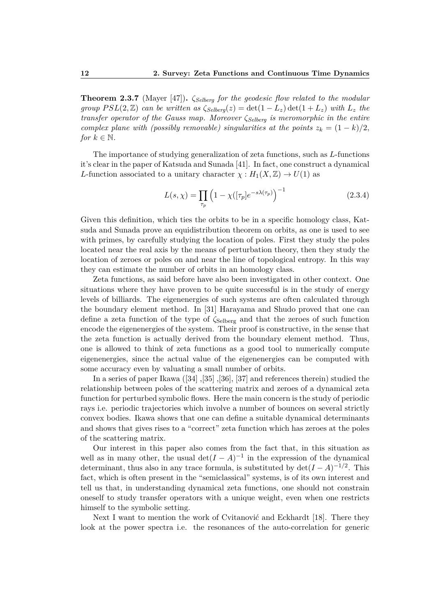**Theorem 2.3.7** (Mayer [47])**.** *ζSelberg for the geodesic flow related to the modular group*  $PSL(2, \mathbb{Z})$  *can be written as*  $\zeta_{\text{Selberq}}(z) = \det(1 - L_z) \det(1 + L_z)$  *with*  $L_z$  *the transfer operator of the Gauss map. Moreover ζSelberg is meromorphic in the entire complex plane with (possibly removable) singularities at the points*  $z_k = (1 - k)/2$ , *for*  $k \in \mathbb{N}$ .

The importance of studying generalization of zeta functions, such as *L*-functions it's clear in the paper of Katsuda and Sunada [41]. In fact, one construct a dynamical *L*-function associated to a unitary character  $\chi : H_1(X, \mathbb{Z}) \to U(1)$  as

$$
L(s,\chi) = \prod_{\tau_p} \left(1 - \chi([\tau_p]e^{-s\lambda(\tau_p)}\right)^{-1}
$$
\n(2.3.4)

Given this definition, which ties the orbits to be in a specific homology class, Katsuda and Sunada prove an equidistribution theorem on orbits, as one is used to see with primes, by carefully studying the location of poles. First they study the poles located near the real axis by the means of perturbation theory, then they study the location of zeroes or poles on and near the line of topological entropy. In this way they can estimate the number of orbits in an homology class.

Zeta functions, as said before have also been investigated in other context. One situations where they have proven to be quite successful is in the study of energy levels of billiards. The eigenenergies of such systems are often calculated through the boundary element method. In [31] Harayama and Shudo proved that one can define a zeta function of the type of *ζ*Selberg and that the zeroes of such function encode the eigenenergies of the system. Their proof is constructive, in the sense that the zeta function is actually derived from the boundary element method. Thus, one is allowed to think of zeta functions as a good tool to numerically compute eigenenergies, since the actual value of the eigenenergies can be computed with some accuracy even by valuating a small number of orbits.

In a series of paper Ikawa ([34] ,[35] ,[36], [37] and references therein) studied the relationship between poles of the scattering matrix and zeroes of a dynamical zeta function for perturbed symbolic flows. Here the main concern is the study of periodic rays i.e. periodic trajectories which involve a number of bounces on several strictly convex bodies. Ikawa shows that one can define a suitable dynamical determinants and shows that gives rises to a "correct" zeta function which has zeroes at the poles of the scattering matrix.

Our interest in this paper also comes from the fact that, in this situation as well as in many other, the usual  $\det(I - A)^{-1}$  in the expression of the dynamical determinant, thus also in any trace formula, is substituted by  $\det(I - A)^{-1/2}$ . This fact, which is often present in the "semiclassical" systems, is of its own interest and tell us that, in understanding dynamical zeta functions, one should not constrain oneself to study transfer operators with a unique weight, even when one restricts himself to the symbolic setting.

Next I want to mention the work of Cvitanović and Eckhardt [18]. There they look at the power spectra i.e. the resonances of the auto-correlation for generic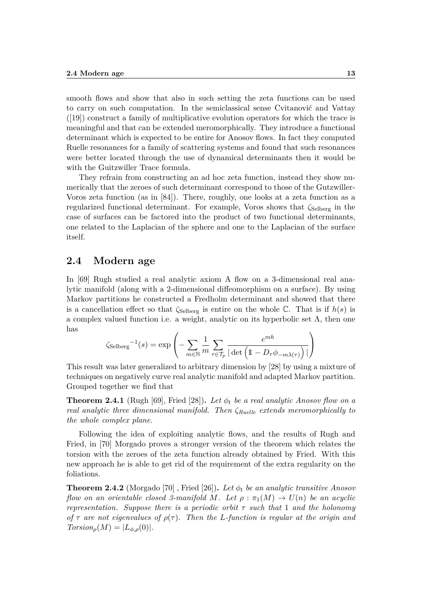smooth flows and show that also in such setting the zeta functions can be used to carry on such computation. In the semiclassical sense Cvitanović and Vattay  $([19])$  construct a family of multiplicative evolution operators for which the trace is meaningful and that can be extended meromorphically. They introduce a functional determinant which is expected to be entire for Anosov flows. In fact they computed Ruelle resonances for a family of scattering systems and found that such resonances were better located through the use of dynamical determinants then it would be with the Guitzwiller Trace formula.

They refrain from constructing an ad hoc zeta function, instead they show numerically that the zeroes of such determinant correspond to those of the Gutzwiller-Voros zeta function (as in [84]). There, roughly, one looks at a zeta function as a regularized functional determinant. For example, Voros shows that *ζ*Selberg in the case of surfaces can be factored into the product of two functional determinants, one related to the Laplacian of the sphere and one to the Laplacian of the surface itself.

#### **2.4 Modern age**

In [69] Rugh studied a real analytic axiom A flow on a 3-dimensional real analytic manifold (along with a 2-dimensional diffeomorphism on a surface). By using Markov partitions he constructed a Fredholm determinant and showed that there is a cancellation effect so that  $\zeta_{\text{Selberg}}$  is entire on the whole  $\mathbb{C}$ . That is if  $h(s)$  is a complex valued function i.e. a weight, analytic on its hyperbolic set  $\Lambda$ , then one has

$$
\zeta_{\text{Selberg}}^{-1}(s) = \exp\left(-\sum_{m \in \mathbb{N}} \frac{1}{m} \sum_{\tau \in \mathcal{T}_p} \frac{e^{mh}}{|\det\left(\mathbb{1} - D_{\tau} \phi_{-m\lambda(\tau)}\right)|}\right)
$$

This result was later generalized to arbitrary dimension by [28] by using a mixture of techniques on negatively curve real analytic manifold and adapted Markov partition. Grouped together we find that

**Theorem 2.4.1** (Rugh [69], Fried [28]). Let  $\phi_t$  be a real analytic Anosov flow on a *real analytic three dimensional manifold. Then ζRuelle extends meromorphically to the whole complex plane.*

Following the idea of exploiting analytic flows, and the results of Rugh and Fried, in [70] Morgado proves a stronger version of the theorem which relates the torsion with the zeroes of the zeta function already obtained by Fried. With this new approach he is able to get rid of the requirement of the extra regularity on the foliations.

**Theorem 2.4.2** (Morgado [70], Fried [26]). Let  $\phi_t$  be an analytic transitive Anosov *flow on an orientable closed 3-manifold M. Let*  $\rho : \pi_1(M) \to U(n)$  *be an acyclic representation. Suppose there is a periodic orbit τ such that* 1 *and the holonomy of*  $\tau$  *are not eigenvalues of*  $\rho(\tau)$ *. Then the L-function is regular at the origin and*  $Torsion_{\rho}(M) = |L_{\phi,\rho}(0)|$ .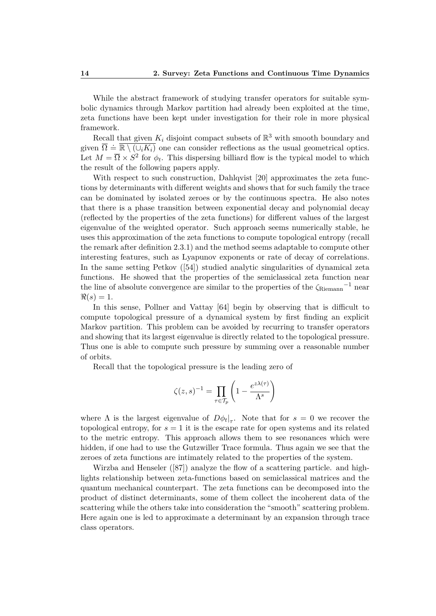While the abstract framework of studying transfer operators for suitable symbolic dynamics through Markov partition had already been exploited at the time, zeta functions have been kept under investigation for their role in more physical framework.

Recall that given  $K_i$  disjoint compact subsets of  $\mathbb{R}^3$  with smooth boundary and given  $\overline{\Omega} = \overline{\mathbb{R} \setminus (\cup_i K_i)}$  one can consider reflections as the usual geometrical optics. Let  $M = \overline{\Omega} \times S^2$  for  $\phi_t$ . This dispersing billiard flow is the typical model to which the result of the following papers apply.

With respect to such construction, Dahlqvist [20] approximates the zeta functions by determinants with different weights and shows that for such family the trace can be dominated by isolated zeroes or by the continuous spectra. He also notes that there is a phase transition between exponential decay and polynomial decay (reflected by the properties of the zeta functions) for different values of the largest eigenvalue of the weighted operator. Such approach seems numerically stable, he uses this approximation of the zeta functions to compute topological entropy (recall the remark after definition 2.3.1) and the method seems adaptable to compute other interesting features, such as Lyapunov exponents or rate of decay of correlations. In the same setting Petkov ([54]) studied analytic singularities of dynamical zeta functions. He showed that the properties of the semiclassical zeta function near the line of absolute convergence are similar to the properties of the  $\zeta_{\rm Riemann}$ <sup>-1</sup> near  $\Re(s) = 1.$ 

In this sense, Pollner and Vattay [64] begin by observing that is difficult to compute topological pressure of a dynamical system by first finding an explicit Markov partition. This problem can be avoided by recurring to transfer operators and showing that its largest eigenvalue is directly related to the topological pressure. Thus one is able to compute such pressure by summing over a reasonable number of orbits.

Recall that the topological pressure is the leading zero of

$$
\zeta(z,s)^{-1} = \prod_{\tau \in \mathcal{T}_p} \left( 1 - \frac{e^{z\lambda(\tau)}}{\Lambda^s} \right)
$$

where  $\Lambda$  is the largest eigenvalue of  $D\phi_t|_{\tau}$ . Note that for  $s = 0$  we recover the topological entropy, for  $s = 1$  it is the escape rate for open systems and its related to the metric entropy. This approach allows them to see resonances which were hidden, if one had to use the Gutzwiller Trace formula. Thus again we see that the zeroes of zeta functions are intimately related to the properties of the system.

Wirzba and Henseler ([87]) analyze the flow of a scattering particle. and highlights relationship between zeta-functions based on semiclassical matrices and the quantum mechanical counterpart. The zeta functions can be decomposed into the product of distinct determinants, some of them collect the incoherent data of the scattering while the others take into consideration the "smooth" scattering problem. Here again one is led to approximate a determinant by an expansion through trace class operators.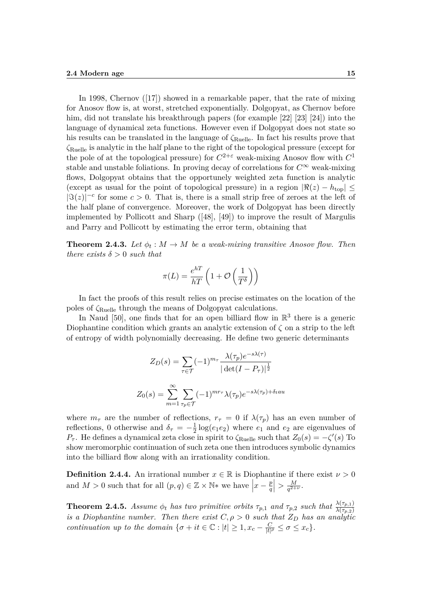In 1998, Chernov ([17]) showed in a remarkable paper, that the rate of mixing for Anosov flow is, at worst, stretched exponentially. Dolgopyat, as Chernov before him, did not translate his breakthrough papers (for example [22] [23] [24]) into the language of dynamical zeta functions. However even if Dolgopyat does not state so his results can be translated in the language of  $\zeta_{\text{Rule}}$ . In fact his results prove that *ζ*Ruelle is analytic in the half plane to the right of the topological pressure (except for the pole of at the topological pressure) for  $C^{2+\varepsilon}$  weak-mixing Anosov flow with  $C^1$ stable and unstable foliations. In proving decay of correlations for  $C^{\infty}$  weak-mixing flows, Dolgopyat obtains that the opportunely weighted zeta function is analytic (except as usual for the point of topological pressure) in a region  $|\Re(z) - h_{\text{top}}| \le$  $|\Im(z)|^{-c}$  for some  $c > 0$ . That is, there is a small strip free of zeroes at the left of the half plane of convergence. Moreover, the work of Dolgopyat has been directly implemented by Pollicott and Sharp ([48], [49]) to improve the result of Margulis and Parry and Pollicott by estimating the error term, obtaining that

**Theorem 2.4.3.** Let  $\phi_t : M \to M$  be a weak-mixing transitive Anosov flow. Then *there exists*  $\delta > 0$  *such that* 

$$
\pi(L) = \frac{e^{hT}}{hT} \left( 1 + \mathcal{O}\left(\frac{1}{T^{\delta}}\right) \right)
$$

In fact the proofs of this result relies on precise estimates on the location of the poles of *ζ*Ruelle through the means of Dolgopyat calculations.

In Naud [50], one finds that for an open billiard flow in  $\mathbb{R}^3$  there is a generic Diophantine condition which grants an analytic extension of *ζ* on a strip to the left of entropy of width polynomially decreasing. He define two generic determinants

$$
Z_D(s) = \sum_{\tau \in \mathcal{T}} (-1)^{m_{\tau}} \frac{\lambda(\tau_p) e^{-s\lambda(\tau)}}{|\det(I - P_{\tau})|^{\frac{1}{2}}}
$$

$$
Z_0(s) = \sum_{m=1}^{\infty} \sum_{\tau_p \in \mathcal{T}} (-1)^{m r_{\tau}} \lambda(\tau_p) e^{-s\lambda(\tau_p) + \delta_t a u}
$$

where  $m_{\tau}$  are the number of reflections,  $r_{\tau} = 0$  if  $\lambda(\tau_p)$  has an even number of reflections, 0 otherwise and  $\delta_{\tau} = -\frac{1}{2}$  $\frac{1}{2}$  log( $e_1e_2$ ) where  $e_1$  and  $e_2$  are eigenvalues of *P*<sup>*τ*</sup>. He defines a dynamical zeta close in spirit to  $\zeta_{\text{Rule}}$  such that  $Z_0(s) = -\zeta'(s)$  To show meromorphic continuation of such zeta one then introduces symbolic dynamics into the billiard flow along with an irrationality condition.

**Definition 2.4.4.** An irrational number  $x \in \mathbb{R}$  is Diophantine if there exist  $\nu > 0$ and  $M > 0$  such that for all  $(p, q) \in \mathbb{Z} \times \mathbb{N}^*$  we have  $\Big| x - \frac{p}{q} \Big|$  $\left|\frac{p}{q}\right| > \frac{M}{q^{2+1}}$  $\frac{M}{q^{2+\nu}}$ .

**Theorem 2.4.5.** *Assume*  $\phi_t$  *has two primitive orbits*  $\tau_{p,1}$  *and*  $\tau_{p,2}$  *such that*  $\frac{\lambda(\tau_{p,1})}{\lambda(\tau_{p,2})}$ *is a Diophantine number. Then there exist*  $C, \rho > 0$  *such that*  $Z_D$  *has an analytic continuation up to the domain*  $\{\sigma + it \in \mathbb{C} : |t| \geq 1, x_c - \frac{C}{|t|}\}$  $\frac{C}{|t|^{\rho}} \leq \sigma \leq x_c$ .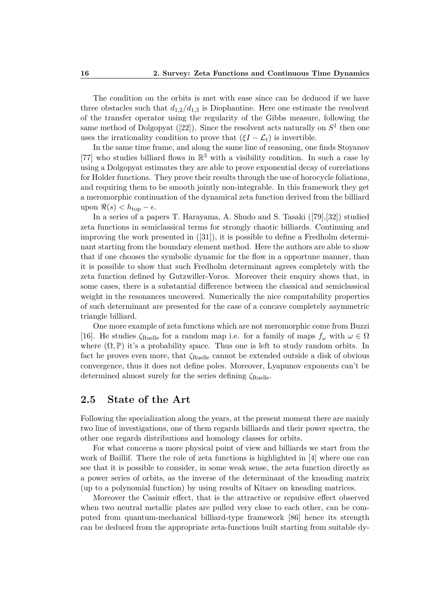The condition on the orbits is met with ease since can be deduced if we have three obstacles such that  $d_{1,2}/d_{1,3}$  is Diophantine. Here one estimate the resolvent of the transfer operator using the regularity of the Gibbs measure, following the same method of Dolgopyat ([22]). Since the resolvent acts naturally on  $S^1$  then one uses the irrationality condition to prove that  $(\xi I - \mathcal{L}_t)$  is invertible.

In the same time frame, and along the same line of reasoning, one finds Stoyanov [77] who studies billiard flows in  $\mathbb{R}^3$  with a visibility condition. In such a case by using a Dolgopyat estimates they are able to prove exponential decay of correlations for Holder functions. They prove their results through the use of horocycle foliations, and requiring them to be smooth jointly non-integrable. In this framework they get a meromorphic continuation of the dynamical zeta function derived from the billiard upon  $\Re(s) < h_{\text{top}} - \epsilon$ .

In a series of a papers T. Harayama, A. Shudo and S. Tasaki ([79],[32]) studied zeta functions in semiclassical terms for strongly chaotic billiards. Continuing and improving the work presented in  $([31])$ , it is possible to define a Fredholm determinant starting from the boundary element method. Here the authors are able to show that if one chooses the symbolic dynamic for the flow in a opportune manner, than it is possible to show that such Fredholm determinant agrees completely with the zeta function defined by Gutzwiller-Voros. Moreover their enquiry shows that, in some cases, there is a substantial difference between the classical and semiclassical weight in the resonances uncovered. Numerically the nice computability properties of such determinant are presented for the case of a concave completely asymmetric triangle billiard.

One more example of zeta functions which are not meromorphic come from Buzzi [16]. He studies  $\zeta_{\text{Rule}}$  for a random map i.e. for a family of maps  $f_{\omega}$  with  $\omega \in \Omega$ where  $(\Omega, \mathbb{P})$  it's a probability space. Thus one is left to study random orbits. In fact he proves even more, that *ζ*Ruelle cannot be extended outside a disk of obvious convergence, thus it does not define poles. Moreover, Lyapunov exponents can't be determined almost surely for the series defining *ζ*Ruelle.

#### **2.5 State of the Art**

Following the specialization along the years, at the present moment there are mainly two line of investigations, one of them regards billiards and their power spectra, the other one regards distributions and homology classes for orbits.

For what concerns a more physical point of view and billiards we start from the work of Baillif. There the role of zeta functions is highlighted in [4] where one can see that it is possible to consider, in some weak sense, the zeta function directly as a power series of orbits, as the inverse of the determinant of the kneading matrix (up to a polynomial function) by using results of Kitaev on kneading matrices.

Moreover the Casimir effect, that is the attractive or repulsive effect observed when two neutral metallic plates are pulled very close to each other, can be computed from quantum-mechanical billiard-type framework [86] hence its strength can be deduced from the appropriate zeta-functions built starting from suitable dy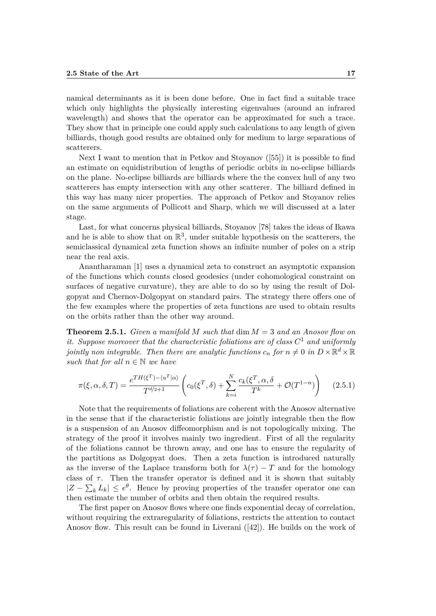namical determinants as it is been done before. One in fact find a suitable trace which only highlights the physically interesting eigenvalues (around an infrared wavelength) and shows that the operator can be approximated for such a trace. They show that in principle one could apply such calculations to any length of given billiards, though good results are obtained only for medium to large separations of scatterers.

Next I want to mention that in Petkov and Stoyanov ([55]) it is possible to find an estimate on equidistribution of lengths of periodic orbits in no-eclipse billiards on the plane. No-eclipse billiards are billiards where the the convex hull of any two scatterers has empty intersection with any other scatterer. The billiard defined in this way has many nicer properties. The approach of Petkov and Stoyanov relies on the same arguments of Pollicott and Sharp, which we will discussed at a later stage.

Last, for what concerns physical billiards, Stoyanov [78] takes the ideas of Ikawa and he is able to show that on  $\mathbb{R}^3$ , under suitable hypothesis on the scatterers, the semiclassical dynamical zeta function shows an infinite number of poles on a strip near the real axis.

Anantharaman [1] uses a dynamical zeta to construct an asymptotic expansion of the functions which counts closed geodesics (under cohomological constraint on surfaces of negative curvature), they are able to do so by using the result of Dolgopyat and Chernov-Dolgopyat on standard pairs. The strategy there offers one of the few examples where the properties of zeta functions are used to obtain results on the orbits rather than the other way around.

**Theorem 2.5.1.** *Given a manifold M such that* dim *M* = 3 *and an Anosov flow on it. Suppose moreover that the characteristic foliations are of class C* <sup>1</sup> *and uniformly jointly non integrable. Then there are analytic functions*  $c_n$  *for*  $n \neq 0$  *in*  $D \times \mathbb{R}^d \times \mathbb{R}$ *such that for all*  $n \in \mathbb{N}$  *we have* 

$$
\pi(\xi, \alpha, \delta, T) = \frac{e^{TH(\xi^T) - \langle u^T | \alpha \rangle}}{T^{d/2 + 1}} \left( c_0(\xi^T, \delta) + \sum_{k=i}^N \frac{c_k(\xi^T, \alpha, \delta)}{T^k} + \mathcal{O}(T^{1-n}) \right) \tag{2.5.1}
$$

Note that the requirements of foliations are coherent with the Anosov alternative in the sense that if the characteristic foliations are jointly integrable then the flow is a suspension of an Anosov diffeomorphism and is not topologically mixing. The strategy of the proof it involves mainly two ingredient. First of all the regularity of the foliations cannot be thrown away, and one has to ensure the regularity of the partitions as Dolgopyat does. Then a zeta function is introduced naturally as the inverse of the Laplace transform both for  $\lambda(\tau) - T$  and for the homology class of  $\tau$ . Then the transfer operator is defined and it is shown that suitably  $|Z - \sum_{k} L_k| \leq e^{\theta}$ . Hence by proving properties of the transfer operator one can then estimate the number of orbits and then obtain the required results.

The first paper on Anosov flows where one finds exponential decay of correlation, without requiring the extraregularity of foliations, restricts the attention to contact Anosov flow. This result can be found in Liverani ([42]). He builds on the work of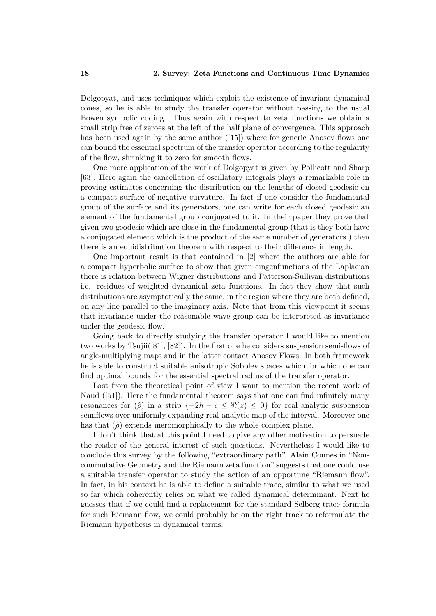Dolgopyat, and uses techniques which exploit the existence of invariant dynamical cones, so he is able to study the transfer operator without passing to the usual Bowen symbolic coding. Thus again with respect to zeta functions we obtain a small strip free of zeroes at the left of the half plane of convergence. This approach has been used again by the same author ([15]) where for generic Anosov flows one can bound the essential spectrum of the transfer operator according to the regularity of the flow, shrinking it to zero for smooth flows.

One more application of the work of Dolgopyat is given by Pollicott and Sharp [63]. Here again the cancellation of oscillatory integrals plays a remarkable role in proving estimates concerning the distribution on the lengths of closed geodesic on a compact surface of negative curvature. In fact if one consider the fundamental group of the surface and its generators, one can write for each closed geodesic an element of the fundamental group conjugated to it. In their paper they prove that given two geodesic which are close in the fundamental group (that is they both have a conjugated element which is the product of the same number of generators ) then there is an equidistribution theorem with respect to their difference in length.

One important result is that contained in [2] where the authors are able for a compact hyperbolic surface to show that given eingenfunctions of the Laplacian there is relation between Wigner distributions and Patterson-Sullivan distributions i.e. residues of weighted dynamical zeta functions. In fact they show that such distributions are asymptotically the same, in the region where they are both defined, on any line parallel to the imaginary axis. Note that from this viewpoint it seems that invariance under the reasonable wave group can be interpreted as invariance under the geodesic flow.

Going back to directly studying the transfer operator I would like to mention two works by Tsujii([81], [82]). In the first one he considers suspension semi-flows of angle-multiplying maps and in the latter contact Anosov Flows. In both framework he is able to construct suitable anisotropic Sobolev spaces which for which one can find optimal bounds for the essential spectral radius of the transfer operator.

Last from the theoretical point of view I want to mention the recent work of Naud ([51]). Here the fundamental theorem says that one can find infinitely many resonances for  $(\hat{\rho})$  in a strip  $\{-2h - \epsilon \leq \Re(z) \leq 0\}$  for real analytic suspension semiflows over uniformly expanding real-analytic map of the interval. Moreover one has that  $(\hat{\rho})$  extends meromorphically to the whole complex plane.

I don't think that at this point I need to give any other motivation to persuade the reader of the general interest of such questions. Nevertheless I would like to conclude this survey by the following "extraordinary path". Alain Connes in "Noncommutative Geometry and the Riemann zeta function" suggests that one could use a suitable transfer operator to study the action of an opportune "Riemann flow". In fact, in his context he is able to define a suitable trace, similar to what we used so far which coherently relies on what we called dynamical determinant. Next he guesses that if we could find a replacement for the standard Selberg trace formula for such Riemann flow, we could probably be on the right track to reformulate the Riemann hypothesis in dynamical terms.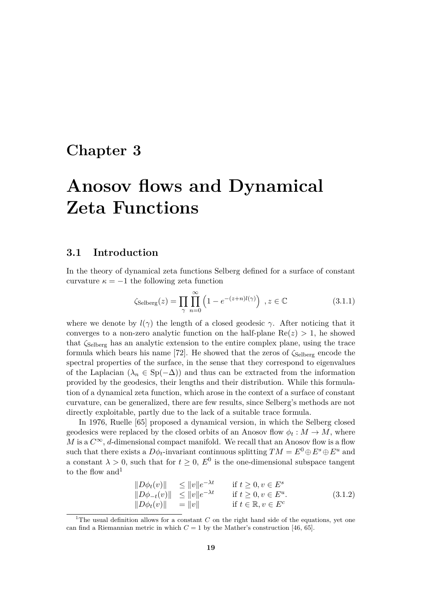### **Chapter 3**

## **Anosov flows and Dynamical Zeta Functions**

#### **3.1 Introduction**

In the theory of dynamical zeta functions Selberg defined for a surface of constant curvature  $\kappa = -1$  the following zeta function

$$
\zeta_{\text{Selberg}}(z) = \prod_{\gamma} \prod_{n=0}^{\infty} \left( 1 - e^{-(z+n)l(\gamma)} \right) , z \in \mathbb{C}
$$
 (3.1.1)

where we denote by  $l(\gamma)$  the length of a closed geodesic  $\gamma$ . After noticing that it converges to a non-zero analytic function on the half-plane  $Re(z) > 1$ , he showed that *ζ*Selberg has an analytic extension to the entire complex plane, using the trace formula which bears his name [72]. He showed that the zeros of  $\zeta_{\text{Selberg}}$  encode the spectral properties of the surface, in the sense that they correspond to eigenvalues of the Laplacian ( $\lambda_n \in Sp(-\Delta)$ ) and thus can be extracted from the information provided by the geodesics, their lengths and their distribution. While this formulation of a dynamical zeta function, which arose in the context of a surface of constant curvature, can be generalized, there are few results, since Selberg's methods are not directly exploitable, partly due to the lack of a suitable trace formula.

In 1976, Ruelle [65] proposed a dynamical version, in which the Selberg closed geodesics were replaced by the closed orbits of an Anosov flow  $\phi_t : M \to M$ , where *M* is a  $C^{\infty}$ , *d*-dimensional compact manifold. We recall that an Anosov flow is a flow such that there exists a  $D\phi_t$ -invariant continuous splitting  $TM = E^0 \oplus E^s \oplus E^u$  and a constant  $\lambda > 0$ , such that for  $t \geq 0$ ,  $E^0$  is the one-dimensional subspace tangent to the flow and  $1$ 

$$
\|D\phi_t(v)\| \le \|v\|e^{-\lambda t} \quad \text{if } t \ge 0, v \in E^s\|D\phi_{-t}(v)\| \le \|v\|e^{-\lambda t} \quad \text{if } t \ge 0, v \in E^u.\|D\phi_t(v)\| = \|v\| \quad \text{if } t \in \mathbb{R}, v \in E^c
$$
\n(3.1.2)

<sup>&</sup>lt;sup>1</sup>The usual definition allows for a constant *C* on the right hand side of the equations, yet one can find a Riemannian metric in which  $C = 1$  by the Mather's construction [46, 65].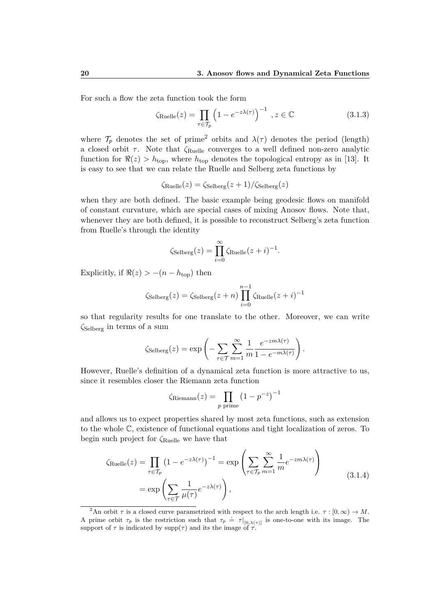For such a flow the zeta function took the form

$$
\zeta_{\text{Rule}}(z) = \prod_{\tau \in \mathcal{T}_p} \left( 1 - e^{-z\lambda(\tau)} \right)^{-1}, z \in \mathbb{C}
$$
\n(3.1.3)

where  $\mathcal{T}_p$  denotes the set of prime<sup>2</sup> orbits and  $\lambda(\tau)$  denotes the period (length) a closed orbit *τ* . Note that *ζ*Ruelle converges to a well defined non-zero analytic function for  $\Re(z) > h_{\text{top}}$ , where  $h_{\text{top}}$  denotes the topological entropy as in [13]. It is easy to see that we can relate the Ruelle and Selberg zeta functions by

$$
\zeta_{\text{Rule}}(z) = \zeta_{\text{Selberg}}(z+1) / \zeta_{\text{Selberg}}(z)
$$

when they are both defined. The basic example being geodesic flows on manifold of constant curvature, which are special cases of mixing Anosov flows. Note that, whenever they are both defined, it is possible to reconstruct Selberg's zeta function from Ruelle's through the identity

$$
\zeta_{\text{Selberg}}(z) = \prod_{i=0}^{\infty} \zeta_{\text{Rule}}(z+i)^{-1}.
$$

Explicitly, if  $\Re(z) > -(n - h_{\text{top}})$  then

$$
\zeta_{\text{Selberg}}(z) = \zeta_{\text{Selberg}}(z+n) \prod_{i=0}^{n-1} \zeta_{\text{Rule}}(z+i)^{-1}
$$

so that regularity results for one translate to the other. Moreover, we can write *ζ*Selberg in terms of a sum

$$
\zeta_{\text{Selberg}}(z) = \exp\left(-\sum_{\tau \in \mathcal{T}} \sum_{m=1}^{\infty} \frac{1}{m} \frac{e^{-z m \lambda(\tau)}}{1 - e^{-m \lambda(\tau)}}\right).
$$

However, Ruelle's definition of a dynamical zeta function is more attractive to us, since it resembles closer the Riemann zeta function

$$
\zeta_{\text{Riemann}}(z) = \prod_{p \text{ prime}} \left(1 - p^{-z}\right)^{-1}
$$

and allows us to expect properties shared by most zeta functions, such as extension to the whole C, existence of functional equations and tight localization of zeros. To begin such project for *ζ*Ruelle we have that

$$
\zeta_{\text{Rule}}(z) = \prod_{\tau \in \mathcal{T}_p} \left(1 - e^{-z\lambda(\tau)}\right)^{-1} = \exp\left(\sum_{\tau \in \mathcal{T}_p} \sum_{m=1}^{\infty} \frac{1}{m} e^{-zm\lambda(\tau)}\right)
$$
\n
$$
= \exp\left(\sum_{\tau \in \mathcal{T}} \frac{1}{\mu(\tau)} e^{-z\lambda(\tau)}\right),\tag{3.1.4}
$$

<sup>&</sup>lt;sup>2</sup>An orbit *τ* is a closed curve parametrized with respect to the arch length i.e.  $\tau$  : [0,  $\infty$ )  $\rightarrow$  *M*. A prime orbit  $\tau_p$  is the restriction such that  $\tau_p = \tau|_{[0,\lambda(\tau)]}$  is one-to-one with its image. The support of  $\tau$  is indicated by supp( $\tau$ ) and its the image of  $\tau$ .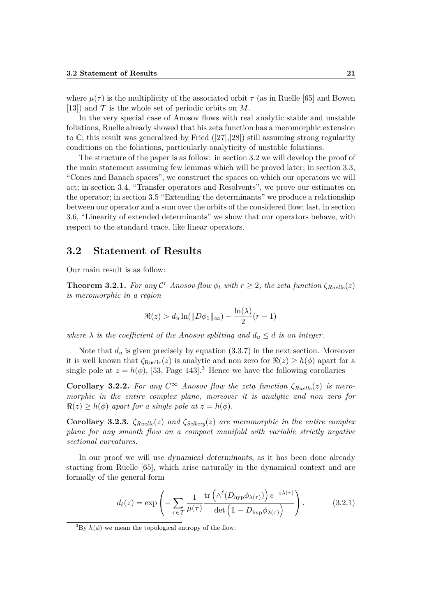where  $\mu(\tau)$  is the multiplicity of the associated orbit  $\tau$  (as in Ruelle [65] and Bowen [13]) and  $\mathcal T$  is the whole set of periodic orbits on  $M$ .

In the very special case of Anosov flows with real analytic stable and unstable foliations, Ruelle already showed that his zeta function has a meromorphic extension to  $\mathbb{C}$ ; this result was generalized by Fried  $([27],[28])$  still assuming strong regularity conditions on the foliations, particularly analyticity of unstable foliations.

The structure of the paper is as follow: in section 3.2 we will develop the proof of the main statement assuming few lemmas which will be proved later; in section 3.3, "Cones and Banach spaces", we construct the spaces on which our operators we will act; in section 3.4, "Transfer operators and Resolvents", we prove our estimates on the operator; in section 3.5 "Extending the determinants" we produce a relationship between our operator and a sum over the orbits of the considered flow; last, in section 3.6, "Linearity of extended determinants" we show that our operators behave, with respect to the standard trace, like linear operators.

#### **3.2 Statement of Results**

Our main result is as follow:

**Theorem 3.2.1.** For any  $\mathcal{C}^r$  *Anosov flow*  $\phi_t$  *with*  $r \geq 2$ *, the zeta function*  $\zeta_{Ruelle}(z)$ *is meromorphic in a region*

$$
\Re(z) > d_u \ln(\|D\phi_1\|_{\infty}) - \frac{\ln(\lambda)}{2}(r-1)
$$

*where*  $\lambda$  *is the coefficient of the Anosov splitting and*  $d_u \leq d$  *is an integer.* 

Note that  $d_u$  is given precisely by equation  $(3.3.7)$  in the next section. Moreover it is well known that  $\zeta_{\text{Ruelle}}(z)$  is analytic and non zero for  $\Re(z) \ge h(\phi)$  apart for a single pole at  $z = h(\phi)$ , [53, Page 143].<sup>3</sup> Hence we have the following corollaries

**Corollary 3.2.2.** For any  $C^{\infty}$  Anosov flow the zeta function  $\zeta_{Ruelle}(z)$  is mero*morphic in the entire complex plane, moreover it is analytic and non zero for*  $\Re(z) \geq h(\phi)$  *apart for a single pole at*  $z = h(\phi)$ *.* 

**Corollary 3.2.3.** *ζRuelle*(*z*) *and ζSelberg*(*z*) *are meromorphic in the entire complex plane for any smooth flow on a compact manifold with variable strictly negative sectional curvatures.*

In our proof we will use dynamical determinants, as it has been done already starting from Ruelle [65], which arise naturally in the dynamical context and are formally of the general form

$$
d_{\ell}(z) = \exp\left(-\sum_{\tau \in \mathcal{T}} \frac{1}{\mu(\tau)} \frac{\text{tr}\left(\Lambda^{\ell}(D_{\text{hyp}} \phi_{\lambda(\tau)})\right) e^{-z\lambda(\tau)}}{\text{det}\left(1 - D_{\text{hyp}} \phi_{\lambda(\tau)}\right)}\right). \tag{3.2.1}
$$

<sup>&</sup>lt;sup>3</sup>By  $h(\phi)$  we mean the topological entropy of the flow.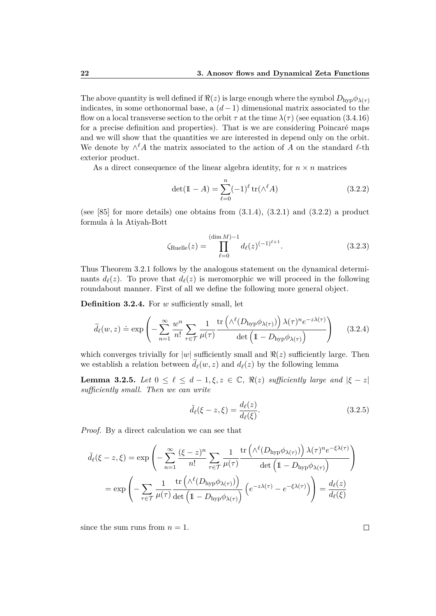The above quantity is well defined if  $\Re(z)$  is large enough where the symbol  $D_{\text{hyp}}\phi_{\lambda(\tau)}$ indicates, in some orthonormal base, a (*d*−1) dimensional matrix associated to the flow on a local transverse section to the orbit  $\tau$  at the time  $\lambda(\tau)$  (see equation (3.4.16) for a precise definition and properties). That is we are considering Poincaré maps and we will show that the quantities we are interested in depend only on the orbit. We denote by  $\wedge^{\ell}$ *A* the matrix associated to the action of *A* on the standard  $\ell$ -th exterior product.

As a direct consequence of the linear algebra identity, for  $n \times n$  matrices

$$
\det(\mathbb{1} - A) = \sum_{\ell=0}^{n} (-1)^{\ell} \operatorname{tr}(\wedge^{\ell} A)
$$
 (3.2.2)

(see  $[85]$  for more details) one obtains from  $(3.1.4)$ ,  $(3.2.1)$  and  $(3.2.2)$  a product formula à la Atiyah-Bott

$$
\zeta_{\text{Ruelle}}(z) = \prod_{\ell=0}^{(\dim M)-1} d_{\ell}(z)^{(-1)^{\ell+1}}.
$$
\n(3.2.3)

Thus Theorem 3.2.1 follows by the analogous statement on the dynamical determinants  $d_{\ell}(z)$ . To prove that  $d_{\ell}(z)$  is meromorphic we will proceed in the following roundabout manner. First of all we define the following more general object.

**Definition 3.2.4.** For *w* sufficiently small, let

$$
\widetilde{d}_{\ell}(w,z) \doteq \exp\left(-\sum_{n=1}^{\infty} \frac{w^n}{n!} \sum_{\tau \in \mathcal{T}} \frac{1}{\mu(\tau)} \frac{\text{tr}\left(\wedge^{\ell}(D_{\text{hyp}} \phi_{\lambda(\tau)})\right) \lambda(\tau)^n e^{-z\lambda(\tau)}}{\det\left(1 - D_{\text{hyp}} \phi_{\lambda(\tau)}\right)}\right) \tag{3.2.4}
$$

which converges trivially for  $|w|$  sufficiently small and  $\Re(z)$  sufficiently large. Then we establish a relation between  $\tilde{d}_{\ell}(w, z)$  and  $d_{\ell}(z)$  by the following lemma

**Lemma 3.2.5.** *Let*  $0 \leq \ell \leq d-1, \xi, z \in \mathbb{C}$ ,  $\Re(z)$  *sufficiently large and*  $|\xi - z|$ *sufficiently small. Then we can write*

$$
\tilde{d}_{\ell}(\xi - z, \xi) = \frac{d_{\ell}(z)}{d_{\ell}(\xi)}.
$$
\n(3.2.5)

*Proof.* By a direct calculation we can see that

$$
\tilde{d}_{\ell}(\xi - z, \xi) = \exp\left(-\sum_{n=1}^{\infty} \frac{(\xi - z)^n}{n!} \sum_{\tau \in \mathcal{T}} \frac{1}{\mu(\tau)} \frac{\text{tr}\left(\Lambda^{\ell}(D_{\text{hyp}}\phi_{\lambda(\tau)})\right) \lambda(\tau)^n e^{-\xi\lambda(\tau)}}{\text{det}\left(1 - D_{\text{hyp}}\phi_{\lambda(\tau)}\right)}\right)
$$
\n
$$
= \exp\left(-\sum_{\tau \in \mathcal{T}} \frac{1}{\mu(\tau)} \frac{\text{tr}\left(\Lambda^{\ell}(D_{\text{hyp}}\phi_{\lambda(\tau)})\right)}{\text{det}\left(1 - D_{\text{hyp}}\phi_{\lambda(\tau)}\right)} \left(e^{-z\lambda(\tau)} - e^{-\xi\lambda(\tau)}\right)\right) = \frac{d_{\ell}(z)}{d_{\ell}(\xi)}
$$

since the sum runs from  $n = 1$ .

 $\Box$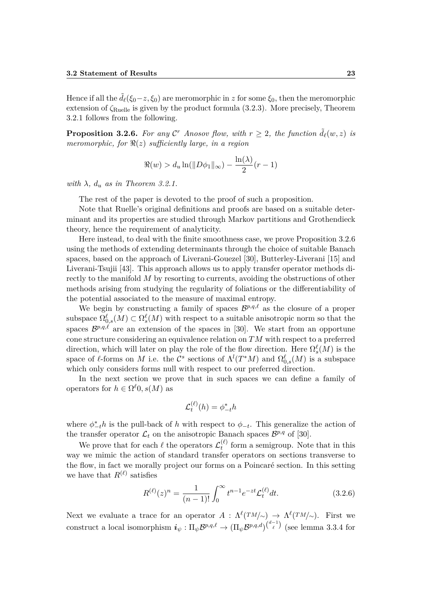Hence if all the  $d_{\ell}(\xi_0-z,\xi_0)$  are meromorphic in *z* for some  $\xi_0$ , then the meromorphic extension of *ζ*Ruelle is given by the product formula (3.2.3). More precisely, Theorem 3.2.1 follows from the following.

**Proposition 3.2.6.** For any  $\mathcal{C}^r$  Anosov flow, with  $r \geq 2$ , the function  $\tilde{d}_{\ell}(w, z)$  is *meromorphic, for*  $\Re(z)$  *sufficiently large, in a region* 

$$
\Re(w) > d_u \ln(\|D\phi_1\|_{\infty}) - \frac{\ln(\lambda)}{2}(r-1)
$$

*with*  $\lambda$ *,*  $d_u$  *as in Theorem 3.2.1.* 

The rest of the paper is devoted to the proof of such a proposition.

Note that Ruelle's original definitions and proofs are based on a suitable determinant and its properties are studied through Markov partitions and Grothendieck theory, hence the requirement of analyticity.

Here instead, to deal with the finite smoothness case, we prove Proposition 3.2.6 using the methods of extending determinants through the choice of suitable Banach spaces, based on the approach of Liverani-Gouezel [30], Butterley-Liverani [15] and Liverani-Tsujii [43]. This approach allows us to apply transfer operator methods directly to the manifold *M* by resorting to currents, avoiding the obstructions of other methods arising from studying the regularity of foliations or the differentiability of the potential associated to the measure of maximal entropy.

We begin by constructing a family of spaces  $\mathcal{B}^{p,q,\ell}$  as the closure of a proper subspace  $\Omega_{0,s}^{\ell}(M) \subset \Omega_s^{\ell}(M)$  with respect to a suitable anisotropic norm so that the spaces  $\mathcal{B}^{p,q,\ell}$  are an extension of the spaces in [30]. We start from an opportune cone structure considering an equivalence relation on *TM* with respect to a preferred direction, which will later on play the role of the flow direction. Here  $\Omega_s^{\ell}(M)$  is the space of  $\ell$ -forms on *M* i.e. the  $\mathcal{C}^s$  sections of  $\Lambda^l(T^*M)$  and  $\Omega_{0,s}^{\ell}(M)$  is a subspace which only considers forms null with respect to our preferred direction.

In the next section we prove that in such spaces we can define a family of operators for  $h \in \Omega^{\ell}0, s(M)$  as

$$
\mathcal{L}_t^{(\ell)}(h) = \phi_{-t}^* h
$$

where  $\phi_{-t}^* h$  is the pull-back of *h* with respect to  $\phi_{-t}$ . This generalize the action of the transfer operator  $\mathcal{L}_t$  on the anisotropic Banach spaces  $\mathcal{B}^{p,q}$  of [30].

We prove that for each  $\ell$  the operators  $\mathcal{L}_{t}^{(\ell)}$  $t_t^{(t)}$  form a semigroup. Note that in this way we mimic the action of standard transfer operators on sections transverse to the flow, in fact we morally project our forms on a Poincaré section. In this setting we have that  $R^{(\ell)}$  satisfies

$$
R^{(\ell)}(z)^n = \frac{1}{(n-1)!} \int_0^\infty t^{n-1} e^{-zt} \mathcal{L}_t^{(\ell)} dt.
$$
 (3.2.6)

Next we evaluate a trace for an operator  $A: \Lambda^{\ell}(TM/\sim) \to \Lambda^{\ell}(TM/\sim)$ . First we construct a local isomorphism  $i_{\psi}: \Pi_{\psi} \mathcal{B}^{p,q,\ell} \to (\Pi_{\psi} \mathcal{B}^{p,q,d})^{(\frac{d-1}{\ell})}$  (see lemma 3.3.4 for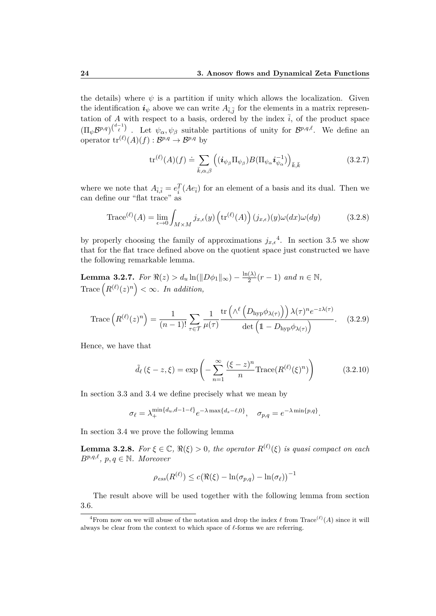the details) where  $\psi$  is a partition if unity which allows the localization. Given the identification  $i_{\psi}$  above we can write  $A_{\bar{i},\bar{j}}$  for the elements in a matrix representation of *A* with respect to a basis, ordered by the index  $\overline{i}$ , of the product space  $(\Pi_{\psi} \mathcal{B}^{p,q})^{\binom{d-1}{\ell}}$ . Let  $\psi_{\alpha}, \psi_{\beta}$  suitable partitions of unity for  $\mathcal{B}^{p,q,\ell}$ . We define an operator  $\mathrm{tr}^{(\ell)}(A)(f) : \mathcal{B}^{p,q} \to \mathcal{B}^{p,q}$  by

$$
\operatorname{tr}^{(\ell)}(A)(f) \doteq \sum_{\bar{k},\alpha,\beta} \left( (\boldsymbol{i}_{\psi_{\beta}} \Pi_{\psi_{\beta}}) B(\Pi_{\psi_{\alpha}} \boldsymbol{i}_{\psi_{\alpha}}^{-1}) \right)_{\bar{k},\bar{k}} \tag{3.2.7}
$$

where we note that  $A_{\bar{i},\bar{i}} = e_{\bar{i}}^T (A e_{\bar{i}})$  for an element of a basis and its dual. Then we can define our "flat trace" as

Trace<sup>(*l*)</sup>(A) = 
$$
\lim_{\epsilon \to 0} \int_{M \times M} j_{x,\epsilon}(y) \left( \text{tr}^{(\ell)}(A) \right) (j_{x,\epsilon})(y) \omega(dx) \omega(dy)
$$
 (3.2.8)

by properly choosing the family of approximations  $j_{x,\epsilon}^4$ . In section 3.5 we show that for the flat trace defined above on the quotient space just constructed we have the following remarkable lemma.

 $\textbf{Lemma 3.2.7.}$  *For*  $\Re(z) > d_u \ln(\|D\phi_1\|_{\infty}) - \frac{\ln(\lambda)}{2}$  $\frac{(\lambda)}{2}(r-1)$  *and*  $n \in \mathbb{N}$ ,  $\text{Trace}\left(R^{(\ell)}(z)^n\right) < \infty$ . In addition,

Trace 
$$
(R^{(\ell)}(z)^n)
$$
 =  $\frac{1}{(n-1)!} \sum_{\tau \in \mathcal{T}} \frac{1}{\mu(\tau)} \frac{\text{tr}(\wedge^{\ell} (D_{\text{hyp}} \phi_{\lambda(\tau)})) \lambda(\tau)^n e^{-z\lambda(\tau)}}{\det (1 - D_{\text{hyp}} \phi_{\lambda(\tau)})}$ . (3.2.9)

Hence, we have that

$$
\tilde{d}_{\ell}(\xi - z, \xi) = \exp\left(-\sum_{n=1}^{\infty} \frac{(\xi - z)^n}{n} \text{Trace}(R^{(\ell)}(\xi)^n)\right) \tag{3.2.10}
$$

In section 3.3 and 3.4 we define precisely what we mean by

$$
\sigma_{\ell} = \lambda_{+}^{\min\{d_u, d-1-\ell\}} e^{-\lambda \max\{d_s - \ell, 0\}}, \quad \sigma_{p,q} = e^{-\lambda \min\{p,q\}}.
$$

In section 3.4 we prove the following lemma

**Lemma 3.2.8.** For  $\xi \in \mathbb{C}$ ,  $\Re(\xi) > 0$ , the operator  $R^{(\ell)}(\xi)$  is quasi compact on each  $B^{p,q,\ell}, p, q \in \mathbb{N}$ *. Moreover* 

$$
\rho_{ess}(R^{(\ell)}) \le c \big(\Re(\xi) - \ln(\sigma_{p,q}) - \ln(\sigma_{\ell})\big)^{-1}
$$

The result above will be used together with the following lemma from section 3.6.

<sup>&</sup>lt;sup>4</sup> From now on we will abuse of the notation and drop the index  $\ell$  from Trace<sup>( $\ell$ </sup>)(*A*) since it will always be clear from the context to which space of  $\ell$ -forms we are referring.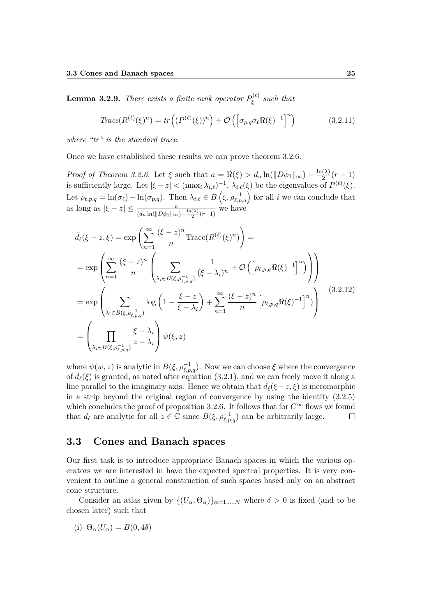**Lemma 3.2.9.** *There exists a finite rank operator*  $P_{\epsilon}^{(\ell)}$ *ξ such that*

$$
Trace(R^{(\ell)}(\xi)^n) = tr\left((P^{(\ell)}(\xi))^n\right) + \mathcal{O}\left(\left[\sigma_{p,q}\sigma_{\ell}\Re(\xi)^{-1}\right]^n\right) \tag{3.2.11}
$$

*where "tr" is the standard trace.*

Once we have established these results we can prove theorem 3.2.6.

*Proof of Theorem 3.2.6.* Let  $\xi$  such that  $a = \Re(\xi) > d_u \ln(\Vert D\phi_1 \Vert_{\infty}) - \frac{\ln(\lambda)}{2}$  $\frac{(1)}{2}(r-1)$ is sufficiently large. Let  $|\xi - z| < (\max_i \lambda_{i,\ell})^{-1}, \lambda_{i,\ell}(\xi)$  be the eigenvalues of  $P^{(\ell)}(\xi)$ . Let  $\rho_{\ell,p,q} = \ln(\sigma_{\ell}) - \ln(\sigma_{p,q})$ . Then  $\lambda_{i,\ell} \in B\left(\xi, \rho_{\ell,p,q}^{-1}\right)$  for all *i* we can conclude that as long as  $|\xi - z| \leq \frac{c}{(d_u \ln(\|D\phi_1\|_{\infty}) - \frac{\ln(\lambda)}{2}(r-1)}$  we have

$$
\tilde{d}_{\ell}(\xi - z, \xi) = \exp\left(\sum_{n=1}^{\infty} \frac{(\xi - z)^n}{n} \text{Trace}(R^{(\ell)}(\xi)^n)\right) =
$$
\n
$$
= \exp\left(\sum_{n=1}^{\infty} \frac{(\xi - z)^n}{n} \left(\sum_{\lambda_i \in B(\xi, \rho_{\ell, p, q}^{-1})} \frac{1}{(\xi - \lambda_i)^n} + \mathcal{O}\left(\left[\rho_{\ell, p, q} \Re(\xi)^{-1}\right]^n\right)\right)\right)
$$
\n
$$
= \exp\left(\sum_{\lambda_i \in B(\xi, \rho_{\ell, p, q}^{-1})} \log\left(1 - \frac{\xi - z}{\xi - \lambda_i}\right) + \sum_{n=1}^{\infty} \frac{(\xi - z)^n}{n} \left[\rho_{\ell, p, q} \Re(\xi)^{-1}\right]^n\right)
$$
\n
$$
= \left(\prod_{\lambda_i \in B(\xi, \rho_{\ell, p, q}^{-1})} \frac{\xi - \lambda_i}{z - \lambda_i}\right) \psi(\xi, z)
$$
\n(3.2.12)

where  $\psi(w, z)$  is analytic in  $B(\xi, \rho_{\ell, p,q}^{-1})$ . Now we can choose  $\xi$  where the convergence of  $d_{\ell}(\xi)$  is granted, as noted after equation (3.2.1), and we can freely move it along a line parallel to the imaginary axis. Hence we obtain that  $d_{\ell}(\xi-z,\xi)$  is meromorphic in a strip beyond the original region of convergence by using the identity (3.2.5) which concludes the proof of proposition 3.2.6. It follows that for  $C^{\infty}$  flows we found that  $d_{\ell}$  are analytic for all  $z \in \mathbb{C}$  since  $B(\xi, \rho_{\ell,p,q}^{-1})$  can be arbitrarily large.  $\Box$ 

#### **3.3 Cones and Banach spaces**

Our first task is to introduce appropriate Banach spaces in which the various operators we are interested in have the expected spectral properties. It is very convenient to outline a general construction of such spaces based only on an abstract cone structure.

Consider an atlas given by  $\{(U_{\alpha}, \Theta_{\alpha})\}_{\alpha=1,\dots,N}$  where  $\delta > 0$  is fixed (and to be chosen later) such that

(i) 
$$
\Theta_{\alpha}(U_{\alpha}) = B(0, 4\delta)
$$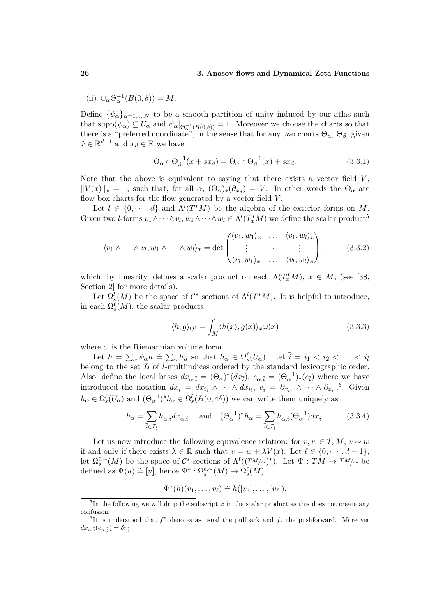(ii)  $\cup_{\alpha} \Theta_{\alpha}^{-1}(B(0,\delta)) = M.$ 

Define  $\{\psi_{\alpha}\}_{{\alpha}=1,...,N}$  to be a smooth partition of unity induced by our atlas such that  $\text{supp}(\psi_\alpha) \subseteq U_\alpha$  and  $\psi_\alpha|_{\Theta_\alpha^{-1}(B(0,\delta))} = 1$ . Moreover we choose the charts so that there is a "preferred coordinate", in the sense that for any two charts  $\Theta_{\alpha}, \Theta_{\beta}$ , given  $\tilde{x} \in \mathbb{R}^{d-1}$  and  $x_d \in \mathbb{R}$  we have

$$
\Theta_{\alpha} \circ \Theta_{\beta}^{-1}(\tilde{x} + sx_d) = \Theta_{\alpha} \circ \Theta_{\beta}^{-1}(\tilde{x}) + sx_d. \tag{3.3.1}
$$

Note that the above is equivalent to saying that there exists a vector field *V* ,  $||V(x)||_x = 1$ , such that, for all  $\alpha$ ,  $(\Theta_{\alpha})_*(\partial_{x_d}) = V$ . In other words the  $\Theta_{\alpha}$  are flow box charts for the flow generated by a vector field *V* .

Let  $l \in \{0, \dots, d\}$  and  $\Lambda^l(T^*M)$  be the algebra of the exterior forms on M. Given two *l*-forms  $v_1 \wedge \cdots \wedge v_l, w_1 \wedge \cdots \wedge w_l \in \Lambda^l(T_x^*M)$  we define the scalar product<sup>5</sup>

$$
\langle v_1 \wedge \cdots \wedge v_l, w_1 \wedge \cdots \wedge w_l \rangle_x = \det \begin{pmatrix} \langle v_1, w_1 \rangle_x & \cdots & \langle v_1, w_l \rangle_x \\ \vdots & \ddots & \vdots \\ \langle v_l, w_1 \rangle_x & \cdots & \langle v_l, w_l \rangle_x \end{pmatrix}, \qquad (3.3.2)
$$

which, by linearity, defines a scalar product on each  $\Lambda(T_x^*M)$ ,  $x \in M$ , (see [38, Section 2 for more details).

Let  $\Omega_s^l(M)$  be the space of  $\mathcal{C}^s$  sections of  $\Lambda^l(T^*M)$ . It is helpful to introduce, in each  $\Omega_s^{\ell}(M)$ , the scalar products

$$
\langle h, g \rangle_{\Omega^{\ell}} = \int_M \langle h(x), g(x) \rangle_x \omega(x) \tag{3.3.3}
$$

where  $\omega$  is the Riemannian volume form.

Let  $h = \sum_{\alpha} \psi_{\alpha} h = \sum_{\alpha} h_{\alpha}$  so that  $h_{\alpha} \in \Omega_s^{\ell}(U_{\alpha})$ . Let  $\bar{i} = i_1 < i_2 < \ldots < i_l$ belong to the set  $\mathcal{I}_l$  of *l*-multiindices ordered by the standard lexicographic order. Also, define the local bases  $dx_{\alpha,\bar{i}} = (\Theta_{\alpha})^*(dx_{\bar{i}}), e_{\alpha,\bar{i}} = (\Theta_{\alpha}^{-1})_*(e_{\bar{i}})$  where we have introduced the notation  $dx_i = dx_{i_1} \wedge \cdots \wedge dx_{i_l}, e_i = \partial_{x_{i_1}} \wedge \cdots \wedge \partial_{x_{i_l}}$ <sup>6</sup> Given  $h_{\alpha} \in \Omega_s^l(U_{\alpha})$  and  $(\Theta_{\alpha}^{-1})^* h_{\alpha} \in \Omega_s^l(B(0, 4\delta))$  we can write them uniquely as

$$
h_{\alpha} = \sum_{\bar{i} \in \mathcal{I}_l} h_{\alpha, \bar{i}} dx_{\alpha, \bar{i}} \quad \text{and} \quad (\Theta_{\alpha}^{-1})^* h_{\alpha} = \sum_{\bar{i} \in \mathcal{I}_l} h_{\alpha, \bar{i}} (\Theta_{\alpha}^{-1}) dx_{\bar{i}}.
$$
 (3.3.4)

Let us now introduce the following equivalence relation: for  $v, w \in T_xM$ ,  $v \sim w$ if and only if there exists  $\lambda \in \mathbb{R}$  such that  $v = w + \lambda V(x)$ . Let  $\ell \in \{0, \dots, d-1\}$ , let  $\Omega_s^{\ell,\sim}(M)$  be the space of  $\mathcal{C}^s$  sections of  $\Lambda^{\ell}((TM/\sim)^*)$ . Let  $\Psi:TM\to TM/\sim$  be defined as  $\Psi(u) \doteq [u]$ , hence  $\Psi^* : \Omega_s^{\ell, \sim}(M) \to \Omega_s^{\ell}(M)$ 

$$
\Psi^*(h)(v_1,\ldots,v_\ell)\doteq h([v_1],\ldots,[v_\ell]).
$$

<sup>&</sup>lt;sup>5</sup>In the following we will drop the subscript x in the scalar product as this does not create any confusion.

<sup>6</sup> It is understood that *f* <sup>∗</sup> denotes as usual the pullback and *f*<sup>∗</sup> the pushforward. Moreover  $dx_{\alpha,\bar{i}}(e_{\alpha,\bar{j}}) = \delta_{\bar{i},\bar{j}}.$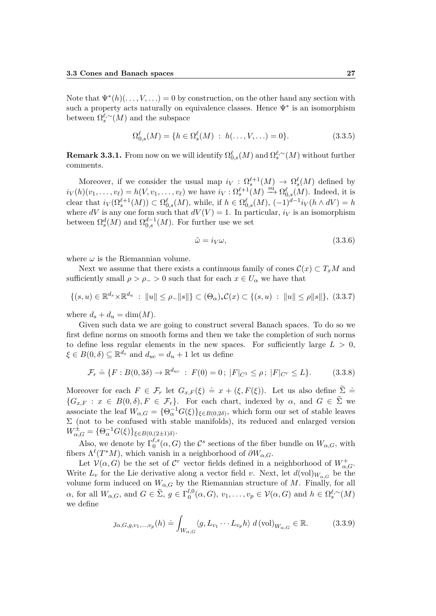Note that  $\Psi^*(h)(\ldots,V,\ldots) = 0$  by construction, on the other hand any section with such a property acts naturally on equivalence classes. Hence  $\Psi^*$  is an isomorphism between  $\Omega_s^{\ell,\sim}(M)$  and the subspace

$$
\Omega_{0,s}^{\ell}(M) = \{ h \in \Omega_s^{\ell}(M) : h(\dots, V, \dots) = 0 \}.
$$
\n(3.3.5)

**Remark 3.3.1.** From now on we will identify  $\Omega_{0,s}^{\ell}(M)$  and  $\Omega_{s}^{\ell,\sim}(M)$  without further comments.

Moreover, if we consider the usual map  $i_V : \Omega_s^{\ell+1}(M) \to \Omega_s^{\ell}(M)$  defined by Moreover, if we consider the usual map  $i_V : S_{\ell_s}^{\ell_s} (M) \to S_{\ell_s}(M)$  defined by  $i_V(h)(v_1, \ldots, v_\ell) = h(V, v_1, \ldots, v_\ell)$  we have  $i_V : \Omega_s^{\ell+1}(M) \xrightarrow{\text{su}} \Omega_{0,s}^{\ell}(M)$ . Indeed, it is clear that  $i_V(\Omega_s^{\ell+1}(M)) \subset \Omega_{0,s}^{\ell}(M)$ , while, if  $h \in \Omega_{0,s}^{\ell}(M)$ ,  $(-1)^{d-1}i_V(h \wedge dV) = h$ where *dV* is any one form such that  $dV(V) = 1$ . In particular,  $i_V$  is an isomorphism between  $\Omega_s^d(M)$  and  $\Omega_{0,s}^{d-1}(M)$ . For further use we set

$$
\tilde{\omega} = i_V \omega, \tag{3.3.6}
$$

where  $\omega$  is the Riemannian volume.

Next we assume that there exists a continuous family of cones  $\mathcal{C}(x) \subset T_xM$  and sufficiently small  $\rho > \rho > 0$  such that for each  $x \in U_\alpha$  we have that

$$
\{(s, u) \in \mathbb{R}^{d_s} \times \mathbb{R}^{d_u} : ||u|| \le \rho_- ||s||\} \subset (\Theta_\alpha)_* \mathcal{C}(x) \subset \{(s, u) : ||u|| \le \rho ||s||\}, \tag{3.3.7}
$$

where  $d_s + d_u = \dim(M)$ .

Given such data we are going to construct several Banach spaces. To do so we first define norms on smooth forms and then we take the completion of such norms to define less regular elements in the new spaces. For sufficiently large  $L > 0$ ,  $\xi \in B(0, \delta) \subseteq \mathbb{R}^{d_s}$  and  $d_{uc} = d_u + 1$  let us define

$$
\mathcal{F}_r \doteq \{ F : B(0, 3\delta) \to \mathbb{R}^{d_{uc}} : F(0) = 0 ; \ |F|_{C^1} \le \rho ; \ |F|_{C^r} \le L \}.
$$
 (3.3.8)

Moreover for each  $F \in \mathcal{F}_r$  let  $G_{x,F}(\xi) \doteq x + (\xi, F(\xi))$ . Let us also define  $\sum_{n=1}^{\infty}$  ${G_{x,F} : x \in B(0, \delta), F \in \mathcal{F}_r}$ . For each chart, indexed by  $\alpha$ , and  $G \in \tilde{\Sigma}$  we associate the leaf  $W_{\alpha,G} = {\Theta_{\alpha}^{-1}G(\xi)}_{\xi \in B(0,2\delta)}$ , which form our set of stable leaves  $\Sigma$  (not to be confused with stable manifolds), its reduced and enlarged version  $W^{\pm}_{\alpha,G} = {\Theta_{\alpha}^{-1}G(\xi)}_{\xi \in B(0,(2 \pm 1)\delta)}.$ 

Also, we denote by  $\Gamma_0^{\ell,s}$  $\binom{\ell, s}{0}$  (*α, G*) the *C*<sup>*s*</sup> sections of the fiber bundle on  $W_{\alpha, G}$ , with fibers  $\Lambda^{\ell}(T^*M)$ , which vanish in a neighborhood of  $\partial W_{\alpha,G}$ .

Let  $\mathcal{V}(\alpha, G)$  be the set of  $\mathcal{C}^r$  vector fields defined in a neighborhood of  $W^+_{\alpha, G}$ . Write  $L_v$  for the Lie derivative along a vector field v. Next, let  $d(\text{vol})_{W_{\alpha,G}}$  be the volume form induced on  $W_{\alpha,G}$  by the Riemannian structure of *M*. Finally, for all  $\alpha$ , for all  $W_{\alpha,G}$ , and  $G \in \tilde{\Sigma}$ ,  $g \in \Gamma_0^{l,0}$  $\mathcal{U}_0^{l,0}(\alpha, G), v_1, \ldots, v_p \in \mathcal{V}(\alpha, G)$  and  $h \in \Omega_s^{\ell, \sim}(M)$ we define

$$
\jmath_{\alpha,G,g,v_1,\dots,v_p}(h) \doteq \int_{W_{\alpha,G}} \langle g, L_{v_1} \cdots L_{v_p} h \rangle \ d(\text{vol})_{W_{\alpha,G}} \in \mathbb{R}.
$$
 (3.3.9)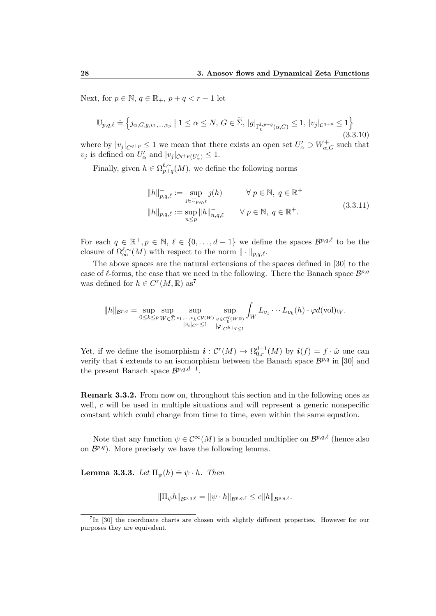Next, for  $p \in \mathbb{N}$ ,  $q \in \mathbb{R}_+$ ,  $p + q < r - 1$  let

$$
\mathbb{U}_{p,q,\ell} \doteq \left\{ \jmath_{\alpha,G,g,v_1,\dots,v_p} \mid 1 \leq \alpha \leq N, \, G \in \widetilde{\Sigma}, \, |g|_{\Gamma_0^{l,p+q}(\alpha,G)} \leq 1, \, |v_j|_{\mathcal{C}^{q+p}} \leq 1 \right\}
$$
\n(3.3.10)

where by  $|v_j|_{C^{q+p}} \leq 1$  we mean that there exists an open set  $U'_\alpha \supset W^+_{\alpha,G}$  such that *v*<sub>*j*</sub> is defined on  $U'_{\alpha}$  and  $|v_j|_{C^{q+p}(U'_{\alpha})} \leq 1$ .

Finally, given  $h \in \Omega_{n+\alpha}^{\ell,\sim}$  $p_{p+q}^{\ell,\sim}(M)$ , we define the following norms

$$
||h||_{p,q,\ell}^- := \sup_{j \in \mathbb{U}_{p,q,\ell}} \jmath(h) \qquad \forall p \in \mathbb{N}, q \in \mathbb{R}^+
$$
  

$$
||h||_{p,q,\ell} := \sup_{n \le p} ||h||_{n,q,\ell}^- \qquad \forall p \in \mathbb{N}, q \in \mathbb{R}^+.
$$
 (3.3.11)

For each  $q \in \mathbb{R}^+, p \in \mathbb{N}, \ell \in \{0, \ldots, d-1\}$  we define the spaces  $\mathcal{B}^{p,q,\ell}$  to be the closure of  $\Omega_{\infty}^{\ell,\sim}(M)$  with respect to the norm  $\|\cdot\|_{p,q,\ell}$ .

The above spaces are the natural extensions of the spaces defined in [30] to the case of  $\ell$ -forms, the case that we need in the following. There the Banach space  $\mathcal{B}^{p,q}$ was defined for  $h \in C^{r}(M,\mathbb{R})$  as<sup>7</sup>

$$
||h||_{\mathcal{B}^{p,q}} = \sup_{0 \leq k \leq p} \sup_{W \in \tilde{\Sigma}} \sup_{\substack{v_1, \ldots, v_k \in \mathcal{V}(W) \\ |v_i|_{C^r} \leq 1}} \sup_{\varphi \in C_0^q(W, \mathbb{R})} \int_W L_{v_1} \cdots L_{v_k}(h) \cdot \varphi d(\mathrm{vol})_W.
$$

Yet, if we define the isomorphism  $\mathbf{i}: C^{r}(M) \to \Omega_{0,r}^{d-1}(M)$  by  $\mathbf{i}(f) = f \cdot \tilde{\omega}$  one can verify that *i* extends to an isomorphism between the Banach space  $\mathcal{B}^{p,q}$  in [30] and the present Banach space  $\mathcal{B}^{p,q,d-1}$ .

**Remark 3.3.2.** From now on, throughout this section and in the following ones as well, *c* will be used in multiple situations and will represent a generic nonspecific constant which could change from time to time, even within the same equation.

Note that any function  $\psi \in C^{\infty}(M)$  is a bounded multiplier on  $\mathcal{B}^{p,q,\ell}$  (hence also on  $\mathcal{B}^{p,q}$ ). More precisely we have the following lemma.

**Lemma 3.3.3.** *Let*  $\Pi_{\psi}(h) \doteq \psi \cdot h$ *. Then* 

$$
\|\Pi_{\psi}h\|_{\mathcal{B}^{p,q,\ell}} = \|\psi \cdot h\|_{\mathcal{B}^{p,q,\ell}} \leq c\|h\|_{\mathcal{B}^{p,q,\ell}}.
$$

<sup>&</sup>lt;sup>7</sup>In [30] the coordinate charts are chosen with slightly different properties. However for our purposes they are equivalent.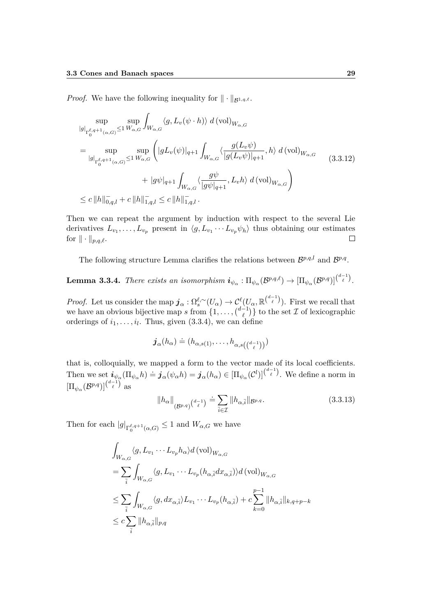*Proof.* We have the following inequality for  $\|\cdot\|_{\mathcal{B}^{1,q,\ell}}$ .

$$
\sup_{|g|_{\Gamma_{0}^{\ell,q+1}(\alpha,G)}\leq 1} \sup_{W_{\alpha,G}} \int_{W_{\alpha,G}} \langle g, L_{v}(\psi \cdot h) \rangle d(\text{vol})_{W_{\alpha,G}} \n= \sup_{|g|_{\Gamma_{0}^{\ell,q+1}(\alpha,G)}\leq 1} \sup_{W_{\alpha,G}} \left( |gL_{v}(\psi)|_{q+1} \int_{W_{\alpha,G}} \langle \frac{g(L_{v}\psi)}{|g(L_{v}\psi)|_{q+1}}, h \rangle d(\text{vol})_{W_{\alpha,G}} \right) \n+ |g\psi|_{q+1} \int_{W_{\alpha,G}} \langle \frac{g\psi}{|g\psi|_{q+1}}, L_{v}h \rangle d(\text{vol})_{W_{\alpha,G}} \right) \n\leq c \|h\|_{0,q,l}^{-} + c \|h\|_{1,q,l}^{-} \leq c \|h\|_{1,q,l}^{-}.
$$
\n(3.3.12)

Then we can repeat the argument by induction with respect to the several Lie derivatives  $L_{v_1}, \ldots, L_{v_p}$  present in  $\langle g, L_{v_1} \cdots L_{v_p} \psi_h \rangle$  thus obtaining our estimates for  $\|\cdot\|_{p,q,\ell}$ .  $\Box$ 

The following structure Lemma clarifies the relations between  $\mathcal{B}^{p,q,l}$  and  $\mathcal{B}^{p,q}$ .

 $\mathbf{Lemma \ 3.3.4.}$  *There exists an isomorphism*  $\boldsymbol{i}_{\psi_{\alpha}} : \Pi_{\psi_{\alpha}}(\mathcal{B}^{p,q,\ell}) \rightarrow [\Pi_{\psi_{\alpha}}(\mathcal{B}^{p,q})]^{(\frac{d-1}{\ell})}$ .

*Proof.* Let us consider the map  $j_{\alpha}: \Omega_s^{\ell, \sim}(U_{\alpha}) \to C_{\ell}^{\ell}(U_{\alpha}, \mathbb{R}^{\binom{d-1}{\ell}})$ . First we recall that we have an obvious bijective map *s* from  $\{1, \ldots, \binom{d-1}{\ell}\}$  $\begin{bmatrix} -1 \\ \ell \end{bmatrix}$  to the set  $\mathcal I$  of lexicographic orderings of  $i_1, \ldots, i_l$ . Thus, given  $(3.3.4)$ , we can define

$$
\boldsymbol{j}_{\alpha}(h_{\alpha}) \doteq (h_{\alpha,s(1)}, \ldots, h_{\alpha,s\left(\binom{d-1}{\ell}\right)})
$$

that is, colloquially, we mapped a form to the vector made of its local coefficients. Then we set  $\mathbf{i}_{\psi_{\alpha}}(\Pi_{\psi_{\alpha}}h) \doteq \mathbf{j}_{\alpha}(\psi_{\alpha}h) = \mathbf{j}_{\alpha}(h_{\alpha}) \in [\Pi_{\psi_{\alpha}}(C^l)]^{\binom{d-1}{\ell}}$ . We define a norm in  $\left[\Pi_{\psi_\alpha}(\mathcal{B}^{p,q})\right]^{\binom{d-1}{\ell}}$  as

$$
||h_{\alpha}||_{(\mathcal{B}^{p,q})}\left(\begin{smallmatrix}d-1\\ \ell\end{smallmatrix}\right)} \doteq \sum_{\overline{i}\in\mathcal{I}}||h_{\alpha,\overline{i}}||_{\mathcal{B}^{p,q}}.\tag{3.3.13}
$$

Then for each  $|g|_{\Gamma_0^{\ell,q+1}(\alpha,G)} \leq 1$  and  $W_{\alpha,G}$  we have

$$
\int_{W_{\alpha,G}} \langle g, L_{v_1} \cdots L_{v_p} h_{\alpha} \rangle d \text{ (vol)}_{W_{\alpha,G}} \n= \sum_{\overline{i}} \int_{W_{\alpha,G}} \langle g, L_{v_1} \cdots L_{v_p} (h_{\alpha,\overline{i}} dx_{\alpha,\overline{i}}) \rangle d \text{ (vol)}_{W_{\alpha,G}} \n\leq \sum_{\overline{i}} \int_{W_{\alpha,G}} \langle g, dx_{\alpha,\overline{i}} \rangle L_{v_1} \cdots L_{v_p} (h_{\alpha,\overline{i}}) + c \sum_{k=0}^{p-1} ||h_{\alpha,\overline{i}}||_{k,q+p-k} \n\leq c \sum_{\overline{i}} ||h_{\alpha,\overline{i}}||_{p,q}
$$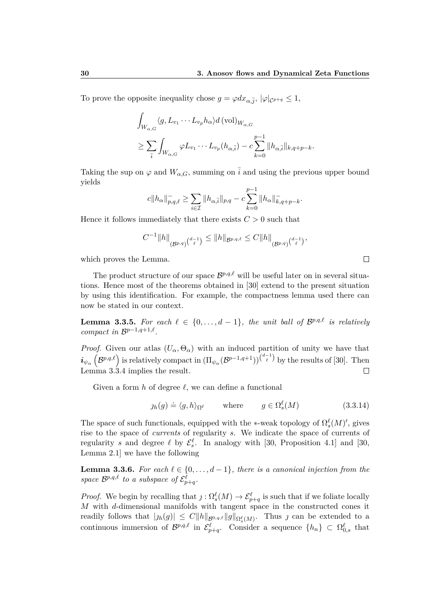To prove the opposite inequality chose  $g = \varphi dx_{\alpha, \bar{j}}, |\varphi|_{\mathcal{C}^{p+q}} \leq 1$ ,

$$
\int_{W_{\alpha,G}} \langle g, L_{v_1} \cdots L_{v_p} h_{\alpha} \rangle d \left( \text{vol} \right)_{W_{\alpha,G}} \n\ge \sum_{\bar{i}} \int_{W_{\alpha,G}} \varphi L_{v_1} \cdots L_{v_p} (h_{\alpha,\bar{i}}) - c \sum_{k=0}^{p-1} ||h_{\alpha,\bar{i}}||_{k,q+p-k}.
$$

Taking the sup on  $\varphi$  and  $W_{\alpha,G}$ , summing on  $\overline{i}$  and using the previous upper bound yields

$$
c||h_{\alpha}||_{p,q,\ell}^{-} \geq \sum_{i \in \mathcal{I}} ||h_{\alpha,\overline{i}}||_{p,q} - c \sum_{k=0}^{p-1} ||h_{\alpha}||_{k,q+p-k}^{-}.
$$

Hence it follows immediately that there exists  $C > 0$  such that

$$
C^{-1}||h||_{(\mathcal{B}^{p,q})^{(d-1})} \leq ||h||_{\mathcal{B}^{p,q,\ell}} \leq C||h||_{(\mathcal{B}^{p,q})^{(d-1)}},
$$

which proves the Lemma.

The product structure of our space  $\mathcal{B}^{p,q,\ell}$  will be useful later on in several situations. Hence most of the theorems obtained in [30] extend to the present situation by using this identification. For example, the compactness lemma used there can now be stated in our context.

**Lemma 3.3.5.** For each  $\ell \in \{0, \ldots, d-1\}$ , the unit ball of  $\mathcal{B}^{p,q,\ell}$  is relatively *compact in*  $\mathcal{B}^{p-1,q+1,\ell}$ *.* 

*Proof.* Given our atlas  $(U_{\alpha}, \Theta_{\alpha})$  with an induced partition of unity we have that  $i_{\psi_{\alpha}}(\mathcal{B}^{p,q,\ell})$  is relatively compact in  $(\Pi_{\psi_{\alpha}}(\mathcal{B}^{p-1,q+1}))^{(\frac{d-1}{\ell})}$  by the results of [30]. Then Lemma 3.3.4 implies the result.  $\Box$ 

Given a form  $h$  of degree  $\ell$ , we can define a functional

$$
g_h(g) \doteq \langle g, h \rangle_{\Omega^{\ell}} \quad \text{where} \quad g \in \Omega_s^{\ell}(M) \tag{3.3.14}
$$

The space of such functionals, equipped with the  $\ast$ -weak topology of  $\Omega_s^{\ell}(M)$ ', gives rise to the space of *currents* of regularity *s*. We indicate the space of currents of regularity *s* and degree  $\ell$  by  $\mathcal{E}_{s}^{\ell}$ . In analogy with [30, Proposition 4.1] and [30, Lemma 2.1] we have the following

**Lemma 3.3.6.** *For each*  $\ell \in \{0, \ldots, d-1\}$ *, there is a canonical injection from the* space  $\mathcal{B}^{p,q,\ell}$  to a subspace of  $\mathcal{E}^{\ell}_{p+q}$ .

*Proof.* We begin by recalling that  $j$  :  $\Omega_s^{\ell}(M) \to \mathcal{E}_{p+q}^{\ell}$  is such that if we foliate locally *M* with *d*-dimensional manifolds with tangent space in the constructed cones it readily follows that  $|j_h(g)| \leq C ||h||_{\mathcal{B}^{0,q,\ell}} ||g||_{\Omega_s^{\ell}(M)}$ . Thus j can be extended to a continuous immersion of  $\mathcal{B}^{p,q,\ell}$  in  $\mathcal{E}^{\ell}_{p+q}$ . Consider a sequence  $\{h_n\} \subset \Omega^{\ell}_{0,s}$  that

 $\Box$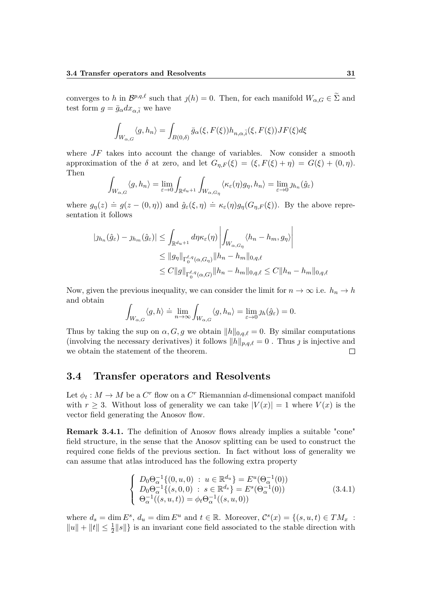converges to *h* in  $\mathcal{B}^{p,q,\ell}$  such that  $\jmath(h) = 0$ . Then, for each manifold  $W_{\alpha,G} \in \widetilde{\Sigma}$  and test form  $g = \bar{g}_{\alpha} dx_{\alpha}$ <sup>*i*</sup> we have

$$
\int_{W_{\alpha,G}} \langle g, h_n \rangle = \int_{B(0,\delta)} \bar{g}_{\alpha}(\xi, F(\xi)) h_{n,\alpha,\bar{i}}(\xi, F(\xi)) JF(\xi) d\xi
$$

where  $JF$  takes into account the change of variables. Now consider a smooth approximation of the  $\delta$  at zero, and let  $G_{\eta,F}(\xi) = (\xi, F(\xi) + \eta) = G(\xi) + (0, \eta)$ . Then

$$
\int_{W_{\alpha,G}} \langle g, h_n \rangle = \lim_{\varepsilon \to 0} \int_{\mathbb{R}^{d_u+1}} \int_{W_{\alpha,G_\eta}} \langle \kappa_{\varepsilon}(\eta) g_{\eta}, h_n \rangle = \lim_{\varepsilon \to 0} \eta_{h_n}(\hat{g}_{\varepsilon})
$$

where  $g_{\eta}(z) \doteq g(z - (0, \eta))$  and  $\hat{g}_{\varepsilon}(\xi, \eta) \doteq \kappa_{\varepsilon}(\eta) g_{\eta}(G_{\eta, F}(\xi))$ . By the above representation it follows

$$
|j_{h_n}(\hat{g}_{\varepsilon}) - j_{h_m}(\hat{g}_{\varepsilon})| \leq \int_{\mathbb{R}^{d_u+1}} d\eta \kappa_{\varepsilon}(\eta) \left| \int_{W_{\alpha,G_\eta}} \langle h_n - h_m, g_\eta \rangle \right|
$$
  

$$
\leq ||g_\eta||_{\Gamma_0^{\ell,q}(\alpha,G_\eta)} ||h_n - h_m||_{0,q,\ell}
$$
  

$$
\leq C ||g||_{\Gamma_0^{\ell,q}(\alpha,G)} ||h_n - h_m||_{0,q,\ell} \leq C ||h_n - h_m||_{0,q,\ell}
$$

Now, given the previous inequality, we can consider the limit for  $n \to \infty$  i.e.  $h_n \to h$ and obtain

$$
\int_{W_{\alpha,G}} \langle g, h \rangle \doteq \lim_{n \to \infty} \int_{W_{\alpha,G}} \langle g, h_n \rangle = \lim_{\varepsilon \to 0} \eta_h(\hat{g}_{\varepsilon}) = 0.
$$

Thus by taking the sup on  $\alpha$ , G, g we obtain  $||h||_{0,q,\ell} = 0$ . By similar computations (involving the necessary derivatives) it follows  $||h||_{p,q,\ell} = 0$ . Thus *j* is injective and we obtain the statement of the theorem.  $\Box$ 

#### **3.4 Transfer operators and Resolvents**

Let  $\phi_t: M \to M$  be a  $C^r$  flow on a  $C^r$  Riemannian *d*-dimensional compact manifold with  $r \geq 3$ . Without loss of generality we can take  $|V(x)| = 1$  where  $V(x)$  is the vector field generating the Anosov flow.

**Remark 3.4.1.** The definition of Anosov flows already implies a suitable "cone" field structure, in the sense that the Anosov splitting can be used to construct the required cone fields of the previous section. In fact without loss of generality we can assume that atlas introduced has the following extra property

$$
\begin{cases}\nD_0 \Theta_{\alpha}^{-1} \{(0, u, 0) : u \in \mathbb{R}^{d_u}\} = E^u(\Theta_{\alpha}^{-1}(0)) \\
D_0 \Theta_{\alpha}^{-1} \{(s, 0, 0) : s \in \mathbb{R}^{d_s}\} = E^s(\Theta_{\alpha}^{-1}(0)) \\
\Theta_{\alpha}^{-1}((s, u, t)) = \phi_t \Theta_{\alpha}^{-1}((s, u, 0))\n\end{cases}
$$
\n(3.4.1)

where  $d_s = \dim E^s$ ,  $d_u = \dim E^u$  and  $t \in \mathbb{R}$ . Moreover,  $\mathcal{C}^s(x) = \{(s, u, t) \in TM_x$ :  $||u|| + ||t|| \leq \frac{1}{2}||s||$  is an invariant cone field associated to the stable direction with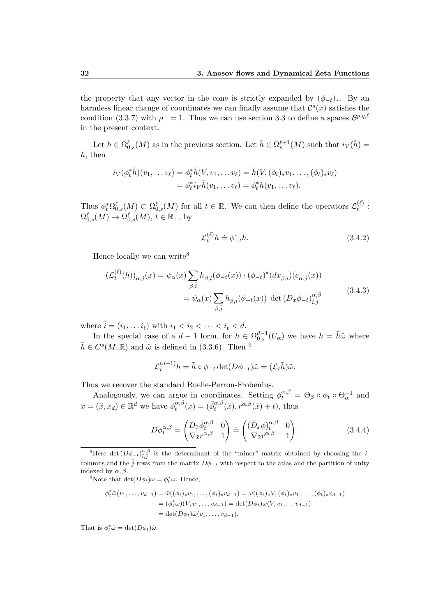the property that any vector in the cone is strictly expanded by  $(\phi_{-t})_*$ . By an harmless linear change of coordinates we can finally assume that  $\mathcal{C}^s(x)$  satisfies the condition (3.3.7) with  $\rho_$  = 1. Thus we can use section 3.3 to define a spaces  $\mathcal{B}^{p,q,\ell}$ in the present context.

Let  $h \in \Omega_{0,s}^{\ell}(M)$  as in the previous section. Let  $\tilde{h} \in \Omega_s^{\ell+1}(M)$  such that  $i_V(\tilde{h}) =$ *h*, then

$$
i_V(\phi_t^*\tilde{h})(v_1,\ldots v_\ell) = \phi_t^*\tilde{h}(V,v_1,\ldots v_\ell) = \tilde{h}(V,(\phi_t)_*v_1,\ldots,(\phi_t)_*v_\ell)
$$
  
= 
$$
\phi_t^*i_V\tilde{h}(v_1,\ldots v_\ell) = \phi_t^*h(v_1,\ldots v_\ell).
$$

Thus  $\phi_t^* \Omega_{0,s}^{\ell}(M) \subset \Omega_{0,s}^{\ell}(M)$  for all  $t \in \mathbb{R}$ . We can then define the operators  $\mathcal{L}_t^{(\ell)}$  $\stackrel{(t)}{t}$ :  $\Omega_{0,s}^{\ell}(M) \to \Omega_{0,s}^{\ell}(M), t \in \mathbb{R}_+,$  by

$$
\mathcal{L}_t^{(\ell)} h \doteq \phi_{-t}^* h. \tag{3.4.2}
$$

Hence locally we can write<sup>8</sup>

$$
\begin{split} (\mathcal{L}_{t}^{(\ell)}(h))_{\alpha,\bar{j}}(x) &= \psi_{\alpha}(x) \sum_{\beta,\bar{i}} h_{\beta,\bar{i}}(\phi_{-t}(x)) \cdot (\phi_{-t})^{*}(dx_{\beta,\bar{i}})(e_{\alpha,\bar{j}}(x)) \\ &= \psi_{\alpha}(x) \sum_{\beta,\bar{i}} h_{\beta,\bar{i}}(\phi_{-t}(x)) \, \det\left(D_{x}\phi_{-t}\right)_{\bar{i},\bar{j}}^{\alpha,\beta} \end{split} \tag{3.4.3}
$$

where  $\bar{i} = (i_1, \ldots i_\ell)$  with  $i_1 < i_2 < \cdots < i_\ell < d$ .

In the special case of a  $d-1$  form, for  $h \in \Omega_{0,s}^{d-1}(U_\alpha)$  we have  $h = \bar{h}\tilde{\omega}$  where  $\bar{h} \in C^{s}(M,\mathbb{R})$  and  $\tilde{\omega}$  is defined in (3.3.6). Then <sup>9</sup>

$$
\mathcal{L}_t^{(d-1)} h = \bar{h} \circ \phi_{-t} \det(D\phi_{-t}) \tilde{\omega} = (\mathcal{L}_t \bar{h}) \tilde{\omega}.
$$

Thus we recover the standard Ruelle-Perron-Frobenius.

Analogously, we can argue in coordinates. Setting  $\phi_t^{\alpha,\beta} = \Theta_\beta \circ \phi_t \circ \Theta_\alpha^{-1}$  and  $x = (\tilde{x}, x_d) \in \mathbb{R}^d$  we have  $\phi_t^{\alpha, \beta}$  $t_t^{\alpha,\beta}(x) = (\tilde{\phi}_t^{\alpha,\beta}(\tilde{x}), r^{\alpha,\beta}(\tilde{x}) + t)$ , thus

$$
D\phi_t^{\alpha,\beta} = \begin{pmatrix} D_{\tilde{x}}\tilde{\phi}_t^{\alpha,\beta} & 0\\ \nabla_{\tilde{x}}r^{\alpha,\beta} & 1 \end{pmatrix} \doteq \begin{pmatrix} (\tilde{D}_x\phi)_t^{\alpha,\beta} & 0\\ \nabla_{\tilde{x}}r^{\alpha,\beta} & 1 \end{pmatrix} . \tag{3.4.4}
$$

<sup>9</sup>Note that  $\det(D\phi_t)\omega = \phi_t^*\omega$ . Hence,

$$
\phi_t^* \tilde{\omega}(v_1, \dots, v_{d-1}) = \tilde{\omega}((\phi_t)_* v_1, \dots, (\phi_t)_* v_{d-1}) = \omega((\phi_t)_* V, (\phi_t)_* v_1, \dots, (\phi_t)_* v_{d-1})
$$
  
=  $(\phi_t^* \omega)(V, v_1, \dots, v_{d-1}) = \det(D\phi_t) \omega(V, v_1, \dots, v_{d-1})$   
=  $\det(D\phi_t) \tilde{\omega}(v_1, \dots, v_{d-1}).$ 

That is  $\phi_t^* \tilde{\omega} = \det(D\phi_t)\tilde{\omega}$ .

<sup>&</sup>lt;sup>8</sup>Here det  $(D\phi_{-t})_{\tilde{i},\tilde{j}}^{\alpha,\beta}$  is the determinant of the "minor" matrix obtained by choosing the  $\tilde{i}$ columns and the  $\bar{j}$ -rows from the matrix  $D\phi_{-t}$  with respect to the atlas and the partition of unity indexed by  $\alpha, \beta$ .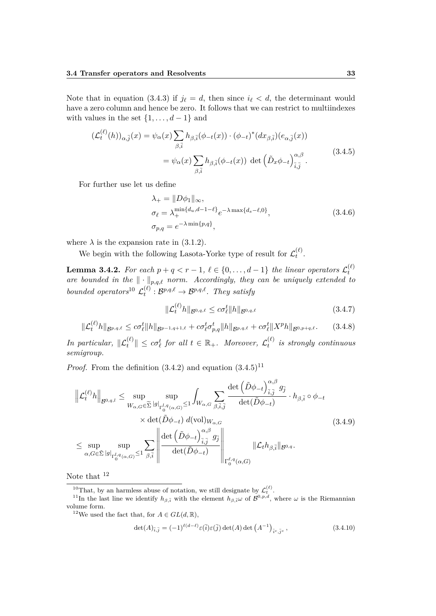Note that in equation (3.4.3) if  $j_{\ell} = d$ , then since  $i_{\ell} < d$ , the determinant would have a zero column and hence be zero. It follows that we can restrict to multiindexes with values in the set  $\{1, \ldots, d-1\}$  and

$$
\begin{split} \left(\mathcal{L}_{t}^{(\ell)}(h)\right)_{\alpha,\bar{j}}(x) &= \psi_{\alpha}(x) \sum_{\beta,\bar{i}} h_{\beta,\bar{i}}(\phi_{-t}(x)) \cdot (\phi_{-t})^{*}(dx_{\beta,\bar{i}})(e_{\alpha,\bar{j}}(x)) \\ &= \psi_{\alpha}(x) \sum_{\beta,\bar{i}} h_{\beta,\bar{i}}(\phi_{-t}(x)) \operatorname{det}\left(\tilde{D}_{x}\phi_{-t}\right)_{\bar{i},\bar{j}}^{\alpha,\beta}. \end{split} \tag{3.4.5}
$$

For further use let us define

$$
\lambda_{+} = ||D\phi_{1}||_{\infty},
$$
  
\n
$$
\sigma_{\ell} = \lambda_{+}^{\min\{d_u, d-1-\ell\}} e^{-\lambda \max\{d_s - \ell, 0\}},
$$
  
\n
$$
\sigma_{p,q} = e^{-\lambda \min\{p,q\}},
$$
\n(3.4.6)

where  $\lambda$  is the expansion rate in (3.1.2).

We begin with the following Lasota-Yorke type of result for  $\mathcal{L}_t^{(\ell)}$  $\frac{t^{(t)}}{t}$ .

**Lemma 3.4.2.** For each  $p + q < r - 1$ ,  $\ell \in \{0, \ldots, d - 1\}$  the linear operators  $\mathcal{L}_t^{(\ell)}$ *t are bounded in the*  $\|\cdot\|_{p,q,\ell}$  *norm. Accordingly, they can be uniquely extended to bounded operators*<sup>10</sup>  $\mathcal{L}_t^{(\ell)}$  $g_t^{(\ell)}$  :  $\mathcal{B}^{p,q,\ell} \to \mathcal{B}^{p,q,\ell}$ . They satisfy

$$
\|\mathcal{L}_t^{(\ell)}h\|_{\mathcal{B}^{0,q,\ell}} \le c\sigma_\ell^t \|h\|_{\mathcal{B}^{0,q,\ell}} \tag{3.4.7}
$$

$$
\|\mathcal{L}_t^{(\ell)}h\|_{\mathcal{B}^{p,q,\ell}} \leq c\sigma_\ell^t \|h\|_{\mathcal{B}^{p-1,q+1,\ell}} + c\sigma_\ell^t \sigma_{p,q}^t \|h\|_{\mathcal{B}^{p,q,\ell}} + c\sigma_\ell^t \|X^p h\|_{\mathcal{B}^{0,p+q,\ell}}.\tag{3.4.8}
$$

*In particular,*  $\|\mathcal{L}_t^{(\ell)}\| \le c\sigma_\ell^t$  *for all*  $t \in \mathbb{R}_+$ *. Moreover,*  $\mathcal{L}_t^{(\ell)}$ *t is strongly continuous semigroup.*

*Proof.* From the definition  $(3.4.2)$  and equation  $(3.4.5)^{11}$ 

$$
\left\| \mathcal{L}_{t}^{(\ell)} h \right\|_{\mathcal{B}^{0,q,l}} \leq \sup_{W_{\alpha,G} \in \widetilde{\Sigma}} \sup_{|g|_{\Gamma_{0}^{l,q}(\alpha,G)} \leq 1} \int_{W_{\alpha,G}} \sum_{\beta,\overline{i},\overline{j}} \frac{\det \left( \tilde{D}\phi_{-t} \right)_{\overline{i},\overline{j}}^{\alpha,\beta} g_{\overline{j}}}{\det(\tilde{D}\phi_{-t})} \cdot h_{\beta,\overline{i}} \circ \phi_{-t} \times \det(\tilde{D}\phi_{-t}) d(\mathrm{vol})_{W_{\alpha,G}} \times \det(\tilde{D}\phi_{-t}) d(\mathrm{vol})_{W_{\alpha,G}} \left( 3.4.9 \right)
$$
\n
$$
\leq \sup_{\alpha,G \in \widetilde{\Sigma}} \sup_{|g|_{\Gamma_{0}^{l,q}(\alpha,G)} \leq 1} \sum_{\beta,\overline{i}} \left\| \frac{\det \left( \tilde{D}\phi_{-t} \right)_{\overline{i},\overline{j}}^{\alpha,\beta} g_{\overline{j}}}{\det(\tilde{D}\phi_{-t})} \right\|_{\Gamma_{0}^{\ell,q}(\alpha,G)} \left\| \mathcal{L}_{t} h_{\beta,\overline{i}} \|_{\mathcal{B}^{0,q}} \right. \tag{3.4.9}
$$

Note that <sup>12</sup>

$$
\det(A)_{\bar{i},\bar{j}} = (-1)^{\ell(d-\ell)} \varepsilon(\bar{i}) \varepsilon(\bar{j}) \det(A) \det(A^{-1})_{\bar{i}^c, \bar{j}^c}, \qquad (3.4.10)
$$

<sup>&</sup>lt;sup>10</sup>That, by an harmless abuse of notation, we still designate by  $\mathcal{L}_{t}^{(\ell)}$ .

<sup>&</sup>lt;sup>11</sup>In the last line we identify  $h_{\beta,\bar{i}}$  with the element  $h_{\beta,\bar{i}}\omega$  of  $\mathcal{B}^{0,p,d}$ , where  $\omega$  is the Riemannian volume form.

<sup>&</sup>lt;sup>12</sup>We used the fact that, for  $A \in GL(d, \mathbb{R})$ ,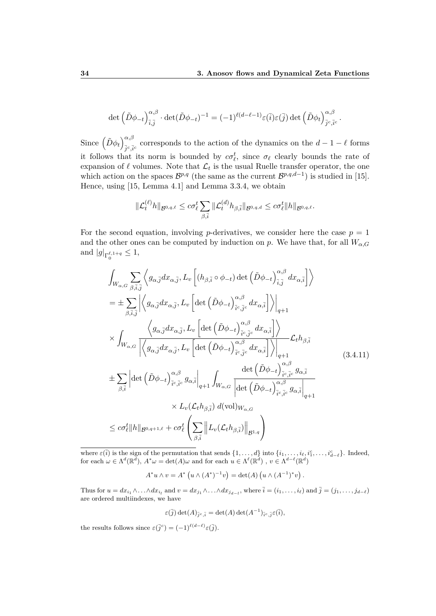$$
\det \left( \tilde{D}\phi_{-t} \right)_{\bar{i},\bar{j}}^{\alpha,\beta} \cdot \det(\tilde{D}\phi_{-t})^{-1} = (-1)^{\ell(d-\ell-1)} \varepsilon(\bar{i}) \varepsilon(\bar{j}) \det \left( \tilde{D}\phi_t \right)_{\bar{j}^c,\bar{i}^c}^{\alpha,\beta}.
$$

Since  $\left(\tilde{D}\phi_t\right)_{\tilde{L}c}^{\alpha,\beta}$  $\overline{\hat{j}}^c$ , $\overline{i}^c$  corresponds to the action of the dynamics on the  $d-1-\ell$  forms it follows that its norm is bounded by  $c\sigma_\ell^t$ , since  $\sigma_\ell$  clearly bounds the rate of expansion of  $\ell$  volumes. Note that  $\mathcal{L}_t$  is the usual Ruelle transfer operator, the one which action on the spaces  $\mathcal{B}^{p,q}$  (the same as the current  $\mathcal{B}^{p,q,d-1}$ ) is studied in [15]. Hence, using [15, Lemma 4.1] and Lemma 3.3.4, we obtain

$$
\|\mathcal{L}_t^{(\ell)}h\|_{\mathcal{B}^{0,q,\ell}} \leq c\sigma_\ell^t\sum_{\beta,\bar{i}}\|\mathcal{L}_t^{(d)}h_{\beta,\bar{i}}\|_{\mathcal{B}^{0,q,d}} \leq c\sigma_\ell^t\|h\|_{\mathcal{B}^{0,q,\ell}}.
$$

For the second equation, involving *p*-derivatives, we consider here the case  $p = 1$ and the other ones can be computed by induction on *p*. We have that, for all  $W_{\alpha,G}$ and  $|g|_{\Gamma_0^{\ell, 1+q}} \le 1$ ,

$$
\int_{W_{\alpha,G}} \sum_{\beta,\bar{i},\bar{j}} \left\langle g_{\alpha,\bar{j}} dx_{\alpha,\bar{j}}, L_v \left[ (h_{\beta,\bar{i}} \circ \phi_{-t}) \det \left( \tilde{D}\phi_{-t} \right)_{\bar{i},\bar{j}}^{\alpha,\beta} dx_{\alpha,\bar{i}} \right] \right\rangle
$$
\n
$$
= \pm \sum_{\beta,\bar{i},\bar{j}} \left| \left\langle g_{\alpha,\bar{j}} dx_{\alpha,\bar{j}}, L_v \left[ \det \left( \tilde{D}\phi_{-t} \right)_{\bar{i}^c,\bar{j}^c}^{\alpha,\beta} dx_{\alpha,\bar{i}} \right] \right\rangle \right|_{q+1}
$$
\n
$$
\times \int_{W_{\alpha,G}} \left| \left\langle g_{\alpha,\bar{j}} dx_{\alpha,\bar{j}}, L_v \left[ \det \left( \tilde{D}\phi_{-t} \right)_{\bar{i}^c,\bar{j}^c}^{\alpha,\beta} dx_{\alpha,\bar{i}} \right] \right\rangle \right|_{q+1} \mathcal{L}_t h_{\beta,\bar{i}}
$$
\n
$$
\pm \sum_{\beta,\bar{i}} \left| \det \left( \tilde{D}\phi_{-t} \right)_{\bar{i}^c,\bar{j}^c}^{\alpha,\beta} g_{\alpha,\bar{i}} \right|_{q+1} \int_{W_{\alpha,G}} \left| \frac{\det \left( \tilde{D}\phi_{-t} \right)_{\bar{i}^c,\bar{j}^c}^{\alpha,\beta}}{\det \left( \tilde{D}\phi_{-t} \right)_{\bar{i}^c,\bar{i}^c}^{\alpha,\beta} g_{\alpha,\bar{i}} \right|_{q+1}} (3.4.11)
$$
\n
$$
\pm \sum_{\beta,\bar{i}} \left| \det \left( \tilde{D}\phi_{-t} \right)_{\bar{i}^c,\bar{i}^c}^{\alpha,\beta} g_{\alpha,\bar{i}} \right|_{q+1} \int_{W_{\alpha,G}} \left| \frac{\det \left( \tilde{D}\phi_{-t} \right)_{\bar{i}^c,\bar{i}^c}^{\alpha,\beta} g_{\alpha,\bar{i}}}{\det \left( \tilde{D}\phi_{-t} \right)_{\bar{i}^c,\bar{i}^c}^{\alpha} g_{\alpha,\bar{i}} \right|_{q+1}} \times L_v(\mathcal{L}_t h_{\beta,\bar{i}}) d(\
$$

where  $\varepsilon(\overline{i})$  is the sign of the permutation that sends  $\{1, \ldots, d\}$  into  $\{i_1, \ldots, i_\ell, i_1^c, \ldots, i_{d-\ell}^c\}$ . Indeed, for each  $\omega \in \Lambda^d(\mathbb{R}^d)$ ,  $A^*\omega = \det(A)\omega$  and for each  $u \in \Lambda^{\ell}(\mathbb{R}^d)$ ,  $v \in \Lambda^{d-\ell}(\mathbb{R}^d)$ 

 $A^* u \wedge v = A^* (u \wedge (A^*)^{-1} v) = \det(A) (u \wedge (A^{-1})^* v).$ 

Thus for  $u = dx_{i_1} \wedge \ldots \wedge dx_{i_l}$  and  $v = dx_{j_1} \wedge \ldots \wedge dx_{j_{d-l}}$ , where  $\overline{i} = (i_1, \ldots, i_\ell)$  and  $\overline{j} = (j_1, \ldots, j_{d-\ell})$ are ordered multiindexes, we have

$$
\varepsilon(\overline{j})\det(A)_{\overline{j}^c,\overline{i}}=\det(A)\det(A^{-1})_{\overline{i}^c,\overline{j}}\varepsilon(\overline{i}),
$$

the results follows since  $\varepsilon(\bar{j}^c) = (-1)^{\ell(d-\ell)} \varepsilon(\bar{j}).$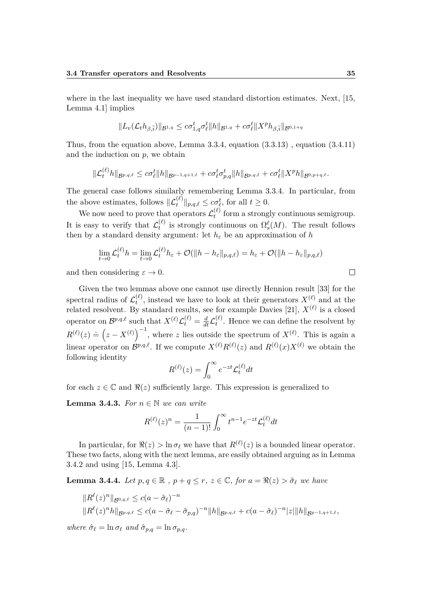where in the last inequality we have used standard distortion estimates. Next, [15, Lemma 4.1] implies

$$
||L_v(\mathcal{L}_t h_{\beta,\bar{i}})||_{\mathcal{B}^{1,q}} \leq c\sigma_{1,q}^t\sigma_{\ell}^t ||h||_{\mathcal{B}^{1,q}} + c\sigma_{\ell}^t ||X^p h_{\beta,\bar{i}}||_{\mathcal{B}^{0,1+q}}
$$

Thus, from the equation above, Lemma 3.3.4, equation  $(3.3.13)$ , equation  $(3.4.11)$ and the induction on *p*, we obtain

$$
\|\mathcal{L}_t^{(\ell)}h\|_{\mathcal{B}^{p,q,\ell}} \leq c\sigma_{\ell}^t \|h\|_{\mathcal{B}^{p-1,q+1,\ell}} + c\sigma_{\ell}^t \sigma_{p,q}^t \|h\|_{\mathcal{B}^{p,q,\ell}} + c\sigma_{\ell}^t \|X^p h\|_{\mathcal{B}^{0,p+q,\ell}}.
$$

The general case follows similarly remembering Lemma 3.3.4. In particular, from the above estimates, follows  $\|\mathcal{L}^{(\ell)}_t\|_{p,q,\ell} \leq c\sigma_{\ell}^t$ , for all  $t \geq 0$ .

We now need to prove that operators  $\mathcal{L}_t^{(\ell)}$  $t_t^{(t)}$  form a strongly continuous semigroup. It is easy to verify that  $\mathcal{L}_t^{(\ell)}$  $\Omega_t^{(\ell)}$  is strongly continuous on  $\Omega_s^{\ell}(M)$ . The result follows then by a standard density argument: let  $h_{\varepsilon}$  be an approximation of *h* 

$$
\lim_{t \to 0} \mathcal{L}_t^{(\ell)} h = \lim_{t \to 0} \mathcal{L}_t^{(\ell)} h_{\varepsilon} + \mathcal{O}(\|h - h_{\varepsilon}\|_{p,q,\ell}) = h_{\varepsilon} + \mathcal{O}(\|h - h_{\varepsilon}\|_{p,q,\ell})
$$

and then considering  $\varepsilon \to 0$ .

Given the two lemmas above one cannot use directly Hennion result [33] for the spectral radius of  $\mathcal{L}^{(\ell)}_t$  $t^{(\ell)}$ , instead we have to look at their generators  $X^{(\ell)}$  and at the related resolvent. By standard results, see for example Davies [21],  $X^{(\ell)}$  is a closed operator on  $\mathcal{B}^{p,q,\ell}$  such that  $X^{(\ell)} \mathcal{L}^{(\ell)}_t = \frac{d}{dt} \mathcal{L}^{(\ell)}_t$  $t_t^{(t)}$ . Hence we can define the resolvent by  $R^{(\ell)}(z) \doteq (z - X^{(\ell)})^{-1}$ , where *z* lies outside the spectrum of  $X^{(\ell)}$ . This is again a linear operator on  $\mathcal{B}^{p,q,\ell}$ . If we compute  $X^{(\ell)}R^{(\ell)}(z)$  and  $R^{(\ell)}(x)X^{(\ell)}$  we obtain the following identity

$$
R^{(\ell)}(z) = \int_0^\infty e^{-zt} \mathcal{L}_t^{(\ell)} dt
$$

for each  $z \in \mathbb{C}$  and  $\Re(z)$  sufficiently large. This expression is generalized to

**Lemma 3.4.3.** *For*  $n \in \mathbb{N}$  *we can write* 

$$
R^{(\ell)}(z)^n = \frac{1}{(n-1)!} \int_0^\infty t^{n-1} e^{-zt} \mathcal{L}_t^{(\ell)} dt
$$

In particular, for  $\Re(z) > \ln \sigma_\ell$  we have that  $R^{(\ell)}(z)$  is a bounded linear operator. These two facts, along with the next lemma, are easily obtained arguing as in Lemma 3.4.2 and using [15, Lemma 4.3].

**Lemma 3.4.4.** *Let*  $p, q \in \mathbb{R}$ ,  $p + q \leq r$ ,  $z \in \mathbb{C}$ , for  $a = \Re(z) > \hat{\sigma}_{\ell}$  we have

$$
||R^{\ell}(z)^{n}||_{\mathcal{B}^{0,q,\ell}} \leq c(a - \hat{\sigma}_{\ell})^{-n}
$$
  

$$
||R^{\ell}(z)^{n}h||_{\mathcal{B}^{p,q,\ell}} \leq c(a - \hat{\sigma}_{\ell} - \hat{\sigma}_{p,q})^{-n}||h||_{\mathcal{B}^{p,q,\ell}} + c(a - \hat{\sigma}_{\ell})^{-n}|z||h||_{\mathcal{B}^{p-1,q+1,\ell}},
$$

 $where \hat{\sigma}_{\ell} = \ln \sigma_{\ell} \text{ and } \hat{\sigma}_{p,q} = \ln \sigma_{p,q}.$ 

 $\Box$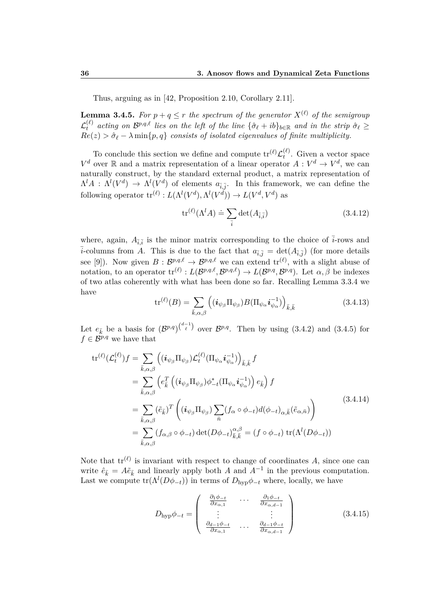Thus, arguing as in [42, Proposition 2.10, Corollary 2.11].

**Lemma 3.4.5.** For  $p + q \leq r$  the spectrum of the generator  $X^{(\ell)}$  of the semigroup  $\mathcal{L}_t^{(\ell)}$  acting on  $\mathcal{B}^{p,q,\ell}$  lies on the left of the line  $\{\hat{\sigma}_\ell + ib\}_{b\in\mathbb{R}}$  and in the strip  $\hat{\sigma}_\ell \geq 0$  $Re(z) > \hat{\sigma}_{\ell} - \lambda \min\{p, q\}$  *consists of isolated eigenvalues of finite multiplicity.* 

To conclude this section we define and compute  $\text{tr}^{(\ell)}\mathcal{L}^{(\ell)}_t$  $t^{(t)}$ . Given a vector space  $V^d$  over R and a matrix representation of a linear operator  $A: V^d \to V^d$ , we can naturally construct, by the standard external product, a matrix representation of  $\Lambda^l A : \Lambda^l(V^d) \to \Lambda^l(V^d)$  of elements  $a_{\bar{i},\bar{j}}$ . In this framework, we can define the following operator  $\mathrm{tr}^{(\ell)} : L(\Lambda^l(V^d), \Lambda^l(V^d)) \to L(V^d, V^d)$  as

$$
\operatorname{tr}^{(\ell)}(\Lambda^l A) \doteq \sum_{\bar{i}} \det(A_{\bar{i},\bar{i}}) \tag{3.4.12}
$$

where, again,  $A_{\overline{i},\overline{i}}$  is the minor matrix corresponding to the choice of  $\overline{i}$ -rows and  $\bar{i}$ -columns from *A*. This is due to the fact that  $a_{\bar{i},\bar{j}} = \det(A_{\bar{i},\bar{j}})$  (for more details see [9]). Now given  $B: \mathcal{B}^{p,q,\ell} \to \mathcal{B}^{p,q,\ell}$  we can extend  $\mathrm{tr}^{(\ell)}$ , with a slight abuse of notation, to an operator  $\mathrm{tr}^{(\ell)}: L(\mathcal{B}^{p,q,\ell}, \mathcal{B}^{p,q,\ell}) \to L(\mathcal{B}^{p,q}, \mathcal{B}^{p,q})$ . Let  $\alpha, \beta$  be indexes of two atlas coherently with what has been done so far. Recalling Lemma 3.3.4 we have

$$
\operatorname{tr}^{(\ell)}(B) = \sum_{\bar{k},\alpha,\beta} \left( (\boldsymbol{i}_{\psi_{\beta}} \Pi_{\psi_{\beta}}) B(\Pi_{\psi_{\alpha}} \boldsymbol{i}_{\psi_{\alpha}}^{-1}) \right)_{\bar{k},\bar{k}} \tag{3.4.13}
$$

Let  $e_{\bar{k}}$  be a basis for  $(\mathcal{B}^{p,q})^{\binom{d-1}{\ell}}$  over  $\mathcal{B}^{p,q}$ . Then by using (3.4.2) and (3.4.5) for  $f \in \mathcal{B}^{p,q}$  we have that

$$
\mathrm{tr}^{(\ell)}(\mathcal{L}_{t}^{(\ell)})f = \sum_{\bar{k},\alpha,\beta} \left( (\boldsymbol{i}_{\psi_{\beta}} \Pi_{\psi_{\beta}}) \mathcal{L}_{t}^{(\ell)} (\Pi_{\psi_{\alpha}} \boldsymbol{i}_{\psi_{\alpha}}^{-1}) \right)_{\bar{k},\bar{k}} f
$$
  
\n
$$
= \sum_{\bar{k},\alpha,\beta} \left( e_{\bar{k}}^{T} \left( (\boldsymbol{i}_{\psi_{\beta}} \Pi_{\psi_{\beta}}) \phi_{-t}^{*} (\Pi_{\psi_{\alpha}} \boldsymbol{i}_{\psi_{\alpha}}^{-1}) \right) e_{\bar{k}} \right) f
$$
  
\n
$$
= \sum_{\bar{k},\alpha,\beta} (\tilde{e}_{\bar{k}})^{T} \left( (\boldsymbol{i}_{\psi_{\beta}} \Pi_{\psi_{\beta}}) \sum_{\bar{n}} (f_{\alpha} \circ \phi_{-t}) d(\phi_{-t})_{\alpha,\bar{k}} (\tilde{e}_{\alpha,\bar{n}}) \right)
$$
  
\n
$$
= \sum_{\bar{k},\alpha,\beta} (f_{\alpha,\beta} \circ \phi_{-t}) \det(D\phi_{-t})_{\bar{k},\bar{k}}^{\alpha,\beta} = (f \circ \phi_{-t}) \operatorname{tr}(\Lambda^{l}(D\phi_{-t}))
$$
  
\n(3.4.14)

Note that  $tr^{(\ell)}$  is invariant with respect to change of coordinates A, since one can write  $\hat{e}_{\bar{k}} = A \tilde{e}_{\bar{k}}$  and linearly apply both *A* and  $A^{-1}$  in the previous computation. Last we compute  $tr(\Lambda^{l}(D\phi_{-t}))$  in terms of  $D_{hyp}\phi_{-t}$  where, locally, we have

$$
D_{\text{hyp}}\phi_{-t} = \begin{pmatrix} \frac{\partial_1 \phi_{-t}}{\partial x_{\alpha,1}} & \cdots & \frac{\partial_1 \phi_{-t}}{\partial x_{\alpha,d-1}} \\ \vdots & & \vdots \\ \frac{\partial_{d-1} \phi_{-t}}{\partial x_{\alpha,1}} & \cdots & \frac{\partial_{d-1} \phi_{-t}}{\partial x_{\alpha,d-1}} \end{pmatrix}
$$
(3.4.15)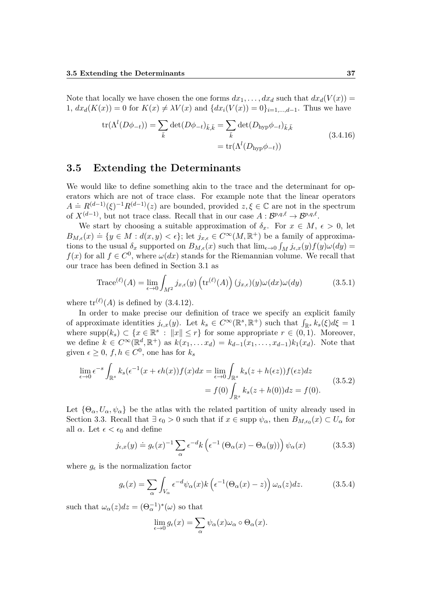Note that locally we have chosen the one forms  $dx_1, \ldots, dx_d$  such that  $dx_d(V(x)) =$ 1,  $dx_d(K(x)) = 0$  for  $K(x) \neq \lambda V(x)$  and  $\{dx_i(V(x)) = 0\}_{i=1,\dots,d-1}$ . Thus we have

$$
\text{tr}(\Lambda^{l}(D\phi_{-t})) = \sum_{\bar{k}} \det(D\phi_{-t})_{\bar{k},\bar{k}} = \sum_{\bar{k}} \det(D_{\text{hyp}}\phi_{-t})_{\bar{k},\bar{k}} \n= \text{tr}(\Lambda^{l}(D_{\text{hyp}}\phi_{-t}))
$$
\n(3.4.16)

#### **3.5 Extending the Determinants**

We would like to define something akin to the trace and the determinant for operators which are not of trace class. For example note that the linear operators  $A = R^{(d-1)}(\xi)^{-1}R^{(d-1)}(z)$  are bounded, provided  $z, \xi \in \mathbb{C}$  are not in the spectrum of  $X^{(d-1)}$ , but not trace class. Recall that in our case  $A: \mathcal{B}^{p,q,\ell} \to \mathcal{B}^{p,q,\ell}$ .

We start by choosing a suitable approximation of  $\delta_x$ . For  $x \in M$ ,  $\epsilon > 0$ , let  $B_{M,\epsilon}(x) = \{y \in M : d(x,y) < \epsilon\}$ ; let  $j_{x,\epsilon} \in C^{\infty}(M,\mathbb{R}^+)$  be a family of approximations to the usual  $\delta_x$  supported on  $B_{M,\epsilon}(x)$  such that  $\lim_{\epsilon \to 0} \int_M j_{\epsilon,x}(y) f(y) \omega(dy) =$  $f(x)$  for all  $f \in C^0$ , where  $\omega(dx)$  stands for the Riemannian volume. We recall that our trace has been defined in Section 3.1 as

Trace<sup>(*l*)</sup>(A) = 
$$
\lim_{\epsilon \to 0} \int_{M^2} j_{x,\epsilon}(y) \left( \text{tr}^{(\ell)}(A) \right) (j_{x,\epsilon})(y) \omega(dx) \omega(dy)
$$
 (3.5.1)

where  $\text{tr}^{(\ell)}(A)$  is defined by  $(3.4.12)$ .

In order to make precise our definition of trace we specify an explicit family of approximate identities  $j_{\epsilon,x}(y)$ . Let  $k_s \in C^\infty(\mathbb{R}^s, \mathbb{R}^+)$  such that  $\int_{\mathbb{R}^s} k_s(\xi) d\xi = 1$ where  $\text{supp}(k_s) \subset \{x \in \mathbb{R}^s : ||x|| \leq r\}$  for some appropriate  $r \in (0, 1)$ . Moreover, we define  $k \in C^{\infty}(\mathbb{R}^d, \mathbb{R}^+)$  as  $k(x_1, \ldots, x_d) = k_{d-1}(x_1, \ldots, x_{d-1})k_1(x_d)$ . Note that given  $\epsilon \geq 0$ ,  $f, h \in C^0$ , one has for  $k_s$ 

$$
\lim_{\epsilon \to 0} \epsilon^{-s} \int_{\mathbb{R}^s} k_s(\epsilon^{-1}(x + \epsilon h(x))f(x)dx = \lim_{\epsilon \to 0} \int_{\mathbb{R}^s} k_s(z + h(\epsilon z))f(\epsilon z)dz
$$
  
=  $f(0) \int_{\mathbb{R}^s} k_s(z + h(0))dz = f(0).$  (3.5.2)

Let  ${\Theta_{\alpha}, U_{\alpha}, \psi_{\alpha}}$  be the atlas with the related partition of unity already used in Section 3.3. Recall that  $\exists \epsilon_0 > 0$  such that if  $x \in \text{supp } \psi_\alpha$ , then  $B_{M,\epsilon_0}(x) \subset U_\alpha$  for all  $\alpha$ . Let  $\epsilon < \epsilon_0$  and define

$$
j_{\epsilon,x}(y) \doteq g_{\epsilon}(x)^{-1} \sum_{\alpha} \epsilon^{-d} k \left( \epsilon^{-1} \left( \Theta_{\alpha}(x) - \Theta_{\alpha}(y) \right) \right) \psi_{\alpha}(x) \tag{3.5.3}
$$

where  $g_{\epsilon}$  is the normalization factor

$$
g_{\epsilon}(x) = \sum_{\alpha} \int_{V_{\alpha}} \epsilon^{-d} \psi_{\alpha}(x) k \left( \epsilon^{-1} (\Theta_{\alpha}(x) - z) \right) \omega_{\alpha}(z) dz.
$$
 (3.5.4)

such that  $\omega_{\alpha}(z)dz = (\Theta_{\alpha}^{-1})^*(\omega)$  so that

$$
\lim_{\epsilon \to 0} g_{\epsilon}(x) = \sum_{\alpha} \psi_{\alpha}(x) \omega_{\alpha} \circ \Theta_{\alpha}(x).
$$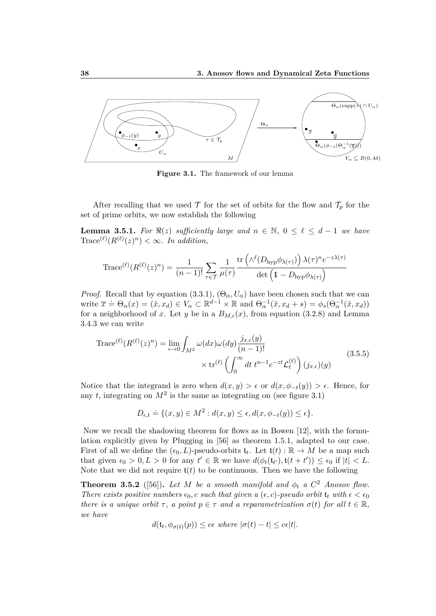

**Figure 3.1.** The framework of our lemma

After recalling that we used  $\mathcal T$  for the set of orbits for the flow and  $\mathcal T_p$  for the set of prime orbits, we now establish the following

**Lemma 3.5.1.** *For*  $\Re(z)$  *sufficiently large and*  $n \in \mathbb{N}$ ,  $0 \le \ell \le d-1$  *we have*  $\text{Trace}^{(\ell)}(R^{(\ell)}(z)^n) < \infty$ . In addition,

$$
\text{Trace}^{(\ell)}(R^{(\ell)}(z)^n) = \frac{1}{(n-1)!} \sum_{\tau \in \mathcal{T}} \frac{1}{\mu(\tau)} \frac{\text{tr}\left(\wedge^{\ell}(D_{\text{hyp}} \phi_{\lambda(\tau)})\right) \lambda(\tau)^n e^{-z\lambda(\tau)}}{\det\left(1 - D_{\text{hyp}} \phi_{\lambda(\tau)}\right)}
$$

*Proof.* Recall that by equation (3.3.1),  $(\Theta_{\alpha}, U_{\alpha})$  have been chosen such that we can write  $\bar{x} \doteq \Theta_{\alpha}(x) = (\tilde{x}, x_d) \in V_{\alpha} \subset \mathbb{R}^{d-1} \times \mathbb{R}$  and  $\Theta_{\alpha}^{-1}(\tilde{x}, x_d + s) = \phi_s(\Theta_{\alpha}^{-1}(\tilde{x}, x_d))$ for a neighborhood of x. Let y be in a  $B_{M,\epsilon}(x)$ , from equation (3.2.8) and Lemma 3.4.3 we can write

$$
\operatorname{Trace}^{(\ell)}(R^{(\ell)}(z)^n) = \lim_{\epsilon \to 0} \int_{M^2} \omega(dx)\omega(dy) \frac{j_{x,\epsilon}(y)}{(n-1)!} \times \operatorname{tr}^{(\ell)}\left(\int_0^\infty dt \ t^{n-1} e^{-zt} \mathcal{L}_t^{(\ell)}\right) (j_{x,\epsilon})(y) \tag{3.5.5}
$$

Notice that the integrand is zero when  $d(x, y) > \epsilon$  or  $d(x, \phi_{-t}(y)) > \epsilon$ . Hence, for any  $t$ , integrating on  $M^2$  is the same as integrating on (see figure 3.1)

$$
D_{\epsilon,t} \doteq \{(x,y) \in M^2 : d(x,y) \le \epsilon, d(x,\phi_{-t}(y)) \le \epsilon\}.
$$

Now we recall the shadowing theorem for flows as in Bowen [12], with the formulation explicitly given by Plugging in [56] as theorem 1*.*5*.*1, adapted to our case. First of all we define the  $(\epsilon_0, L)$ -pseudo-orbits  $\mathfrak{t}_t$ . Let  $\mathfrak{t}(t) : \mathbb{R} \to M$  be a map such that given  $\epsilon_0 > 0, L > 0$  for any  $t' \in \mathbb{R}$  we have  $d(\phi_t(\mathfrak{t}_{t'}), \mathfrak{t}(t + t')) \leq \epsilon_0$  if  $|t| < L$ . Note that we did not require  $f(t)$  to be continuous. Then we have the following

**Theorem 3.5.2** ([56]). Let M be a smooth manifold and  $\phi_t$  a  $C^2$  Anosov flow. *There exists positive numbers*  $\epsilon_0$ , *c such that given a*  $(\epsilon, c)$ *-pseudo orbit*  $\mathfrak{t}_t$  *with*  $\epsilon < \epsilon_0$ *there is a unique orbit*  $\tau$ , *a point*  $p \in \tau$  *and a reparametrization*  $\sigma(t)$  *for all*  $t \in \mathbb{R}$ *, we have*

$$
d(\mathfrak{t}_t, \phi_{\sigma(t)}(p)) \leq c\epsilon \text{ where } |\sigma(t) - t| \leq c\epsilon|t|.
$$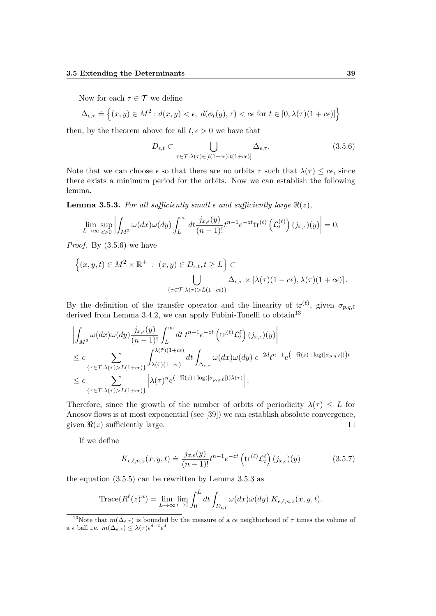Now for each  $\tau \in \mathcal{T}$  we define

$$
\Delta_{\epsilon,\tau} \doteq \left\{ (x,y) \in M^2 : d(x,y) < \epsilon, \ d(\phi_t(y),\tau) < c\epsilon \text{ for } t \in [0, \lambda(\tau)(1+c\epsilon)] \right\}
$$

then, by the theorem above for all  $t, \epsilon > 0$  we have that

$$
D_{\epsilon,t} \subset \bigcup_{\tau \in \mathcal{T}:\lambda(\tau) \in [t(1-c\epsilon), t(1+c\epsilon)]} \Delta_{\epsilon,\tau}.
$$
\n(3.5.6)

Note that we can choose  $\epsilon$  so that there are no orbits  $\tau$  such that  $\lambda(\tau) \leq c\epsilon$ , since there exists a minimum period for the orbits. Now we can establish the following lemma.

**Lemma 3.5.3.** For all sufficiently small  $\epsilon$  and sufficiently large  $\Re(z)$ ,

$$
\lim_{L \to \infty} \sup_{\epsilon > 0} \left| \int_{M^2} \omega(dx) \omega(dy) \int_L^{\infty} dt \frac{j_{x,\epsilon}(y)}{(n-1)!} t^{n-1} e^{-zt} \text{tr}^{(\ell)} \left( \mathcal{L}_t^{(\ell)} \right) (j_{x,\epsilon})(y) \right| = 0.
$$

*Proof.* By (3.5.6) we have

$$
\{(x, y, t) \in M^2 \times \mathbb{R}^+ : (x, y) \in D_{\epsilon, t}, t \ge L\} \subset \bigcup_{\{\tau \in \mathcal{T} : \lambda(\tau) > L(1 - c\epsilon)\}} \Delta_{\epsilon, \tau} \times [\lambda(\tau)(1 - c\epsilon), \lambda(\tau)(1 + c\epsilon)].
$$

By the definition of the transfer operator and the linearity of  $tr^{(\ell)}$ , given  $\sigma_{p,q,\ell}$ derived from Lemma 3.4.2, we can apply Fubini-Tonelli to obtain<sup>13</sup>

$$
\left| \int_{M^2} \omega(dx)\omega(dy) \frac{j_{x,\epsilon}(y)}{(n-1)!} \int_L^{\infty} dt \ t^{n-1} e^{-zt} \left( \text{tr}^{(\ell)} \mathcal{L}_t^{\ell} \right) (j_{x,\epsilon})(y) \right|
$$
  
\n
$$
\leq c \sum_{\{\tau \in \mathcal{T} : \lambda(\tau) > L(1+c\epsilon)\}} \int_{\lambda(\tilde{\tau})(1-c\epsilon)}^{\lambda(\tilde{\tau})(1+c\epsilon)} dt \int_{\Delta_{\epsilon,\tau}} \omega(dx)\omega(dy) \ \epsilon^{-2d} t^{n-1} e^{-\Re(z) + \log(|\sigma_{p,q,\ell}|) t}
$$
  
\n
$$
\leq c \sum_{\{\tau \in \mathcal{T} : \lambda(\tau) > L(1+c\epsilon)\}} \left| \lambda(\tau)^n e^{(-\Re(z) + \log(|\sigma_{p,q,\ell}|))\lambda(\tau)} \right|.
$$

Therefore, since the growth of the number of orbits of periodicity  $\lambda(\tau) \leq L$  for Anosov flows is at most exponential (see [39]) we can establish absolute convergence, given  $\Re(z)$  sufficiently large.  $\Box$ 

If we define

$$
K_{\epsilon,\ell,n,z}(x,y,t) \doteq \frac{j_{x,\epsilon}(y)}{(n-1)!} t^{n-1} e^{-zt} \left( \text{tr}^{(\ell)} \mathcal{L}_t^{\ell} \right) (j_{x,\epsilon})(y) \tag{3.5.7}
$$

the equation (3.5.5) can be rewritten by Lemma 3.5.3 as

Trace
$$
(R^{\ell}(z)^n)
$$
 =  $\lim_{L \to \infty} \lim_{\epsilon \to 0} \int_0^L dt \int_{D_{\epsilon,t}} \omega(dx) \omega(dy) K_{\epsilon,\ell,n,z}(x,y,t).$ 

<sup>&</sup>lt;sup>13</sup>Note that  $m(\Delta_{\epsilon,\tau})$  is bounded by the measure of a *c* neighborhood of  $\tau$  times the volume of  $a \in \text{ball i.e. } m(\Delta_{\epsilon,\tau}) \leq \lambda(\tau) \epsilon^{d-1} \epsilon^d$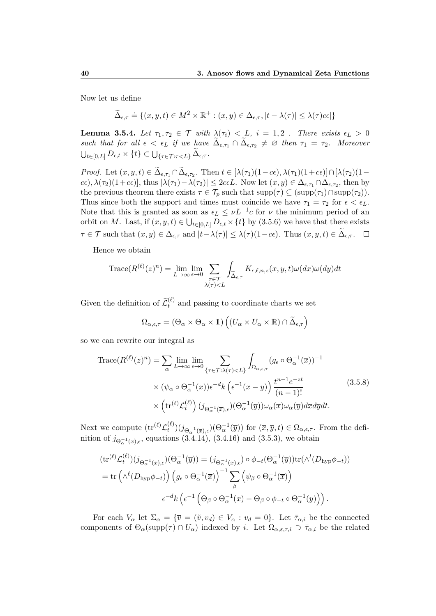Now let us define

$$
\widetilde{\Delta}_{\epsilon,\tau} \doteq \{ (x,y,t) \in M^2 \times \mathbb{R}^+ : (x,y) \in \Delta_{\epsilon,\tau}, |t - \lambda(\tau)| \le \lambda(\tau)c\epsilon | \}
$$

**Lemma 3.5.4.** *Let*  $\tau_1, \tau_2 \in \mathcal{T}$  *with*  $\lambda(\tau_i) < L$ ,  $i = 1, 2$ . *There exists*  $\epsilon_L > 0$  $\int$ *such that for all*  $\epsilon < \epsilon_L$  *if we have*  $\tilde{\Delta}_{\epsilon, \tau_1} \cap \tilde{\Delta}_{\epsilon, \tau_2} \neq \emptyset$  *then*  $\tau_1 = \tau_2$ *. Moreover*  $\bigcup_{t\in [0,L]} D_{\epsilon,t}\times \{t\} \subset \bigcup_{\{\tau\in\mathcal{T}:\tau < L\}} \Delta_{\epsilon,\tau}.$ 

*Proof.* Let  $(x, y, t) \in \Delta_{\epsilon, \tau_1} \cap \Delta_{\epsilon, \tau_2}$ . Then  $t \in [\lambda(\tau_1)(1-c\epsilon), \lambda(\tau_1)(1+c\epsilon)] \cap [\lambda(\tau_2)(1-c\epsilon)]$  $c\epsilon$ ),  $\lambda(\tau_2)(1+c\epsilon)$ , thus  $|\lambda(\tau_1) - \lambda(\tau_2)| \leq 2c\epsilon L$ . Now let  $(x, y) \in \Delta_{\epsilon, \tau_1} \cap \Delta_{\epsilon, \tau_2}$ , then by the previous theorem there exists  $\tau \in \mathcal{T}_p$  such that  $\text{supp}(\tau) \subseteq (\text{supp}(\tau_1) \cap \text{supp}(\tau_2)).$ Thus since both the support and times must coincide we have  $\tau_1 = \tau_2$  for  $\epsilon < \epsilon_L$ . Note that this is granted as soon as  $\epsilon_L \leq \nu L^{-1}c$  for  $\nu$  the minimum period of an orbit on *M*. Last, if  $(x, y, t) \in \bigcup_{t \in [0, L]} D_{\epsilon, t} \times \{t\}$  by  $(3.5.6)$  we have that there exists  $\tau \in \mathcal{T}$  such that  $(x, y) \in \Delta_{\epsilon, \tau}$  and  $|t - \lambda(\tau)| \leq \lambda(\tau)(1 - c\epsilon)$ . Thus  $(x, y, t) \in \Delta_{\epsilon, \tau}$ .

Hence we obtain

$$
\operatorname{Trace}(R^{(\ell)}(z)^n) = \lim_{L \to \infty} \lim_{\epsilon \to 0} \sum_{\substack{\tau \in \mathcal{T} \\ \lambda(\tau) < L}} \int_{\widetilde{\Delta}_{\epsilon,\tau}} K_{\epsilon,\ell,n,z}(x,y,t) \omega(dx) \omega(dy) dt
$$

Given the definition of  $\widetilde{\mathcal{L}}_t^{(\ell)}$  and passing to coordinate charts we set

$$
\Omega_{\alpha,\epsilon,\tau} = (\Theta_{\alpha} \times \Theta_{\alpha} \times \mathbb{1}) \left( (U_{\alpha} \times U_{\alpha} \times \mathbb{R}) \cap \widetilde{\Delta}_{\epsilon,\tau} \right)
$$

so we can rewrite our integral as

$$
\operatorname{Trace}(R^{(\ell)}(z)^n) = \sum_{\alpha} \lim_{L \to \infty} \lim_{\epsilon \to 0} \sum_{\{\tau \in \mathcal{T} : \lambda(\tau) < L\}} \int_{\Omega_{\alpha,\epsilon,\tau}} (g_{\epsilon} \circ \Theta_{\alpha}^{-1}(\overline{x}))^{-1} \times (\psi_{\alpha} \circ \Theta_{\alpha}^{-1}(\overline{x})) \epsilon^{-d} k \left(\epsilon^{-1}(\overline{x} - \overline{y})\right) \frac{t^{n-1} e^{-zt}}{(n-1)!} \times \left(\operatorname{tr}^{(\ell)} \mathcal{L}_t^{(\ell)}\right) (j_{\Theta_{\alpha}^{-1}(\overline{x}),\epsilon}) (\Theta_{\alpha}^{-1}(\overline{y})) \omega_{\alpha}(\overline{x}) \omega_{\alpha}(\overline{y}) d\overline{x} d\overline{y} dt. \tag{3.5.8}
$$

Next we compute  $(\text{tr}^{(\ell)} \mathcal{L}^{(\ell)}_t)$  $(t^{(l)})$  $(j_{\Theta_{\alpha}^{-1}(\overline{x}), \epsilon})$  $(\Theta_{\alpha}^{-1}(\overline{y}))$  for  $(\overline{x}, \overline{y}, t) \in \Omega_{\alpha, \epsilon, \tau}$ . From the definition of  $j_{\Theta_{\alpha}^{-1}(\overline{x}), \epsilon}$ , equations (3.4.14), (3.4.16) and (3.5.3), we obtain

$$
\begin{split} (\text{tr}^{(\ell)} \mathcal{L}_t^{(\ell)}) (j_{\Theta_{\alpha}^{-1}(\overline{x}),\epsilon}) (\Theta_{\alpha}^{-1}(\overline{y})) &= (j_{\Theta_{\alpha}^{-1}(\overline{x}),\epsilon}) \circ \phi_{-t} (\Theta_{\alpha}^{-1}(\overline{y})) \text{tr}(\wedge^l (D_{\text{hyp}} \phi_{-t})) \\ &= \text{tr}\left(\wedge^{\ell} (D_{\text{hyp}} \phi_{-t})\right) \left(g_{\epsilon} \circ \Theta_{\alpha}^{-1}(\overline{x})\right)^{-1} \sum_{\beta} \left(\psi_{\beta} \circ \Theta_{\alpha}^{-1}(\overline{x})\right) \\ &\epsilon^{-d} k \left(\epsilon^{-1} \left(\Theta_{\beta} \circ \Theta_{\alpha}^{-1}(\overline{x}) - \Theta_{\beta} \circ \phi_{-t} \circ \Theta_{\alpha}^{-1}(\overline{y})\right)\right). \end{split}
$$

For each  $V_{\alpha}$  let  $\Sigma_{\alpha} = {\bar{v} - (\tilde{v}, v_d) \in V_{\alpha} : v_d = 0}.$  Let  $\bar{\tau}_{\alpha,i}$  be the connected components of  $\Theta_{\alpha}(\text{supp}(\tau) \cap U_{\alpha})$  indexed by *i*. Let  $\Omega_{\alpha,\varepsilon,\tau,i} \supset \overline{\tau}_{\alpha,i}$  be the related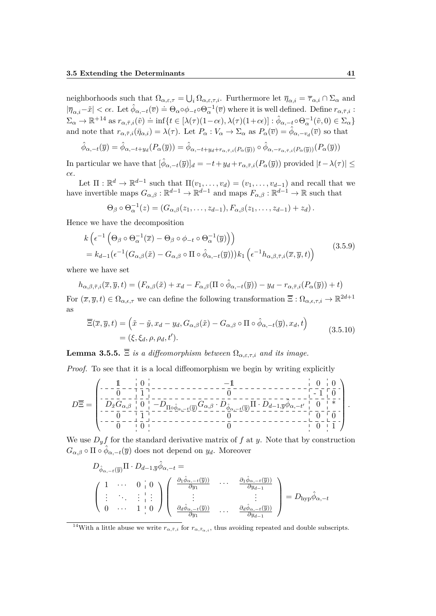neighborhoods such that  $\Omega_{\alpha,\varepsilon,\tau} = \bigcup_i \Omega_{\alpha,\varepsilon,\tau,i}$ . Furthermore let  $\overline{\eta}_{\alpha,i} = \overline{\tau}_{\alpha,i} \cap \Sigma_\alpha$  and  $|\overline{\eta}_{\alpha,i}-\tilde{x}| < c\epsilon$ . Let  $\hat{\phi}_{\alpha,-t}(\overline{v}) = \Theta_{\alpha}\circ\phi_{-t}\circ\Theta_{\alpha}^{-1}(\overline{v})$  where it is well defined. Define  $r_{\alpha,\overline{r},i}$ :  $\Sigma_{\alpha} \to \mathbb{R}^{+14}$  as  $r_{\alpha,\bar{\tau},i}(\tilde{v}) \doteq \inf\{t \in [\lambda(\tau)(1-c\epsilon), \lambda(\tau)(1+c\epsilon)] : \hat{\phi}_{\alpha,-t} \circ \Theta_{\alpha}^{-1}(\tilde{v},0) \in \Sigma_{\alpha}\}$ and note that  $r_{\alpha,\bar{\tau},i}(\bar{\eta}_{\alpha,i}) = \lambda(\tau)$ . Let  $P_{\alpha}: V_{\alpha} \to \Sigma_{\alpha}$  as  $P_{\alpha}(\bar{v}) = \hat{\phi}_{\alpha,-v_d}(\bar{v})$  so that

$$
\hat{\phi}_{\alpha,-t}(\overline{y}) = \hat{\phi}_{\alpha,-t+y_d}(P_\alpha(\overline{y})) = \hat{\phi}_{\alpha,-t+y_d+r_{\alpha,\bar{\tau},i}(P_\alpha(\overline{y}))} \circ \hat{\phi}_{\alpha,-r_{\alpha,\bar{\tau},i}(P_\alpha(\overline{y}))}(P_\alpha(\overline{y}))
$$

In particular we have that  $[\hat{\phi}_{\alpha,-t}(\overline{y})]_d = -t + y_d + r_{\alpha,\overline{\tau},i}(P_\alpha(\overline{y}))$  provided  $|t - \lambda(\tau)| \le$ *c*.

Let  $\Pi : \mathbb{R}^d \to \mathbb{R}^{d-1}$  such that  $\Pi(v_1, \ldots, v_d) = (v_1, \ldots, v_{d-1})$  and recall that we have invertible maps  $G_{\alpha,\beta}: \mathbb{R}^{d-1} \to \mathbb{R}^{d-1}$  and maps  $F_{\alpha,\beta}: \mathbb{R}^{d-1} \to \mathbb{R}$  such that

$$
\Theta_{\beta} \circ \Theta_{\alpha}^{-1}(z) = (G_{\alpha,\beta}(z_1,\ldots,z_{d-1}), F_{\alpha,\beta}(z_1,\ldots,z_{d-1}) + z_d).
$$

Hence we have the decomposition

$$
k\left(\epsilon^{-1}\left(\Theta_{\beta}\circ\Theta_{\alpha}^{-1}(\overline{x})-\Theta_{\beta}\circ\phi_{-t}\circ\Theta_{\alpha}^{-1}(\overline{y})\right)\right) =k_{d-1}(\epsilon^{-1}(G_{\alpha,\beta}(\tilde{x})-G_{\alpha,\beta}\circ\Pi\circ\hat{\phi}_{\alpha,-t}(\overline{y})))k_1\left(\epsilon^{-1}h_{\alpha,\beta,\bar{\tau},i}(\overline{x},\overline{y},t)\right)
$$
(3.5.9)

where we have set

$$
h_{\alpha,\beta,\bar{\tau},i}(\overline{x},\overline{y},t) = (F_{\alpha,\beta}(\tilde{x}) + x_d - F_{\alpha,\beta}(\Pi \circ \hat{\phi}_{\alpha,-t}(\overline{y})) - y_d - r_{\alpha,\bar{\tau},i}(P_{\alpha}(\overline{y})) + t)
$$
  
For  $(\overline{x},\overline{y},t) \in \Omega_{\alpha,\epsilon,\tau}$  we can define the following transformation  $\overline{\Xi}: \Omega_{\alpha,\epsilon,\tau,i} \to \mathbb{R}^{2d+1}$  as

$$
\overline{\Xi}(\overline{x}, \overline{y}, t) = (\tilde{x} - \tilde{y}, x_d - y_d, G_{\alpha, \beta}(\tilde{x}) - G_{\alpha, \beta} \circ \Pi \circ \hat{\phi}_{\alpha, -t}(\overline{y}), x_d, t) \n= (\xi, \xi_d, \rho, \rho_d, t').
$$
\n(3.5.10)

**Lemma 3.5.5.**  $\overline{\Xi}$  *is a diffeomorphism between*  $\Omega_{\alpha,\varepsilon,\tau,i}$  *and its image.* 

*Proof.* To see that it is a local diffeomorphism we begin by writing explicitly

$$
D\overline{\Xi} = \begin{pmatrix} -\frac{1}{0} - \frac{1}{1} & 0 & 0 & 0 & 0 \\ -\frac{1}{0} - \frac{1}{1} & 0 & -\frac{1}{1} & -\frac{1}{1} & -\frac{1}{1} & -\frac{1}{1} & -\frac{1}{1} & -\frac{1}{1} & -\frac{1}{1} & -\frac{1}{1} & -\frac{1}{1} & -\frac{1}{1} & -\frac{1}{1} & -\frac{1}{1} & -\frac{1}{1} & -\frac{1}{1} & -\frac{1}{1} & -\frac{1}{1} & -\frac{1}{1} & -\frac{1}{1} & -\frac{1}{1} & -\frac{1}{1} & -\frac{1}{1} & -\frac{1}{1} & -\frac{1}{1} & -\frac{1}{1} & -\frac{1}{1} & -\frac{1}{1} & -\frac{1}{1} & -\frac{1}{1} & -\frac{1}{1} & -\frac{1}{1} & -\frac{1}{1} & -\frac{1}{1} & -\frac{1}{1} & -\frac{1}{1} & -\frac{1}{1} & -\frac{1}{1} & -\frac{1}{1} & -\frac{1}{1} & -\frac{1}{1} & -\frac{1}{1} & -\frac{1}{1} & -\frac{1}{1} & -\frac{1}{1} & -\frac{1}{1} & -\frac{1}{1} & -\frac{1}{1} & -\frac{1}{1} & -\frac{1}{1} & -\frac{1}{1} & -\frac{1}{1} & -\frac{1}{1} & -\frac{1}{1} & -\frac{1}{1} & -\frac{1}{1} & -\frac{1}{1} & -\frac{1}{1} & -\frac{1}{1} & -\frac{1}{1} & -\frac{1}{1} & -\frac{1}{1} & -\frac{1}{1} & -\frac{1}{1} & -\frac{1}{1} & -\frac{1}{1} & -\frac{1}{1} & -\frac{1}{1} & -\frac{1}{1} & -\frac{1}{1} & -\frac{1}{1} & -\frac{1}{1} & -\frac{1}{1} & -\frac{1}{1} & -\frac{1}{1} & -\frac{1}{1} & -\frac{1}{1} & -\frac{1}{1} & -\frac{1}{1} & -\frac
$$

We use  $D_y f$  for the standard derivative matrix of  $f$  at  $y$ . Note that by construction  $G_{\alpha,\beta} \circ \Pi \circ \hat{\phi}_{\alpha,-t}(\overline{y})$  does not depend on  $y_d$ . Moreover

$$
D_{\hat{\phi}_{\alpha,-t}(\overline{y})}\Pi \cdot D_{d-1,\overline{y}}\hat{\phi}_{\alpha,-t} = \n\begin{pmatrix}\n1 & \cdots & 0 & 0 \\
\vdots & \ddots & \vdots & \vdots \\
0 & \cdots & 1 & 0\n\end{pmatrix}\n\begin{pmatrix}\n\frac{\partial_1 \hat{\phi}_{\alpha,-t}(\overline{y}))}{\partial y_1} & \cdots & \frac{\partial_1 \hat{\phi}_{\alpha,-t}(\overline{y}))}{\partial y_{d-1}} \\
\vdots & \ddots & \vdots & \vdots \\
\frac{\partial_d \hat{\phi}_{\alpha,-t}(\overline{y}))}{\partial y_1} & \cdots & \frac{\partial_d \hat{\phi}_{\alpha,-t}(\overline{y}))}{\partial y_{d-1}}\n\end{pmatrix} = D_{\text{hyp}}\hat{\phi}_{\alpha,-t}
$$

<sup>&</sup>lt;sup>14</sup>With a little abuse we write  $r_{\alpha,\bar{\tau}_{\alpha}}$  for  $r_{\alpha,\bar{\tau}_{\alpha}}$ , thus avoiding repeated and double subscripts.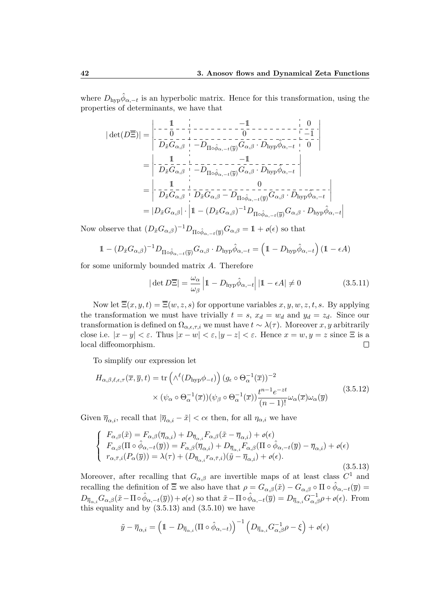where  $D_{\text{hyp}}\hat{\phi}_{\alpha,-t}$  is an hyperbolic matrix. Hence for this transformation, using the properties of determinants, we have that

| det(*D*Ξ)| = 1 −1 0 0 0 −1 *<sup>D</sup>x*˜*Gα,β* <sup>−</sup>*D*Π◦*φ*ˆ*α,*−*t*(*y*)*Gα,β* · *<sup>D</sup>*hyp*φ*<sup>ˆ</sup> *α,*−*<sup>t</sup>* 0 = 1 −1 *<sup>D</sup>x*˜*Gα,β* <sup>−</sup>*D*Π◦*φ*ˆ*α,*−*t*(*y*)*Gα,β* · *<sup>D</sup>*hyp*φ*<sup>ˆ</sup> *α,*−*t* = 1 0 *<sup>D</sup>x*˜*Gα,β <sup>D</sup>x*˜*Gα,β* <sup>−</sup> *<sup>D</sup>*Π◦*φ*ˆ*α,*−*t*(*y*)*Gα,β* · *<sup>D</sup>*hyp*φ*<sup>ˆ</sup> *α,*−*t* = |*Dx*˜*Gα,β*| · 1 − (*Dx*˜*Gα,β*) <sup>−</sup>1*D*Π◦*φ*ˆ*α,*−*t*(*y*)*Gα,β* · *<sup>D</sup>*hyp*φ*<sup>ˆ</sup> *α,*−*t* 

Now observe that  $(D_{\tilde{x}}G_{\alpha,\beta})^{-1}D_{\Pi\circ\hat{\phi}_{\alpha,-t}(\overline{y})}G_{\alpha,\beta}=\mathbb{1}+o(\epsilon)$  so that

$$
1 - (D_{\tilde{x}}G_{\alpha,\beta})^{-1}D_{\Pi\circ\hat{\phi}_{\alpha,-t}(\overline{y})}G_{\alpha,\beta} \cdot D_{\text{hyp}}\hat{\phi}_{\alpha,-t} = (1 - D_{\text{hyp}}\hat{\phi}_{\alpha,-t})(1 - \epsilon A)
$$

for some uniformly bounded matrix *A*. Therefore

$$
|\det D\overline{\Xi}| = \frac{\omega_{\alpha}}{\omega_{\beta}} |1 - D_{\text{hyp}} \hat{\phi}_{\alpha, -t}| |1 - \epsilon A| \neq 0
$$
 (3.5.11)

Now let  $\overline{\Xi}(x, y, t) = \overline{\Xi}(w, z, s)$  for opportune variables  $x, y, w, z, t, s$ . By applying the transformation we must have trivially  $t = s$ ,  $x_d = w_d$  and  $y_d = z_d$ . Since our transformation is defined on  $\Omega_{\alpha,\epsilon,\tau,i}$  we must have  $t \sim \lambda(\tau)$ . Moreover *x*, *y* arbitrarily close i.e.  $|x-y| < \varepsilon$ . Thus  $|x-w| < \varepsilon$ ,  $|y-z| < \varepsilon$ . Hence  $x = w, y = z$  since  $\Xi$  is a local diffeomorphism.  $\Box$ 

To simplify our expression let

$$
H_{\alpha,\beta,\ell,\epsilon,\tau}(\overline{x},\overline{y},t) = \text{tr}\left(\wedge^{\ell}(D_{\text{hyp}}\phi_{-t})\right)(g_{\epsilon}\circ\Theta_{\alpha}^{-1}(\overline{x}))^{-2} \times (\psi_{\alpha}\circ\Theta_{\alpha}^{-1}(\overline{x}))(\psi_{\beta}\circ\Theta_{\alpha}^{-1}(\overline{x}))\frac{t^{n-1}e^{-zt}}{(n-1)!}\omega_{\alpha}(\overline{x})\omega_{\alpha}(\overline{y})
$$
\n(3.5.12)

Given  $\bar{\eta}_{\alpha,i}$ , recall that  $|\bar{\eta}_{\alpha,i} - \tilde{x}| < c\epsilon$  then, for all  $\eta_{\alpha,i}$  we have

$$
\begin{cases}\nF_{\alpha,\beta}(\tilde{x}) = F_{\alpha,\beta}(\overline{\eta}_{\alpha,i}) + D_{\overline{\eta}_{\alpha,i}} F_{\alpha,\beta}(\tilde{x} - \overline{\eta}_{\alpha,i}) + o(\epsilon) \\
F_{\alpha,\beta}(\Pi \circ \hat{\phi}_{\alpha,-t}(\overline{y})) = F_{\alpha,\beta}(\overline{\eta}_{\alpha,i}) + D_{\overline{\eta}_{\alpha,i}} F_{\alpha,\beta}(\Pi \circ \hat{\phi}_{\alpha,-t}(\overline{y}) - \overline{\eta}_{\alpha,i}) + o(\epsilon) \\
r_{\alpha,\overline{\tau},i}(P_{\alpha}(\overline{y})) = \lambda(\tau) + (D_{\overline{\eta}_{\alpha,i}} r_{\alpha,\overline{\tau},i})(\tilde{y} - \overline{\eta}_{\alpha,i}) + o(\epsilon).\n\end{cases}
$$
\n(3.5.13)

Moreover, after recalling that  $G_{\alpha,\beta}$  are invertible maps of at least class  $C^1$  and recalling the definition of  $\overline{\Xi}$  we also have that  $\rho = G_{\alpha,\beta}(\tilde{x}) - G_{\alpha,\beta} \circ \Pi \circ \hat{\phi}_{\alpha,-t}(\overline{y}) =$  $D_{\overline{\eta}_{\alpha,i}} G_{\alpha,\beta}(\tilde{x}-\Pi \circ \hat{\phi}_{\alpha,-t}(\overline{y})) + o(\epsilon)$  so that  $\tilde{x}-\Pi \circ \hat{\phi}_{\alpha,-t}(\overline{y}) = D_{\overline{\eta}_{\alpha,i}} G_{\alpha,\beta}^{-1} \rho + o(\epsilon)$ . From this equality and by  $(3.5.13)$  and  $(3.5.10)$  we have

$$
\tilde{y} - \overline{\eta}_{\alpha,i} = \left(1 - D_{\overline{\eta}_{\alpha,i}}(\Pi \circ \hat{\phi}_{\alpha,-t})\right)^{-1} \left(D_{\overline{\eta}_{\alpha,i}} G_{\alpha,\beta}^{-1} \rho - \xi\right) + o(\epsilon)
$$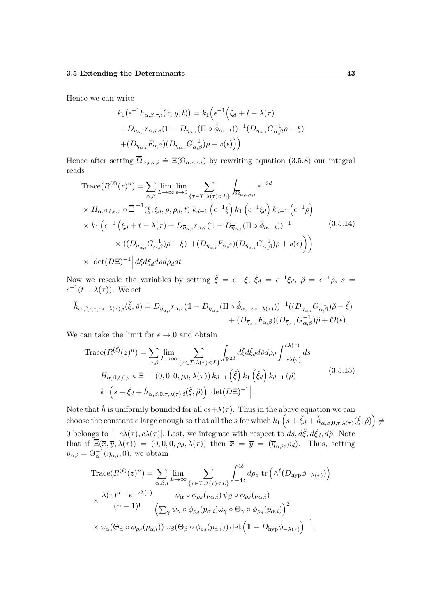Hence we can write

$$
k_1(\epsilon^{-1}h_{\alpha,\beta,\tau,i}(\overline{x},\overline{y},t)) = k_1(\epsilon^{-1}(\xi_d + t - \lambda(\tau))
$$
  
+  $D_{\overline{\eta}_{\alpha,i}}r_{\alpha,\overline{\tau},i}(1 - D_{\overline{\eta}_{\alpha,i}}(\Pi \circ \hat{\phi}_{\alpha,-t}))^{-1}(D_{\overline{\eta}_{\alpha,i}}G_{\alpha,\beta}^{-1}\rho - \xi)$   
+  $(D_{\overline{\eta}_{\alpha,i}}F_{\alpha,\beta})(D_{\overline{\eta}_{\alpha,i}}G_{\alpha,\beta}^{-1})\rho + o(\epsilon))$ 

Hence after setting  $\overline{\Omega}_{\alpha,\epsilon,\tau,i} \doteq \Xi(\Omega_{\alpha,\epsilon,\tau,i})$  by rewriting equation (3.5.8) our integral reads

$$
\operatorname{Trace}(R^{(\ell)}(z)^n) = \sum_{\alpha,\beta} \lim_{L \to \infty} \lim_{\epsilon \to 0} \sum_{\{\tau \in \mathcal{T} : \lambda(\tau) < L\}} \int_{\overline{\Omega}_{\alpha,\epsilon,\tau,i}} \epsilon^{-2d}
$$
\n
$$
\times H_{\alpha,\beta,\ell,\epsilon,\tau} \circ \overline{\Xi}^{-1}(\xi,\xi_d,\rho,\rho_d,t) \; k_{d-1} \left(\epsilon^{-1}\xi\right) k_1 \left(\epsilon^{-1}\xi_d\right) k_{d-1} \left(\epsilon^{-1}\rho\right)
$$
\n
$$
\times k_1 \left(\epsilon^{-1} \left(\xi_d + t - \lambda(\tau) + D_{\overline{\eta}_{\alpha,i}} r_{\alpha,\tau} (1 - D_{\overline{\eta}_{\alpha,i}} (\Pi \circ \hat{\phi}_{\alpha,-t}))^{-1} \right) \times \left((D_{\overline{\eta}_{\alpha,i}} G_{\alpha,\beta}^{-1})\rho - \xi\right) + (D_{\overline{\eta}_{\alpha,i}} F_{\alpha,\beta}) (D_{\overline{\eta}_{\alpha,i}} G_{\alpha,\beta}^{-1})\rho + o(\epsilon)\right)\right)
$$
\n
$$
\times \left| \det(D\overline{\Xi})^{-1} \right| d\xi d\xi_d d\rho d\rho_d dt \tag{3.5.14}
$$

Now we rescale the variables by setting  $\check{\xi} = \epsilon^{-1}\xi$ ,  $\check{\xi_d} = \epsilon^{-1}\xi_d$ ,  $\check{\rho} = \epsilon^{-1}\rho$ ,  $s =$  $\epsilon^{-1}(t - \lambda(\tau))$ . We set

$$
\label{eq:22} \begin{split} \check{h}_{\alpha,\beta,\epsilon,\tau,\epsilon s+\lambda(\tau),i}(\check{\xi},\check{\rho}) \doteq D_{\overline{\eta}_{\alpha,i}}r_{\alpha,\tau}(1-D_{\overline{\eta}_{\alpha,i}}(\Pi\circ\hat{\phi}_{\alpha,-\epsilon s-\lambda(\tau)}))^{-1}((D_{\overline{\eta}_{\alpha,i}}G_{\alpha,\beta}^{-1})\check{\rho}-\check{\xi})\\ &\qquad+ (D_{\overline{\eta}_{\alpha,i}}F_{\alpha,\beta})(D_{\overline{\eta}_{\alpha,i}}G_{\alpha,\beta}^{-1})\check{\rho}+\mathcal{O}(\epsilon). \end{split}
$$

We can take the limit for  $\epsilon \to 0$  and obtain

Trace
$$
Trace(R^{(\ell)}(z)^n) = \sum_{\alpha,\beta} \lim_{L \to \infty} \sum_{\{\tau \in \mathcal{T} : \lambda(\tau) < L\}} \int_{\mathbb{R}^{2d}} d\xi d\xi d\phi d\rho_d \int_{-c\lambda(\tau)}^{c\lambda(\tau)} ds
$$
\n
$$
H_{\alpha,\beta,\ell,0,\tau} \circ \overline{\Xi}^{-1}(0,0,0,\rho_d,\lambda(\tau)) k_{d-1}(\xi) k_1(\xi_d) k_{d-1}(\rho)
$$
\n
$$
k_1 \left(s + \xi_d + \check{h}_{\alpha,\beta,0,\tau,\lambda(\tau),i}(\xi,\rho)\right) \left| \det(D\overline{\Xi})^{-1} \right|.
$$
\n
$$
(3.5.15)
$$

Note that  $\check{h}$  is uniformly bounded for all  $\epsilon s + \lambda(\tau)$ . Thus in the above equation we can choose the constant *c* large enough so that all the *s* for which  $k_1\left(s+\breve{\xi}_d+\breve{h}_{\alpha,\beta,0,\tau,\lambda(\tau)}(\breve{\xi},\breve{\rho})\right) \neq$ 0 belongs to  $[-c\lambda(\tau), c\lambda(\tau)]$ . Last, we integrate with respect to  $ds, d\xi, d\xi_d, d\phi$ . Note that if  $\overline{\Xi}(\overline{x}, \overline{y}, \lambda(\tau)) = (0, 0, 0, \rho_d, \lambda(\tau))$  then  $\overline{x} = \overline{y} = (\overline{\eta}_{\alpha,i}, \rho_d)$ . Thus, setting  $p_{\alpha,i} = \Theta_{\alpha}^{-1}(\bar{\eta}_{\alpha,i},0)$ , we obtain

Trace
$$
Trace(R^{(\ell)}(z)^n) = \sum_{\alpha,\beta,i} \lim_{L \to \infty} \sum_{\{\tau \in \mathcal{T} : \lambda(\tau) < L\}} \int_{-4\delta}^{4\delta} d\rho_d \text{ tr} \left( \wedge^{\ell} (D_{\text{hyp}} \phi_{-\lambda(\tau)}) \right) \times \frac{\lambda(\tau)^{n-1} e^{-z\lambda(\tau)}}{(n-1)!} \frac{\psi_{\alpha} \circ \phi_{\rho_d}(p_{\alpha,i}) \psi_{\beta} \circ \phi_{\rho_d}(p_{\alpha,i})}{\left( \sum_{\gamma} \psi_{\gamma} \circ \phi_{\rho_d}(p_{\alpha,i}) \omega_{\gamma} \circ \Theta_{\gamma} \circ \phi_{\rho_d}(p_{\alpha,i}) \right)^2} \times \omega_{\alpha}(\Theta_{\alpha} \circ \phi_{\rho_d}(p_{\alpha,i})) \omega_{\beta}(\Theta_{\beta} \circ \phi_{\rho_d}(p_{\alpha,i})) \det \left( 1 - D_{\text{hyp}} \phi_{-\lambda(\tau)} \right)^{-1}.
$$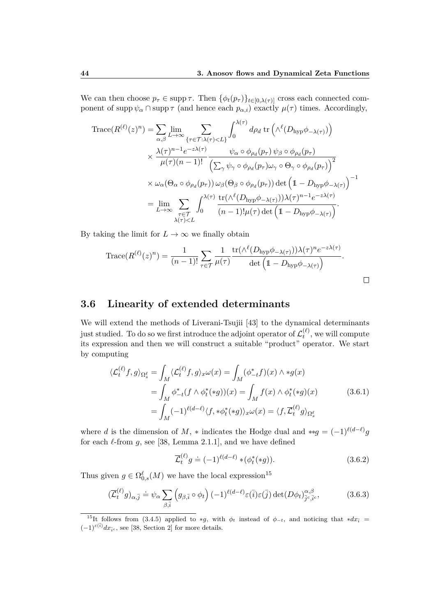We can then choose  $p_{\tau} \in \text{supp }\tau$ . Then  $\{\phi_t(p_{\tau})\}_{t\in[0,\lambda(\tau)]}$  cross each connected component of supp  $\psi_{\alpha} \cap \text{supp } \tau$  (and hence each  $p_{\alpha,i}$ ) exactly  $\mu(\tau)$  times. Accordingly,

$$
\begin{split} \operatorname{Trace}(R^{(\ell)}(z)^n) &= \sum_{\alpha,\beta} \lim_{L \to \infty} \sum_{\{\tau \in \mathcal{T} : \lambda(\tau) < L\}} \int_0^{\lambda(\tau)} d\rho_d \, \operatorname{tr}\left(\wedge^{\ell} (D_{\text{hyp}} \phi_{-\lambda(\tau)})\right) \\ &\times \frac{\lambda(\tau)^{n-1} e^{-z\lambda(\tau)}}{\mu(\tau)(n-1)!} \frac{\psi_{\alpha} \circ \phi_{\rho_d}(p_\tau) \, \psi_{\beta} \circ \phi_{\rho_d}(p_\tau)}{\left(\sum_{\gamma} \psi_{\gamma} \circ \phi_{\rho_d}(p_\tau) \omega_{\gamma} \circ \Theta_{\gamma} \circ \phi_{\rho_d}(p_\tau)\right)^2} \\ &\times \omega_{\alpha}(\Theta_{\alpha} \circ \phi_{\rho_d}(p_\tau)) \, \omega_{\beta}(\Theta_{\beta} \circ \phi_{\rho_d}(p_\tau)) \det\left(1 - D_{\text{hyp}} \phi_{-\lambda(\tau)}\right)^{-1} \\ &= \lim_{L \to \infty} \sum_{\tau \in \mathcal{T}} \int_0^{\lambda(\tau)} \frac{\operatorname{tr}(\wedge^{\ell} (D_{\text{hyp}} \phi_{-\lambda(\tau)})) \lambda(\tau)^{n-1} e^{-z\lambda(\tau)}}{(n-1)!\mu(\tau) \det\left(1 - D_{\text{hyp}} \phi_{-\lambda(\tau)}\right)}. \end{split}
$$

By taking the limit for  $L \to \infty$  we finally obtain

Trace
$$
(R^{(\ell)}(z)^n) = \frac{1}{(n-1)!} \sum_{\tau \in \mathcal{T}} \frac{1}{\mu(\tau)} \frac{\text{tr}(\Lambda^{\ell}(D_{\text{hyp}}\phi_{-\lambda(\tau)}))\lambda(\tau)^n e^{-z\lambda(\tau)}}{\det (1 - D_{\text{hyp}}\phi_{-\lambda(\tau)})}.
$$

#### **3.6 Linearity of extended determinants**

We will extend the methods of Liverani-Tsujii [43] to the dynamical determinants just studied. To do so we first introduce the adjoint operator of  $\mathcal{L}^{(\ell)}_t$  $t_t^{(\ell)}$ , we will compute its expression and then we will construct a suitable "product" operator. We start by computing

$$
\langle \mathcal{L}_t^{(\ell)} f, g \rangle_{\Omega_s^{\ell}} = \int_M \langle \mathcal{L}_t^{(\ell)} f, g \rangle_x \omega(x) = \int_M (\phi_{-t}^* f)(x) \wedge *g(x)
$$
  
= 
$$
\int_M \phi_{-t}^* (f \wedge \phi_t^*(*g))(x) = \int_M f(x) \wedge \phi_t^*(*g)(x)
$$
  
= 
$$
\int_M (-1)^{\ell(d-\ell)} \langle f, * \phi_t^*(*g) \rangle_x \omega(x) = \langle f, \overline{\mathcal{L}}_t^{(\ell)} g \rangle_{\Omega_s^{\ell}}
$$
 (3.6.1)

where *d* is the dimension of *M*,  $*$  indicates the Hodge dual and  $**g = (-1)^{\ell(d-\ell)}g$ for each  $\ell$ -from  $g$ , see [38, Lemma 2.1.1], and we have defined

$$
\overline{\mathcal{L}}_t^{(\ell)} g \doteq (-1)^{\ell(d-\ell)} * (\phi_t^*(*g)). \tag{3.6.2}
$$

Thus given  $g \in \Omega_{0,s}^{\ell}(M)$  we have the local expression<sup>15</sup>

$$
(\overline{\mathcal{L}}_t^{(\ell)} g)_{\alpha, \overline{j}} \doteq \psi_\alpha \sum_{\beta, \overline{i}} \left( g_{\beta, \overline{i}} \circ \phi_t \right) (-1)^{\ell(d-\ell)} \varepsilon(\overline{i}) \varepsilon(\overline{j}) \det(D\phi_t)_{\overline{j}^c, \overline{i}^c}^{\alpha, \beta}, \tag{3.6.3}
$$

<sup>&</sup>lt;sup>15</sup>It follows from (3.4.5) applied to \**g*, with  $\phi_t$  instead of  $\phi_{-t}$ , and noticing that \* $dx_{\overline{i}}$  =  $(-1)^{\varepsilon(\overline{i})} dx_{\overline{i}^c}$ , see [38, Section 2] for more details.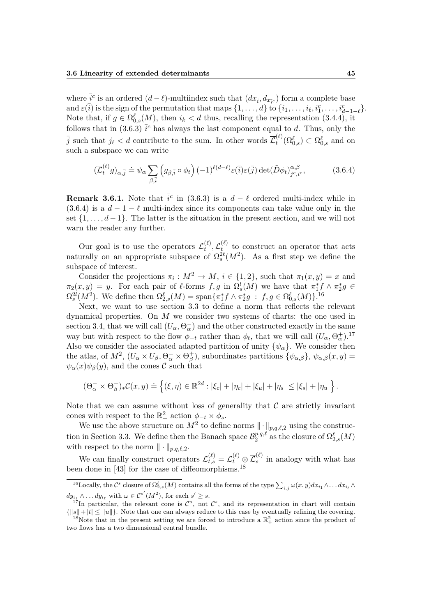where  $\frac{1}{i}$ <sup>*c*</sup> is an ordered  $(d - \ell)$ -multiindex such that  $(dx_i, dx_i)$  form a complete base and  $\varepsilon(\overline{i})$  is the sign of the permutation that maps  $\{1, \ldots, d\}$  to  $\{i_1, \ldots, i_\ell, i_1^c, \ldots, i_{d-1-\ell}^c\}$ . Note that, if  $g \in \Omega_{0,s}^{\ell}(M)$ , then  $i_k < d$  thus, recalling the representation (3.4.4), it follows that in (3.6.3)  $\bar{i}^c$  has always the last component equal to *d*. Thus, only the  $\overline{j}$  such that  $j_{\ell} < d$  contribute to the sum. In other words  $\overline{\mathcal{L}}_t^{(\ell)}$  $\Omega_t^{(\ell)}(\Omega_{0,s}^{\ell}) \subset \Omega_{0,s}^{\ell}$  and on such a subspace we can write

$$
(\overline{\mathcal{L}}_t^{(\ell)} g)_{\alpha, \overline{j}} \doteq \psi_\alpha \sum_{\beta, \overline{i}} \left( g_{\beta, \overline{i}} \circ \phi_t \right) (-1)^{\ell(d-\ell)} \varepsilon(\overline{i}) \varepsilon(\overline{j}) \det(\widetilde{D}\phi_t)^{\alpha, \beta}_{\overline{j}^c, \overline{j}^c},
$$
(3.6.4)

**Remark 3.6.1.** Note that  $\bar{i}^c$  in (3.6.3) is a  $d - \ell$  ordered multi-index while in (3.6.4) is a  $d - 1 - \ell$  multi-index since its components can take value only in the set {1*, . . . , d* − 1}. The latter is the situation in the present section, and we will not warn the reader any further.

Our goal is to use the operators  $\mathcal{L}_t^{(\ell)}$  $\overline{\mathcal{L}}_t^{(\ell)}, \overline{\mathcal{L}}_t^{(\ell)}$  $t_t^{(t)}$  to construct an operator that acts naturally on an appropriate subspace of  $\Omega_s^{2\ell}(M^2)$ . As a first step we define the subspace of interest.

Consider the projections  $\pi_i : M^2 \to M$ ,  $i \in \{1, 2\}$ , such that  $\pi_1(x, y) = x$  and  $\pi_2(x, y) = y$ . For each pair of  $\ell$ -forms  $f, g$  in  $\Omega_s^l(M)$  we have that  $\pi_1^* f \wedge \pi_2^* g \in$  $\Omega_s^{2l}(M^2)$ . We define then  $\Omega_{2,s}^{\ell}(M) = \text{span}\{\pi_1^* f \wedge \pi_2^* g : f, g \in \Omega_{0,s}^{\ell}(M)\}$ .<sup>16</sup>

Next, we want to use section 3.3 to define a norm that reflects the relevant dynamical properties. On *M* we consider two systems of charts: the one used in section 3.4, that we will call  $(U_\alpha, \Theta^-_\alpha)$  and the other constructed exactly in the same way but with respect to the flow  $\phi_{-t}$  rather than  $\phi_t$ , that we will call  $(U_\alpha, \Theta_\alpha^+)^{17}$ Also we consider the associated adapted partition of unity  $\{\psi_{\alpha}\}\$ . We consider then the atlas, of  $M^2$ ,  $(U_\alpha \times U_\beta, \Theta^-_\alpha \times \Theta^+_\beta)$ , subordinates partitions  $\{\psi_{\alpha,\beta}\}, \psi_{\alpha,\beta}(x, y) =$  $\psi_{\alpha}(x)\psi_{\beta}(y)$ , and the cones C such that

$$
(\Theta_{\alpha}^{-} \times \Theta_{\beta}^{+})_{*}\mathcal{C}(x,y) \doteq \left\{ (\xi,\eta) \in \mathbb{R}^{2d} : |\xi_{c}| + |\eta_{c}| + |\xi_{u}| + |\eta_{s}| \leq |\xi_{s}| + |\eta_{u}| \right\}.
$$

Note that we can assume without loss of generality that  $\mathcal C$  are strictly invariant cones with respect to the  $\mathbb{R}^2_+$  action  $\phi_{-t} \times \phi_s$ .

We use the above structure on  $M^2$  to define norms  $\|\cdot\|_{p,q,\ell,2}$  using the construction in Section 3.3. We define then the Banach space  $\mathcal{B}_2^{p,q,\ell}$  $\Omega^{p,q,\ell}_2 \text{ as the closure of } \Omega^{\ell}_{2,s}(M)$ with respect to the norm  $\|\cdot\|_{p,q,\ell,2}$ .

We can finally construct operators  $\mathcal{L}_{t,s}^{(\ell)} = \mathcal{L}_{t}^{(\ell)} \otimes \overline{\mathcal{L}}_{s}^{(\ell)}$  $s<sup>(t)</sup>$  in analogy with what has been done in [43] for the case of diffeomorphisms.<sup>18</sup>

<sup>&</sup>lt;sup>16</sup>Locally, the  $\mathcal{C}^s$  closure of  $\Omega_{2,s}^{\ell}(M)$  contains all the forms of the type  $\sum_{\tilde{i},\tilde{j}} \omega(x,y) dx_{i_1} \wedge \ldots dx_{i_\ell} \wedge$  $dy_{i_1} \wedge \ldots dy_{i_\ell}$  with  $\omega \in C^{s'}(M^2)$ , for each  $s' \geq s$ .

<sup>&</sup>lt;sup>17</sup>In particular, the relevant cone is  $\mathcal{C}^u$ , not  $\mathcal{C}^s$ , and its representation in chart will contain  ${\{|s\|+|t|\leq \|u\|}}$ . Note that one can always reduce to this case by eventually refining the covering.

<sup>&</sup>lt;sup>18</sup>Note that in the present setting we are forced to introduce a  $\mathbb{R}^2_+$  action since the product of two flows has a two dimensional central bundle.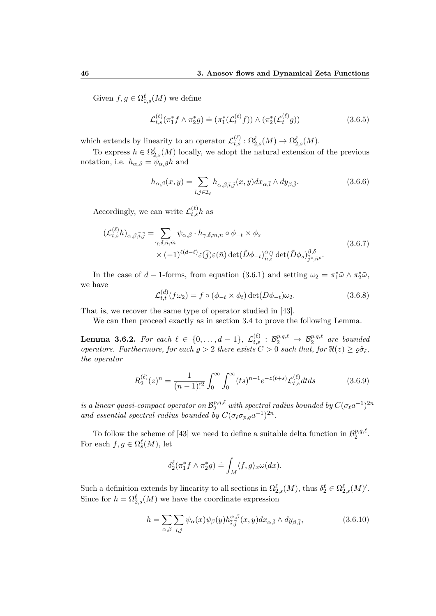Given  $f, g \in \Omega_{0,s}^{\ell}(M)$  we define

$$
\mathcal{L}_{t,s}^{(\ell)}(\pi_1^* f \wedge \pi_2^* g) \doteq (\pi_1^*(\mathcal{L}_t^{(\ell)} f)) \wedge (\pi_2^*(\overline{\mathcal{L}}_t^{(\ell)} g))
$$
\n(3.6.5)

which extends by linearity to an operator  $\mathcal{L}_{t,s}^{(\ell)} : \Omega_{2,s}^{\ell}(M) \to \Omega_{2,s}^{\ell}(M)$ .

To express  $h \in \Omega_{2,s}^{\ell}(M)$  locally, we adopt the natural extension of the previous notation, i.e.  $h_{\alpha,\beta} = \psi_{\alpha,\beta}h$  and

$$
h_{\alpha,\beta}(x,y) = \sum_{\bar{i},\bar{j}\in\mathcal{I}_{\ell}} h_{\alpha,\beta,\bar{i},\bar{j}}(x,y) dx_{\alpha,\bar{i}} \wedge dy_{\beta,\bar{j}}.
$$
 (3.6.6)

Accordingly, we can write  $\mathcal{L}_{t,s}^{(\ell)} h$  as

$$
\begin{split} (\mathcal{L}_{t,s}^{(\ell)} h)_{\alpha,\beta,\bar{i},\bar{j}} &= \sum_{\gamma,\delta,\bar{n},\bar{m}} \psi_{\alpha,\beta} \cdot h_{\gamma,\delta,\bar{m},\bar{n}} \circ \phi_{-t} \times \phi_{s} \\ &\times (-1)^{\ell(d-\ell)} \varepsilon(\bar{j}) \varepsilon(\bar{n}) \det(\tilde{D}\phi_{-t})_{\bar{n},\bar{i}}^{\alpha,\gamma} \det(\tilde{D}\phi_{s})_{\bar{j}^c,\bar{n}^c}^{\beta,\delta}. \end{split} \tag{3.6.7}
$$

In the case of *d* − 1-forms, from equation (3.6.1) and setting  $\omega_2 = \pi_1^* \tilde{\omega} \wedge \pi_2^* \tilde{\omega}$ , we have

$$
\mathcal{L}_{t,t}^{(d)}(f\omega_2) = f \circ (\phi_{-t} \times \phi_t) \det(D\phi_{-t})\omega_2.
$$
 (3.6.8)

That is, we recover the same type of operator studied in [43].

We can then proceed exactly as in section 3.4 to prove the following Lemma.

 $\textbf{Lemma 3.6.2.}$  *For each*  $\ell \in \{0, \ldots, d-1\}$ ,  $\mathcal{L}^{(\ell)}_{t,s} : \mathcal{B}^{p,q,\ell}_2 \to \mathcal{B}^{p,q,\ell}_2$  are bounded *operators. Furthermore, for each*  $\rho > 2$  *there exists*  $C > 0$  *such that, for*  $\Re(z) \geq \rho \hat{\sigma}_{\ell}$ , *the operator*

$$
R_2^{(\ell)}(z)^n = \frac{1}{(n-1)!^2} \int_0^\infty \int_0^\infty (ts)^{n-1} e^{-z(t+s)} \mathcal{L}_{t,s}^{(\ell)} dt ds \tag{3.6.9}
$$

 $i$ *s a linear quasi-compact operator on*  $\mathcal{B}_2^{p,q,\ell}$  *with spectral radius bounded by*  $C(\sigma_\ell a^{-1})^{2n}$ *and essential spectral radius bounded by*  $C(\sigma_{\ell} \sigma_{p,q} a^{-1})^{2n}$ .

To follow the scheme of [43] we need to define a suitable delta function in  $\mathcal{B}_2^{p,q,\ell}$  $\frac{p,q,\ell}{2}$ . For each  $f, g \in \Omega_s^{\ell}(M)$ , let

$$
\delta_2^{\ell}(\pi_1^* f \wedge \pi_2^* g) \doteq \int_M \langle f, g \rangle_x \omega(dx).
$$

Such a definition extends by linearity to all sections in  $\Omega_{2,s}^{\ell}(M)$ , thus  $\delta_2^{\ell} \in \Omega_{2,s}^{\ell}(M)'$ . Since for  $h = \Omega_{2,s}^{\ell}(M)$  we have the coordinate expression

$$
h = \sum_{\alpha,\beta} \sum_{\bar{i},\bar{j}} \psi_{\alpha}(x)\psi_{\beta}(y)h_{\bar{i},\bar{j}}^{\alpha,\beta}(x,y)dx_{\alpha,\bar{i}} \wedge dy_{\beta,\bar{j}},
$$
(3.6.10)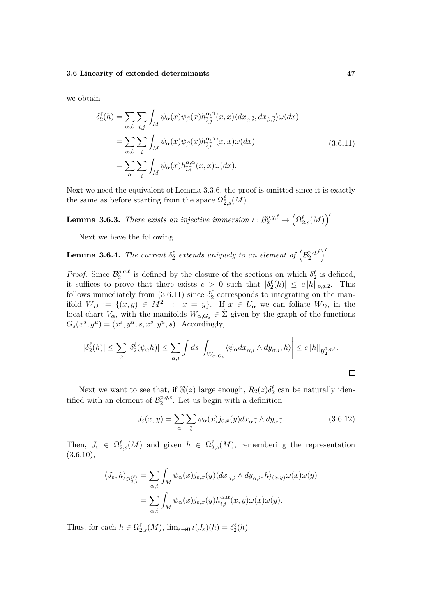we obtain

$$
\delta_2^{\ell}(h) = \sum_{\alpha,\beta} \sum_{\bar{i},\bar{j}} \int_M \psi_{\alpha}(x) \psi_{\beta}(x) h_{\bar{i},\bar{j}}^{\alpha,\beta}(x,x) \langle dx_{\alpha,\bar{i}}, dx_{\beta,\bar{j}} \rangle \omega(dx)
$$
  
\n
$$
= \sum_{\alpha,\beta} \sum_{\bar{i}} \int_M \psi_{\alpha}(x) \psi_{\beta}(x) h_{\bar{i},\bar{i}}^{\alpha,\alpha}(x,x) \omega(dx)
$$
  
\n
$$
= \sum_{\alpha} \sum_{\bar{i}} \int_M \psi_{\alpha}(x) h_{\bar{i},\bar{i}}^{\alpha,\alpha}(x,x) \omega(dx).
$$
\n(3.6.11)

Next we need the equivalent of Lemma 3.3.6, the proof is omitted since it is exactly the same as before starting from the space  $\Omega_{2,s}^{\ell}(M)$ .

**Lemma 3.6.3.** *There exists an injective immersion*  $\iota: \mathcal{B}_2^{p,q,\ell} \to (\Omega_{2,s}^{\ell}(M))'$ 

Next we have the following

**Lemma 3.6.4.** *The current*  $\delta^{\ell}_2$  *extends uniquely to an element of*  $\left( \mathcal{B}_2^{p,q,\ell} \right)$  $\binom{p,q,\ell}{2}$ .

*Proof.* Since  $\mathcal{B}_2^{p,q,\ell}$  $\frac{p,q,\ell}{2}$  is defined by the closure of the sections on which  $\delta_2^{\ell}$  is defined, it suffices to prove that there exists  $c > 0$  such that  $|\delta_2^{\ell}(h)| \leq c \|h\|_{p,q,2}$ . This follows immediately from  $(3.6.11)$  since  $\delta_2^{\ell}$  corresponds to integrating on the manifold  $W_D := \{(x, y) \in M^2 : x = y\}$ . If  $x \in U_\alpha$  we can foliate  $W_D$ , in the local chart  $V_\alpha$ , with the manifolds  $W_{\alpha,G_s} \in \Sigma$  given by the graph of the functions  $G_s(x^s, y^u) = (x^s, y^u, s, x^s, y^u, s)$ . Accordingly,

$$
|\delta_2^{\ell}(h)| \leq \sum_{\alpha} |\delta_2^{\ell}(\psi_{\alpha} h)| \leq \sum_{\alpha,\bar{i}} \int ds \left| \int_{W_{\alpha,G_s}} \langle \psi_{\alpha} dx_{\alpha,\bar{i}} \wedge dy_{\alpha,\bar{i}}, h \rangle \right| \leq c ||h||_{\mathcal{B}_2^{0,q,\ell}}.
$$

Next we want to see that, if  $\Re(z)$  large enough,  $R_2(z)\delta_2^{\ell}$  can be naturally identified with an element of  $\mathcal{B}_2^{p,q,\ell}$  $2^{p,q,\ell}$ . Let us begin with a definition

$$
J_{\varepsilon}(x,y) = \sum_{\alpha} \sum_{\bar{i}} \psi_{\alpha}(x) j_{\varepsilon,x}(y) dx_{\alpha,\bar{i}} \wedge dy_{\alpha,\bar{i}}.
$$
 (3.6.12)

Then,  $J_{\varepsilon} \in \Omega^{\ell}_{2,s}(M)$  and given  $h \in \Omega^{\ell}_{2,s}(M)$ , remembering the representation  $(3.6.10),$ 

$$
\langle J_{\varepsilon}, h \rangle_{\Omega_{2,s}^{(\ell)}} = \sum_{\alpha,\bar{i}} \int_M \psi_{\alpha}(x) j_{\varepsilon,x}(y) \langle dx_{\alpha,\bar{i}} \wedge dy_{\alpha,\bar{i}}, h \rangle_{(x,y)} \omega(x) \omega(y)
$$

$$
= \sum_{\alpha,\bar{i}} \int_M \psi_{\alpha}(x) j_{\varepsilon,x}(y) h_{\bar{i},\bar{i}}^{\alpha,\alpha}(x, y) \omega(x) \omega(y).
$$

Thus, for each  $h \in \Omega_{2,s}^{\ell}(M)$ ,  $\lim_{\varepsilon \to 0} \iota(J_{\varepsilon})(h) = \delta_2^{\ell}(h)$ .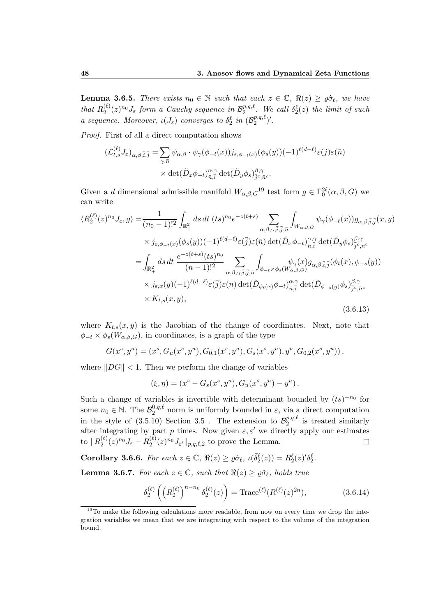**Lemma 3.6.5.** *There exists*  $n_0 \in \mathbb{N}$  *such that each*  $z \in \mathbb{C}$ ,  $\Re(z) \geq \varrho \hat{\sigma}_{\ell}$ , we have *that*  $R_2^{(\ell)}$  $\mathcal{L}_2^{(\ell)}(z)^{n_0} J_{\varepsilon}$  form a Cauchy sequence in  $\mathcal{B}_2^{p,q,\ell}$  $\sum_{i=2}^{p,q,\ell}$ . We call  $\bar{\delta}_{2}^{\ell}(z)$  the limit of such *a sequence. Moreover,*  $\iota(J_{\varepsilon})$  *converges to*  $\delta_2^{\ell}$  *in*  $(\mathcal{B}_2^{p,q,\ell})$  $\binom{p,q,\ell}{2}$   $\prime$  .

*Proof.* First of all a direct computation shows

$$
\begin{split} (\mathcal{L}_{t,s}^{(\ell)} J_{\varepsilon})_{\alpha,\beta,\bar{i},\bar{j}} &= \sum_{\gamma,\bar{n}} \psi_{\alpha,\beta} \cdot \psi_{\gamma}(\phi_{-t}(x)) j_{\varepsilon,\phi_{-t}(x)}(\phi_s(y)) (-1)^{\ell(d-\ell)} \varepsilon(\bar{j}) \varepsilon(\bar{n}) \\ &\times \det(\tilde{D}_x \phi_{-t})_{\bar{n},\bar{i}}^{\alpha,\gamma} \det(\tilde{D}_y \phi_s)_{\bar{j}^c,\bar{n}^c}^{\beta,\gamma}. \end{split}
$$

Given a *d* dimensional admissible manifold  $W_{\alpha,\beta,G}$ <sup>19</sup> test form  $g \in \Gamma_0^{2\ell}(\alpha,\beta,G)$  we can write

$$
\langle R_{2}^{(\ell)}(z)^{n_{0}} J_{\varepsilon}, g \rangle = \frac{1}{(n_{0} - 1)!^{2}} \int_{\mathbb{R}_{+}^{2}} ds \, dt \, (ts)^{n_{0}} e^{-z(t+s)} \sum_{\alpha, \beta, \gamma, \bar{i}, \bar{j}, \bar{n}} \int_{W_{\alpha, \beta, G}} \psi_{\gamma}(\phi_{-t}(x)) g_{\alpha, \beta, \bar{i}, \bar{j}}(x, y)
$$
  
\n
$$
\times j_{\varepsilon, \phi_{-t}(x)}(\phi_{s}(y)) (-1)^{\ell(d-\ell)} \varepsilon(\bar{j}) \varepsilon(\bar{n}) \det(\tilde{D}_{x}\phi_{-t})_{\bar{n}, \bar{i}}^{\alpha, \gamma} \det(\tilde{D}_{y}\phi_{s})_{\bar{j}c, \bar{n}c}^{\beta, \gamma}
$$
  
\n
$$
= \int_{\mathbb{R}_{+}^{2}} ds \, dt \, \frac{e^{-z(t+s)}(ts)^{n_{0}}}{(n-1)!^{2}} \sum_{\alpha, \beta, \gamma, \bar{i}, \bar{j}, \bar{n}} \int_{\phi_{-t} \times \phi_{s}(W_{\alpha, \beta, G}^{\gamma})} \psi_{\gamma}(x) g_{\alpha, \beta, \bar{i}, \bar{j}}(\phi_{t}(x), \phi_{-s}(y))
$$
  
\n
$$
\times j_{\varepsilon, x}(y) (-1)^{\ell(d-\ell)} \varepsilon(\bar{j}) \varepsilon(\bar{n}) \det(\tilde{D}_{\phi_{t}(x)} \phi_{-t})_{\bar{n}, \bar{i}}^{\alpha, \gamma} \det(\tilde{D}_{\phi_{-s}(y)} \phi_{s})_{\bar{j}c, \bar{n}c}^{\beta, \gamma}
$$
  
\n
$$
\times K_{t,s}(x, y), \qquad (3.6.13)
$$

where  $K_{t,s}(x, y)$  is the Jacobian of the change of coordinates. Next, note that  $\phi_{-t} \times \phi_s(W_{\alpha,\beta,G})$ , in coordinates, is a graph of the type

$$
G(x^s, y^u) = (x^s, G_u(x^s, y^u), G_{0,1}(x^s, y^u), G_s(x^s, y^u), y^u, G_{0,2}(x^s, y^u)),
$$

where  $||DG|| < 1$ . Then we perform the change of variables

$$
(\xi, \eta) = (x^s - G_s(x^s, y^u), G_u(x^s, y^u) - y^u).
$$

Such a change of variables is invertible with determinant bounded by  $(ts)^{-n_0}$  for some  $n_0 \in \mathbb{N}$ . The  $\mathcal{B}_2^{0,q,\ell}$  norm is uniformly bounded in  $\varepsilon$ , via a direct computation in the style of  $(3.5.10)$  Section 3.5 . The extension to  $\mathcal{B}_2^{p,q,\ell}$  $i_2^{p,q,\ell}$  is treated similarly after integrating by part *p* times. Now given  $\varepsilon, \varepsilon'$  we directly apply our estimates to  $\|R_2^{(\ell)}\|$  $\frac{(\ell)}{2}(z)^{n_0}J_{\varepsilon}-R_2^{(\ell)}$  $\int_2^{(\ell)} (z)^{n_0} J_{\varepsilon'} \|_{p,q,\ell,2}$  to prove the Lemma.  $\Box$ 

**Corollary 3.6.6.** For each  $z \in \mathbb{C}$ ,  $\Re(z) \geq \varrho \hat{\sigma}_{\ell}$ ,  $\iota(\bar{\delta}_{2}^{\ell}(z)) = R_{2}^{\ell}(z)^{\prime} \delta_{2}^{\ell}$ .

**Lemma 3.6.7.** *For each*  $z \in \mathbb{C}$ *, such that*  $\Re(z) \geq \varrho \hat{\sigma}_{\ell}$ *, holds true* 

$$
\delta_2^{(\ell)}\left(\left(R_2^{(\ell)}\right)^{n-n_0}\delta_2^{(\ell)}(z)\right) = \text{Trace}^{(\ell)}(R^{(\ell)}(z)^{2n}),\tag{3.6.14}
$$

<sup>&</sup>lt;sup>19</sup>To make the following calculations more readable, from now on every time we drop the integration variables we mean that we are integrating with respect to the volume of the integration bound.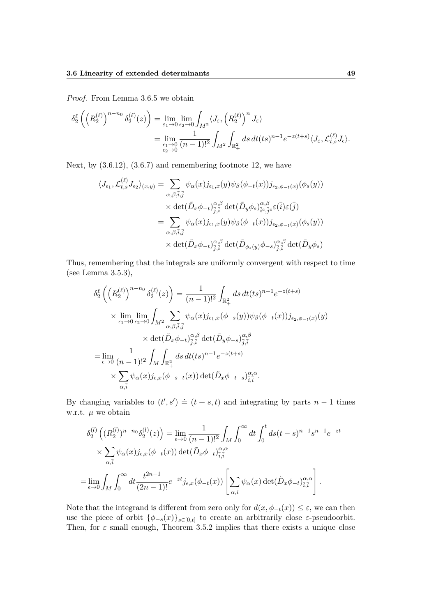*Proof.* From Lemma 3.6.5 we obtain

$$
\delta_2^{\ell} \left( \left( R_2^{(\ell)} \right)^{n-n_0} \delta_2^{(\ell)}(z) \right) = \lim_{\varepsilon_1 \to 0} \lim_{\varepsilon_2 \to 0} \int_{M^2} \langle J_{\varepsilon}, \left( R_2^{(\ell)} \right)^n J_{\varepsilon} \rangle
$$
  
= 
$$
\lim_{\varepsilon_1 \to 0 \atop \varepsilon_2 \to 0} \frac{1}{(n-1)!^2} \int_{M^2} \int_{\mathbb{R}_+^2} ds \, dt(ts)^{n-1} e^{-z(t+s)} \langle J_{\varepsilon}, \mathcal{L}_{t,s}^{(\ell)} J_{\varepsilon} \rangle.
$$

Next, by  $(3.6.12)$ ,  $(3.6.7)$  and remembering footnote 12, we have

$$
\langle J_{\epsilon_1}, \mathcal{L}^{(\ell)}_{t,s} J_{\epsilon_2} \rangle_{(x,y)} = \sum_{\alpha, \beta, \bar{i}, \bar{j}} \psi_{\alpha}(x) j_{\epsilon_1, x}(y) \psi_{\beta}(\phi_{-t}(x)) j_{\epsilon_2, \phi_{-t}(x)}(\phi_s(y))
$$

$$
\times \det(\tilde{D}_x \phi_{-t})^{\alpha, \beta}_{\bar{j}, \bar{i}} \det(\tilde{D}_y \phi_s)^{\alpha, \beta}_{\bar{i}^c, \bar{j}^c} \in (\bar{i}) \in (\bar{j})
$$

$$
= \sum_{\alpha, \beta, \bar{i}, \bar{j}} \psi_{\alpha}(x) j_{\epsilon_1, x}(y) \psi_{\beta}(\phi_{-t}(x)) j_{\epsilon_2, \phi_{-t}(x)}(\phi_s(y))
$$

$$
\times \det(\tilde{D}_x \phi_{-t})^{\alpha, \beta}_{\bar{j}, \bar{i}} \det(\tilde{D}_{\phi_s(y)} \phi_{-s})^{\alpha, \beta}_{\bar{j}, \bar{i}} \det(\tilde{D}_y \phi_s)
$$

Thus, remembering that the integrals are uniformly convergent with respect to time (see Lemma 3.5.3),

$$
\delta_2^{\ell} \left( \left( R_2^{(\ell)} \right)^{n-n_0} \delta_2^{(\ell)}(z) \right) = \frac{1}{(n-1)!^2} \int_{\mathbb{R}_+^2} ds \, dt(ts)^{n-1} e^{-z(t+s)} \times \lim_{\epsilon_1 \to 0} \lim_{\epsilon_2 \to 0} \int_{M^2} \sum_{\alpha, \beta, \bar{i}, \bar{j}} \psi_\alpha(x) j_{\epsilon_1, x}(\phi_{-s}(y)) \psi_\beta(\phi_{-t}(x)) j_{\epsilon_2, \phi_{-t}(x)}(y) \times \det(\tilde{D}_x \phi_{-t})^{\alpha, \beta}_{\bar{j}, \bar{i}} \det(\tilde{D}_y \phi_{-s})^{\alpha, \beta}_{\bar{j}, \bar{i}} \n= \lim_{\epsilon \to 0} \frac{1}{(n-1)!^2} \int_M \int_{\mathbb{R}_+^2} ds \, dt(ts)^{n-1} e^{-z(t+s)} \times \sum_{\alpha, \bar{i}} \psi_\alpha(x) j_{\epsilon, x}(\phi_{-s-t}(x)) \det(\tilde{D}_x \phi_{-t-s})^{\alpha, \alpha}_{\bar{i}, \bar{i}}.
$$

By changing variables to  $(t', s') \doteq (t + s, t)$  and integrating by parts  $n - 1$  times w.r.t. *µ* we obtain

$$
\delta_2^{(l)}\left((R_2^{(l)})^{n-n_0}\delta_2^{(l)}(z)\right) = \lim_{\epsilon \to 0} \frac{1}{(n-1)!^2} \int_M \int_0^\infty dt \int_0^t ds (t-s)^{n-1} s^{n-1} e^{-zt}
$$
  

$$
\times \sum_{\alpha, \bar{i}} \psi_\alpha(x) j_{\epsilon, x}(\phi_{-t}(x)) \det(\tilde{D}_x \phi_{-t})_{\bar{i}, \bar{i}}^{\alpha, \alpha}
$$
  

$$
= \lim_{\epsilon \to 0} \int_M \int_0^\infty dt \frac{t^{2n-1}}{(2n-1)!} e^{-zt} j_{\epsilon, x}(\phi_{-t}(x)) \left[ \sum_{\alpha, \bar{i}} \psi_\alpha(x) \det(\tilde{D}_x \phi_{-t})_{\bar{i}, \bar{i}}^{\alpha, \alpha} \right].
$$

Note that the integrand is different from zero only for  $d(x, \phi_{-t}(x)) \leq \varepsilon$ , we can then use the piece of orbit  $\{\phi_{-s}(x)\}_{s\in[0,t]}$  to create an arbitrarily close *ε*-pseudoorbit. Then, for  $\varepsilon$  small enough, Theorem 3.5.2 implies that there exists a unique close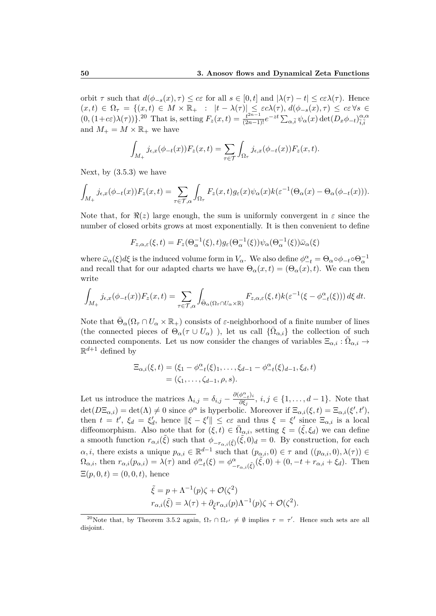orbit  $\tau$  such that  $d(\phi_{-s}(x), \tau) \leq c\varepsilon$  for all  $s \in [0, t]$  and  $|\lambda(\tau) - t| \leq c\varepsilon \lambda(\tau)$ . Hence  $(x, t) \in \Omega_{\tau} = \{(x, t) \in M \times \mathbb{R}_{+} : |t - \lambda(\tau)| \leq \varepsilon c \lambda(\tau), d(\phi_{-s}(x), \tau) \leq c \varepsilon \forall s \in \mathbb{R}$  $(0,(1+c\epsilon)\lambda(\tau))\}$ .<sup>20</sup> That is, setting  $F_z(x,t) = \frac{t^{2n-1}}{(2n-1)!}e^{-zt}\sum_{\alpha,\bar{i}}\psi_\alpha(x)\det(D_x\phi_{-t})_{\bar{i},\bar{j}}^{\alpha,\alpha}$  $\overline{i}, \overline{i}$ and  $M_+ = M \times \mathbb{R}_+$  we have

$$
\int_{M_+} j_{\epsilon,x}(\phi_{-t}(x)) F_z(x,t) = \sum_{\tau \in \mathcal{T}} \int_{\Omega_{\tau}} j_{\epsilon,x}(\phi_{-t}(x)) F_z(x,t).
$$

Next, by  $(3.5.3)$  we have

$$
\int_{M_+} j_{\epsilon,x}(\phi_{-t}(x)) F_z(x,t) = \sum_{\tau \in \mathcal{T},\alpha} \int_{\Omega_{\tau}} F_z(x,t) g_{\epsilon}(x) \psi_{\alpha}(x) k(\epsilon^{-1}(\Theta_{\alpha}(x) - \Theta_{\alpha}(\phi_{-t}(x))).
$$

Note that, for  $\Re(z)$  large enough, the sum is uniformly convergent in  $\varepsilon$  since the number of closed orbits grows at most exponentially. It is then convenient to define

$$
F_{z,\alpha,\varepsilon}(\xi,t) = F_z(\Theta_\alpha^{-1}(\xi),t)g_\varepsilon(\Theta_\alpha^{-1}(\xi))\psi_\alpha(\Theta_\alpha^{-1}(\xi))\bar{\omega}_\alpha(\xi)
$$

where  $\bar{\omega}_{\alpha}(\xi)d\xi$  is the induced volume form in  $V_{\alpha}$ . We also define  $\phi_{-t}^{\alpha} = \Theta_{\alpha}\circ\phi_{-t}\circ\Theta_{\alpha}^{-1}$ and recall that for our adapted charts we have  $\Theta_{\alpha}(x,t) = (\Theta_{\alpha}(x), t)$ . We can then write

$$
\int_{M_+} j_{\epsilon,x}(\phi_{-t}(x)) F_z(x,t) = \sum_{\tau \in \mathcal{T},\alpha} \int_{\bar{\Theta}_{\alpha}(\Omega_{\tau} \cap U_{\alpha} \times \mathbb{R})} F_{z,\alpha,\varepsilon}(\xi,t) k(\varepsilon^{-1}(\xi - \phi_{-t}^{\alpha}(\xi))) d\xi dt.
$$

Note that  $\bar{\Theta}_{\alpha}(\Omega_{\tau} \cap U_{\alpha} \times \mathbb{R}_{+})$  consists of *ε*-neighborhood of a finite number of lines (the connected pieces of  $\Theta_{\alpha}(\tau \cup U_{\alpha})$ ), let us call  $\{\overline{\Omega}_{\alpha,i}\}\)$  the collection of such connected components. Let us now consider the changes of variables  $\Xi_{\alpha,i} : \overline{\Omega}_{\alpha,i} \to$  $\mathbb{R}^{d+1}$  defined by

$$
\Xi_{\alpha,i}(\xi,t) = (\xi_1 - \phi_{-t}^{\alpha}(\xi)_1, \dots, \xi_{d-1} - \phi_{-t}^{\alpha}(\xi)_{d-1}, \xi_d, t) \n= (\zeta_1, \dots, \zeta_{d-1}, \rho, s).
$$

Let us introduce the matrices  $\Lambda_{i,j} = \delta_{i,j} - \frac{\partial(\phi_i^{\alpha}_{-t})}{\partial \xi_i}$  $\frac{\varphi_{-t}i}{\partial \xi_j}, i,j \in \{1,\ldots,d-1\}.$  Note that  $\det(D\Xi_{\alpha,i}) = \det(\Lambda) \neq 0$  since  $\phi^{\alpha}$  is hyperbolic. Moreover if  $\Xi_{\alpha,i}(\xi,t) = \Xi_{\alpha,i}(\xi',t'),$ then  $t = t'$ ,  $\xi_d = \xi'_d$ , hence  $\|\xi - \xi'\| \leq c\varepsilon$  and thus  $\xi = \xi'$  since  $\Xi_{\alpha,i}$  is a local diffeomorphism. Also note that for  $(\xi, t) \in \overline{\Omega}_{\alpha,i}$ , setting  $\xi = (\tilde{\xi}, \xi_d)$  we can define a smooth function  $r_{\alpha,i}(\tilde{\xi})$  such that  $\phi_{-r_{\alpha,i}(\tilde{\xi})}(\tilde{\xi},0)_d = 0$ . By construction, for each  $\alpha, i$ , there exists a unique  $p_{\alpha,i} \in \mathbb{R}^{d-1}$  such that  $(p_{\alpha,i}, 0) \in \tau$  and  $((p_{\alpha,i}, 0), \lambda(\tau)) \in$  $\Omega_{\alpha,i}$ , then  $r_{\alpha,i}(p_{\alpha,i}) = \lambda(\tau)$  and  $\phi^{\alpha}_{-t}(\xi) = \phi^{\alpha}_{-r_{\alpha,i}(\xi)}(\tilde{\xi},0) + (0, -t + r_{\alpha,i} + \xi_d)$ . Then  $\Xi(p, 0, t) = (0, 0, t)$ , hence

$$
\tilde{\xi} = p + \Lambda^{-1}(p)\zeta + \mathcal{O}(\zeta^2)
$$
  

$$
r_{\alpha,i}(\tilde{\xi}) = \lambda(\tau) + \partial_{\tilde{\xi}}r_{\alpha,i}(p)\Lambda^{-1}(p)\zeta + \mathcal{O}(\zeta^2).
$$

<sup>&</sup>lt;sup>20</sup>Note that, by Theorem 3.5.2 again,  $\Omega_{\tau} \cap \Omega_{\tau'} \neq \emptyset$  implies  $\tau = \tau'$ . Hence such sets are all disjoint.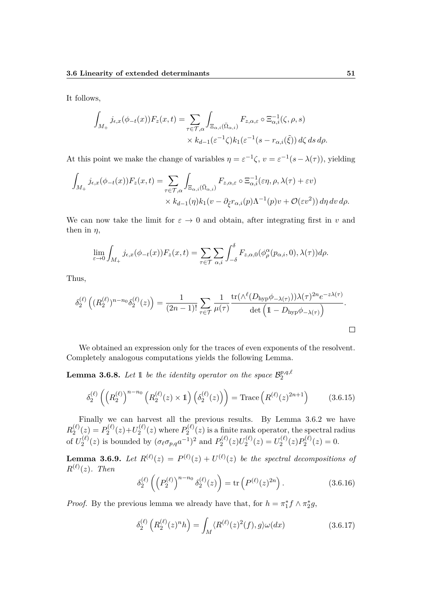It follows,

$$
\int_{M_+} j_{\epsilon,x}(\phi_{-t}(x)) F_z(x,t) = \sum_{\tau \in \mathcal{T},\alpha} \int_{\Xi_{\alpha,i}(\bar{\Omega}_{\alpha,i})} F_{z,\alpha,\varepsilon} \circ \Xi_{\alpha,i}^{-1}(\zeta,\rho,s)
$$

$$
\times k_{d-1}(\varepsilon^{-1}\zeta) k_1(\varepsilon^{-1}(s-r_{\alpha,i}(\tilde{\xi})) d\zeta ds d\rho.
$$

At this point we make the change of variables  $\eta = \varepsilon^{-1} \zeta$ ,  $v = \varepsilon^{-1} (s - \lambda(\tau))$ , yielding

$$
\int_{M_+} j_{\epsilon,x}(\phi_{-t}(x)) F_z(x,t) = \sum_{\tau \in \mathcal{T},\alpha} \int_{\Xi_{\alpha,i}(\bar{\Omega}_{\alpha,i})} F_{z,\alpha,\varepsilon} \circ \Xi_{\alpha,i}^{-1}(\varepsilon \eta,\rho,\lambda(\tau) + \varepsilon v) \times k_{d-1}(\eta) k_1(v - \partial_{\tilde{\xi}} r_{\alpha,i}(p) \Lambda^{-1}(p) v + \mathcal{O}(\varepsilon v^2)) d\eta dv d\rho.
$$

We can now take the limit for  $\varepsilon \to 0$  and obtain, after integrating first in *v* and then in  $\eta$ ,

$$
\lim_{\varepsilon \to 0} \int_{M_+} j_{\epsilon,x}(\phi_{-t}(x)) F_z(x,t) = \sum_{\tau \in \mathcal{T}} \sum_{\alpha,i} \int_{-\delta}^{\delta} F_{z,\alpha,0}(\phi_\rho^\alpha(p_{\alpha,i},0), \lambda(\tau)) d\rho.
$$

Thus,

$$
\delta_2^{(\ell)}\left((R_2^{(\ell)})^{n-n_0}\delta_2^{(\ell)}(z)\right) = \frac{1}{(2n-1)!} \sum_{\tau \in \mathcal{T}} \frac{1}{\mu(\tau)} \frac{\text{tr}(\wedge^{\ell}(D_{\text{hyp}}\phi_{-\lambda(\tau)}))\lambda(\tau)^{2n}e^{-z\lambda(\tau)}}{\det\left(1-D_{\text{hyp}}\phi_{-\lambda(\tau)}\right)}.
$$

We obtained an expression only for the traces of even exponents of the resolvent. Completely analogous computations yields the following Lemma.

**Lemma 3.6.8.** Let 1 be the identity operator on the space  $\mathcal{B}_2^{p,q,\ell}$  $\overline{2}$ 

$$
\delta_2^{(\ell)}\left( \left(R_2^{(\ell)}\right)^{n-n_0} \left(R_2^{(\ell)}(z) \times 1\right) \left(\delta_2^{(\ell)}(z)\right) \right) = \text{Trace}\left(R^{(\ell)}(z)^{2n+1}\right) \tag{3.6.15}
$$

Finally we can harvest all the previous results. By Lemma 3.6.2 we have  $R_2^{(\ell)}$  $P_2^{(\ell)}(z) = P_2^{(\ell)}$  $U_2^{(\ell)}(z)$  +  $U_2^{(\ell)}$  $P_2^{(\ell)}(z)$  where  $P_2^{(\ell)}$  $2^{(2)}(z)$  is a finite rank operator, the spectral radius of  $U_2^{(\ell)}$  $P_2^{(\ell)}(z)$  is bounded by  $(\sigma_\ell \sigma_{p,q} a^{-1})^2$  and  $P_2^{(\ell)}$  $\mathcal{D}_2^{(\ell)}(z)U_2^{(\ell)}$  $U_2^{(\ell)}(z) = U_2^{(\ell)}$  $P_2^{(\ell)}(z)P_2^{(\ell)}$  $Q_2^{(\ell)}(z)=0.$ 

**Lemma 3.6.9.** Let  $R^{(\ell)}(z) = P^{(\ell)}(z) + U^{(\ell)}(z)$  be the spectral decompositions of  $R^{(\ell)}(z)$ *. Then* 

$$
\delta_2^{(\ell)}\left(\left(P_2^{(\ell)}\right)^{n-n_0}\delta_2^{(\ell)}(z)\right) = \text{tr}\left(P^{(\ell)}(z)^{2n}\right). \tag{3.6.16}
$$

*Proof.* By the previous lemma we already have that, for  $h = \pi_1^* f \wedge \pi_2^* g$ ,

$$
\delta_2^{(\ell)}\left(R_2^{(\ell)}(z)^n h\right) = \int_M \langle R^{(\ell)}(z)^2(f), g \rangle \omega(dx) \tag{3.6.17}
$$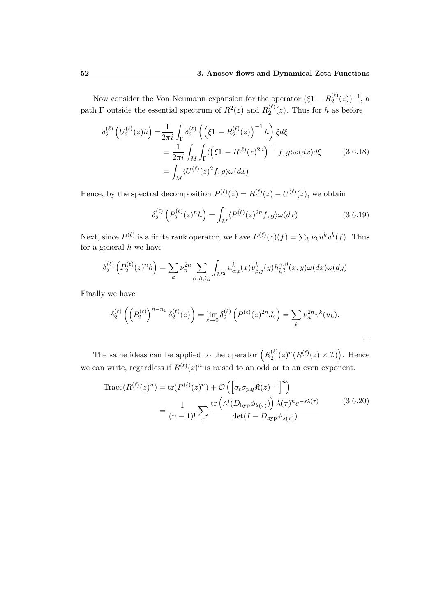Now consider the Von Neumann expansion for the operator  $(\xi \mathbb{1} - R_2^{(\ell)})$  $\binom{\ell}{2}(z)^{-1}$ , a path  $\Gamma$  outside the essential spectrum of  $R^2(z)$  and  $R_2^{(\ell)}$  $2^{(e)}_2(z)$ . Thus for *h* as before

$$
\delta_2^{(\ell)} \left( U_2^{(\ell)}(z) h \right) = \frac{1}{2\pi i} \int_{\Gamma} \delta_2^{(\ell)} \left( \left( \xi \mathbb{1} - R_2^{(\ell)}(z) \right)^{-1} h \right) \xi d\xi
$$
  
= 
$$
\frac{1}{2\pi i} \int_M \int_{\Gamma} \langle \left( \xi \mathbb{1} - R^{(\ell)}(z)^{2n} \right)^{-1} f, g \rangle \omega(dx) d\xi
$$
(3.6.18)  
= 
$$
\int_M \langle U^{(\ell)}(z)^2 f, g \rangle \omega(dx)
$$

Hence, by the spectral decomposition  $P^{(\ell)}(z) = R^{(\ell)}(z) - U^{(\ell)}(z)$ , we obtain

$$
\delta_2^{(\ell)}\left(P_2^{(\ell)}(z)^n h\right) = \int_M \langle P^{(\ell)}(z)^{2n} f, g \rangle \omega(dx) \tag{3.6.19}
$$

Next, since  $P^{(\ell)}$  is a finite rank operator, we have  $P^{(\ell)}(z)(f) = \sum_{k} \nu_k u^k v^k(f)$ . Thus for a general *h* we have

$$
\delta_2^{(\ell)}\left(P_2^{(\ell)}(z)^n h\right) = \sum_k \nu_n^{2n} \sum_{\alpha,\beta,\bar{i},\bar{j}} \int_{M^2} u_{\alpha,\bar{i}}^k(x) v_{\beta,\bar{j}}^k(y) h_{\bar{i},\bar{j}}^{\alpha,\beta}(x,y) \omega(dx) \omega(dy)
$$

Finally we have

$$
\delta_2^{(\ell)}\left(\left(P_2^{(\ell)}\right)^{n-n_0}\delta_2^{(\ell)}(z)\right) = \lim_{\varepsilon \to 0} \delta_2^{(\ell)}\left(P^{(\ell)}(z)^{2n}J_{\varepsilon}\right) = \sum_k \nu_n^{2n} v^k(u_k).
$$

The same ideas can be applied to the operator  $(R_2^{(\ell)})$  $\binom{\ell}{2}(z)^n(R^{(\ell)}(z)\times\mathcal{I})$ . Hence we can write, regardless if  $R^{(\ell)}(z)^n$  is raised to an odd or to an even exponent.

Trace
$$
Trace(R^{(\ell)}(z)^n) = tr(P^{(\ell)}(z)^n) + \mathcal{O}\left(\left[\sigma_{\ell}\sigma_{p,q}\Re(z)^{-1}\right]^n\right)
$$

$$
= \frac{1}{(n-1)!} \sum_{\tau} \frac{tr\left(\Lambda^l(D_{\text{hyp}}\phi_{\lambda(\tau)})\right)\lambda(\tau)^n e^{-s\lambda(\tau)} }{\det(I - D_{\text{hyp}}\phi_{\lambda(\tau)})}
$$
(3.6.20)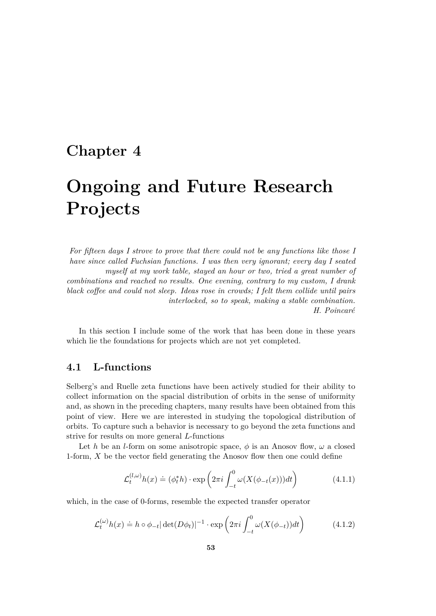### **Chapter 4**

## **Ongoing and Future Research Projects**

*For fifteen days I strove to prove that there could not be any functions like those I have since called Fuchsian functions. I was then very ignorant; every day I seated myself at my work table, stayed an hour or two, tried a great number of combinations and reached no results. One evening, contrary to my custom, I drank black coffee and could not sleep. Ideas rose in crowds; I felt them collide until pairs interlocked, so to speak, making a stable combination. H. Poincaré*

In this section I include some of the work that has been done in these years which lie the foundations for projects which are not yet completed.

#### **4.1 L-functions**

Selberg's and Ruelle zeta functions have been actively studied for their ability to collect information on the spacial distribution of orbits in the sense of uniformity and, as shown in the preceding chapters, many results have been obtained from this point of view. Here we are interested in studying the topological distribution of orbits. To capture such a behavior is necessary to go beyond the zeta functions and strive for results on more general *L*-functions

Let *h* be an *l*-form on some anisotropic space,  $\phi$  is an Anosov flow,  $\omega$  a closed 1-form, *X* be the vector field generating the Anosov flow then one could define

$$
\mathcal{L}_t^{(l,\omega)} h(x) \doteq (\phi_t^* h) \cdot \exp\left(2\pi i \int_{-t}^0 \omega(X(\phi_{-t}(x))) dt\right) \tag{4.1.1}
$$

which, in the case of 0-forms, resemble the expected transfer operator

$$
\mathcal{L}_t^{(\omega)} h(x) \doteq h \circ \phi_{-t} |\det(D\phi_t)|^{-1} \cdot \exp\left(2\pi i \int_{-t}^0 \omega(X(\phi_{-t})) dt\right) \tag{4.1.2}
$$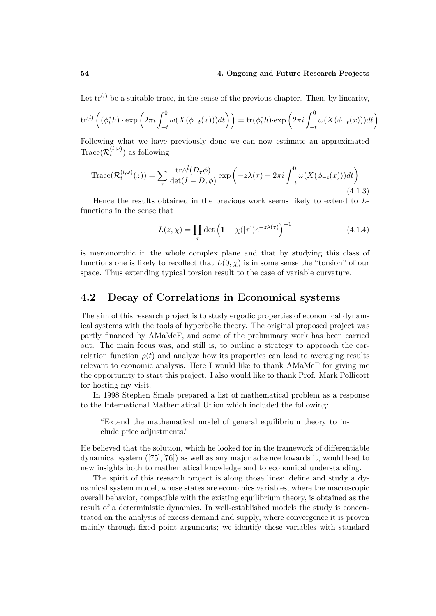Let  $\text{tr}^{(l)}$  be a suitable trace, in the sense of the previous chapter. Then, by linearity,

$$
\operatorname{tr}^{(l)}\left( (\phi_t^*h) \cdot \exp\left(2\pi i \int_{-t}^0 \omega(X(\phi_{-t}(x)))dt\right)\right) = \operatorname{tr}(\phi_t^*h) \cdot \exp\left(2\pi i \int_{-t}^0 \omega(X(\phi_{-t}(x)))dt\right)
$$

Following what we have previously done we can now estimate an approximated  $\text{Trace}(\mathcal{R}^{(l,\omega)}_t$  $t^{(t,\omega)}$  as following

$$
\text{Trace}(\mathcal{R}_t^{(l,\omega)}(z)) = \sum_{\tau} \frac{\text{tr}\Lambda^l(D_\tau\phi)}{\det(I - D_\tau\phi)} \exp\left(-z\lambda(\tau) + 2\pi i \int_{-t}^0 \omega(X(\phi_{-t}(x)))dt\right)
$$
\n(4.1.3)

Hence the results obtained in the previous work seems likely to extend to *L*functions in the sense that

$$
L(z,\chi) = \prod_{\tau} \det \left( 1 - \chi([\tau]) e^{-z\lambda(\tau)} \right)^{-1}
$$
 (4.1.4)

is meromorphic in the whole complex plane and that by studying this class of functions one is likely to recollect that  $L(0, \chi)$  is in some sense the "torsion" of our space. Thus extending typical torsion result to the case of variable curvature.

#### **4.2 Decay of Correlations in Economical systems**

The aim of this research project is to study ergodic properties of economical dynamical systems with the tools of hyperbolic theory. The original proposed project was partly financed by AMaMeF, and some of the preliminary work has been carried out. The main focus was, and still is, to outline a strategy to approach the correlation function  $\rho(t)$  and analyze how its properties can lead to averaging results relevant to economic analysis. Here I would like to thank AMaMeF for giving me the opportunity to start this project. I also would like to thank Prof. Mark Pollicott for hosting my visit.

In 1998 Stephen Smale prepared a list of mathematical problem as a response to the International Mathematical Union which included the following:

"Extend the mathematical model of general equilibrium theory to include price adjustments."

He believed that the solution, which he looked for in the framework of differentiable dynamical system ([75],[76]) as well as any major advance towards it, would lead to new insights both to mathematical knowledge and to economical understanding.

The spirit of this research project is along those lines: define and study a dynamical system model, whose states are economics variables, where the macroscopic overall behavior, compatible with the existing equilibrium theory, is obtained as the result of a deterministic dynamics. In well-established models the study is concentrated on the analysis of excess demand and supply, where convergence it is proven mainly through fixed point arguments; we identify these variables with standard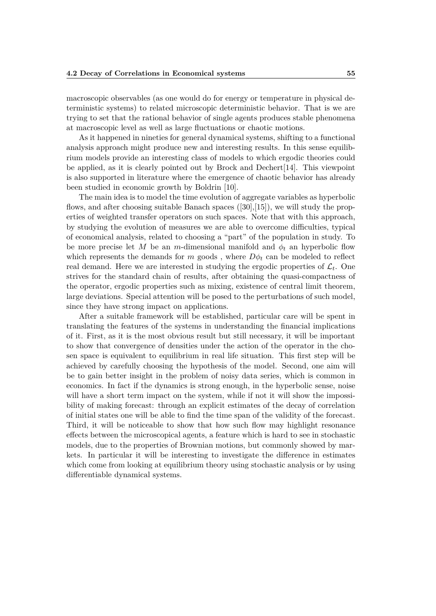macroscopic observables (as one would do for energy or temperature in physical deterministic systems) to related microscopic deterministic behavior. That is we are trying to set that the rational behavior of single agents produces stable phenomena at macroscopic level as well as large fluctuations or chaotic motions.

As it happened in nineties for general dynamical systems, shifting to a functional analysis approach might produce new and interesting results. In this sense equilibrium models provide an interesting class of models to which ergodic theories could be applied, as it is clearly pointed out by Brock and Dechert[14]. This viewpoint is also supported in literature where the emergence of chaotic behavior has already been studied in economic growth by Boldrin [10].

The main idea is to model the time evolution of aggregate variables as hyperbolic flows, and after choosing suitable Banach spaces ([30],[15]), we will study the properties of weighted transfer operators on such spaces. Note that with this approach, by studying the evolution of measures we are able to overcome difficulties, typical of economical analysis, related to choosing a "part" of the population in study. To be more precise let *M* be an *m*-dimensional manifold and  $\phi_t$  an hyperbolic flow which represents the demands for  $m$  goods, where  $D\phi_t$  can be modeled to reflect real demand. Here we are interested in studying the ergodic properties of  $\mathcal{L}_t$ . One strives for the standard chain of results, after obtaining the quasi-compactness of the operator, ergodic properties such as mixing, existence of central limit theorem, large deviations. Special attention will be posed to the perturbations of such model, since they have strong impact on applications.

After a suitable framework will be established, particular care will be spent in translating the features of the systems in understanding the financial implications of it. First, as it is the most obvious result but still necessary, it will be important to show that convergence of densities under the action of the operator in the chosen space is equivalent to equilibrium in real life situation. This first step will be achieved by carefully choosing the hypothesis of the model. Second, one aim will be to gain better insight in the problem of noisy data series, which is common in economics. In fact if the dynamics is strong enough, in the hyperbolic sense, noise will have a short term impact on the system, while if not it will show the impossibility of making forecast: through an explicit estimates of the decay of correlation of initial states one will be able to find the time span of the validity of the forecast. Third, it will be noticeable to show that how such flow may highlight resonance effects between the microscopical agents, a feature which is hard to see in stochastic models, due to the properties of Brownian motions, but commonly showed by markets. In particular it will be interesting to investigate the difference in estimates which come from looking at equilibrium theory using stochastic analysis or by using differentiable dynamical systems.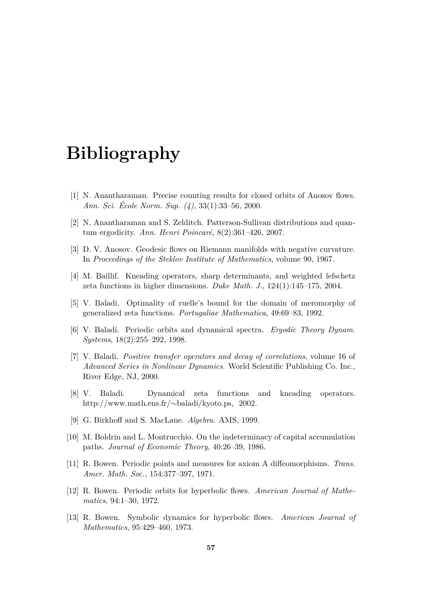### **Bibliography**

- [1] N. Anantharaman. Precise counting results for closed orbits of Anosov flows. *Ann. Sci. École Norm. Sup. (4)*, 33(1):33–56, 2000.
- [2] N. Anantharaman and S. Zelditch. Patterson-Sullivan distributions and quantum ergodicity. *Ann. Henri Poincaré*, 8(2):361–426, 2007.
- [3] D. V. Anosov. Geodesic flows on Riemann manifolds with negative curvature. In *Proceedings of the Steklov Institute of Mathematics*, volume 90, 1967.
- [4] M. Baillif. Kneading operators, sharp determinants, and weighted lefschetz zeta functions in higher dimensions. *Duke Math. J.*, 124(1):145–175, 2004.
- [5] V. Baladi. Optimality of ruelle's bound for the domain of meromorphy of generalized zeta functions. *Portugaliae Mathematica*, 49:69–83, 1992.
- [6] V. Baladi. Periodic orbits and dynamical spectra. *Ergodic Theory Dynam. Systems*, 18(2):255–292, 1998.
- [7] V. Baladi. *Positive transfer operators and decay of correlations*, volume 16 of *Advanced Series in Nonlinear Dynamics*. World Scientific Publishing Co. Inc., River Edge, NJ, 2000.
- [8] V. Baladi. Dynamical zeta functions and kneading operators. http://www.math.ens.fr/∼baladi/kyoto.ps, 2002.
- [9] G. Birkhoff and S. MacLane. *Algebra*. AMS, 1999.
- [10] M. Boldrin and L. Montrucchio. On the indeterminacy of capital accumulation paths. *Journal of Economic Theory*, 40:26–39, 1986.
- [11] R. Bowen. Periodic points and measures for axiom A diffeomorphisms. *Trans. Amer. Math. Soc.*, 154:377–397, 1971.
- [12] R. Bowen. Periodic orbits for hyperbolic flows. *American Journal of Mathematics*, 94:1–30, 1972.
- [13] R. Bowen. Symbolic dynamics for hyperbolic flows. *American Journal of Mathematics*, 95:429–460, 1973.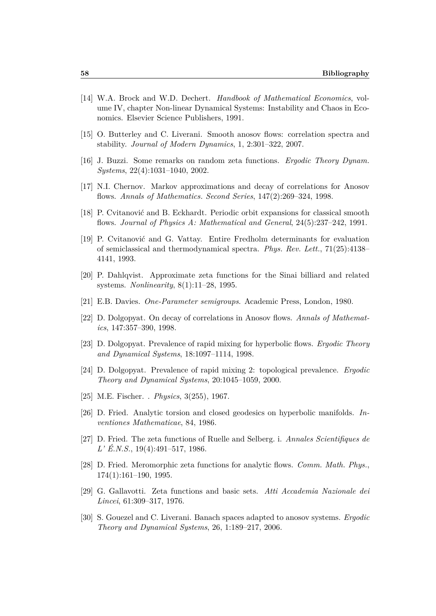- [14] W.A. Brock and W.D. Dechert. *Handbook of Mathematical Economics*, volume IV, chapter Non-linear Dynamical Systems: Instability and Chaos in Economics. Elsevier Science Publishers, 1991.
- [15] O. Butterley and C. Liverani. Smooth anosov flows: correlation spectra and stability. *Journal of Modern Dynamics*, 1, 2:301–322, 2007.
- [16] J. Buzzi. Some remarks on random zeta functions. *Ergodic Theory Dynam. Systems*, 22(4):1031–1040, 2002.
- [17] N.I. Chernov. Markov approximations and decay of correlations for Anosov flows. *Annals of Mathematics. Second Series*, 147(2):269–324, 1998.
- [18] P. Cvitanović and B. Eckhardt. Periodic orbit expansions for classical smooth flows. *Journal of Physics A: Mathematical and General*, 24(5):237–242, 1991.
- [19] P. Cvitanović and G. Vattay. Entire Fredholm determinants for evaluation of semiclassical and thermodynamical spectra. *Phys. Rev. Lett.*, 71(25):4138– 4141, 1993.
- [20] P. Dahlqvist. Approximate zeta functions for the Sinai billiard and related systems. *Nonlinearity*, 8(1):11–28, 1995.
- [21] E.B. Davies. *One-Parameter semigroups*. Academic Press, London, 1980.
- [22] D. Dolgopyat. On decay of correlations in Anosov flows. *Annals of Mathematics*, 147:357–390, 1998.
- [23] D. Dolgopyat. Prevalence of rapid mixing for hyperbolic flows. *Ergodic Theory and Dynamical Systems*, 18:1097–1114, 1998.
- [24] D. Dolgopyat. Prevalence of rapid mixing 2: topological prevalence. *Ergodic Theory and Dynamical Systems*, 20:1045–1059, 2000.
- [25] M.E. Fischer. . *Physics*, 3(255), 1967.
- [26] D. Fried. Analytic torsion and closed geodesics on hyperbolic manifolds. *Inventiones Mathematicae*, 84, 1986.
- [27] D. Fried. The zeta functions of Ruelle and Selberg. i. *Annales Scientifiques de L' É.N.S.*, 19(4):491–517, 1986.
- [28] D. Fried. Meromorphic zeta functions for analytic flows. *Comm. Math. Phys.*, 174(1):161–190, 1995.
- [29] G. Gallavotti. Zeta functions and basic sets. *Atti Accademia Nazionale dei Lincei*, 61:309–317, 1976.
- [30] S. Gouezel and C. Liverani. Banach spaces adapted to anosov systems. *Ergodic Theory and Dynamical Systems*, 26, 1:189–217, 2006.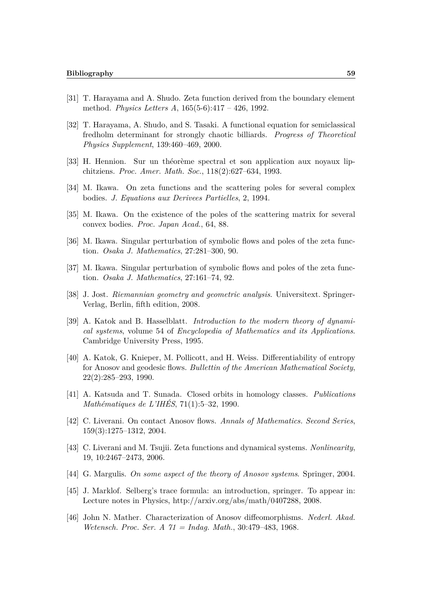- [31] T. Harayama and A. Shudo. Zeta function derived from the boundary element method. *Physics Letters A*, 165(5-6):417 – 426, 1992.
- [32] T. Harayama, A. Shudo, and S. Tasaki. A functional equation for semiclassical fredholm determinant for strongly chaotic billiards. *Progress of Theoretical Physics Supplement*, 139:460–469, 2000.
- [33] H. Hennion. Sur un théorème spectral et son application aux noyaux lipchitziens. *Proc. Amer. Math. Soc.*, 118(2):627–634, 1993.
- [34] M. Ikawa. On zeta functions and the scattering poles for several complex bodies. *J. Equations aux Derivees Partielles*, 2, 1994.
- [35] M. Ikawa. On the existence of the poles of the scattering matrix for several convex bodies. *Proc. Japan Acad.*, 64, 88.
- [36] M. Ikawa. Singular perturbation of symbolic flows and poles of the zeta function. *Osaka J. Mathematics*, 27:281–300, 90.
- [37] M. Ikawa. Singular perturbation of symbolic flows and poles of the zeta function. *Osaka J. Mathematics*, 27:161–74, 92.
- [38] J. Jost. *Riemannian geometry and geometric analysis*. Universitext. Springer-Verlag, Berlin, fifth edition, 2008.
- [39] A. Katok and B. Hasselblatt. *Introduction to the modern theory of dynamical systems*, volume 54 of *Encyclopedia of Mathematics and its Applications*. Cambridge University Press, 1995.
- [40] A. Katok, G. Knieper, M. Pollicott, and H. Weiss. Differentiability of entropy for Anosov and geodesic flows. *Bullettin of the American Mathematical Society*, 22(2):285–293, 1990.
- [41] A. Katsuda and T. Sunada. Closed orbits in homology classes. *Publications Mathématiques de L'IHÉS*, 71(1):5–32, 1990.
- [42] C. Liverani. On contact Anosov flows. *Annals of Mathematics. Second Series*, 159(3):1275–1312, 2004.
- [43] C. Liverani and M. Tsujii. Zeta functions and dynamical systems. *Nonlinearity*, 19, 10:2467–2473, 2006.
- [44] G. Margulis. *On some aspect of the theory of Anosov systems*. Springer, 2004.
- [45] J. Marklof. Selberg's trace formula: an introduction, springer. To appear in: Lecture notes in Physics, http://arxiv.org/abs/math/0407288, 2008.
- [46] John N. Mather. Characterization of Anosov diffeomorphisms. *Nederl. Akad. Wetensch. Proc. Ser. A 71 = Indag. Math.*, 30:479–483, 1968.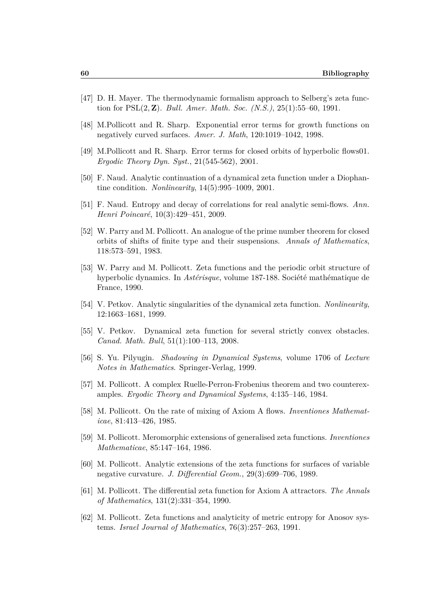- [47] D. H. Mayer. The thermodynamic formalism approach to Selberg's zeta function for PSL(2*,* **Z**). *Bull. Amer. Math. Soc. (N.S.)*, 25(1):55–60, 1991.
- [48] M.Pollicott and R. Sharp. Exponential error terms for growth functions on negatively curved surfaces. *Amer. J. Math*, 120:1019–1042, 1998.
- [49] M.Pollicott and R. Sharp. Error terms for closed orbits of hyperbolic flows01. *Ergodic Theory Dyn. Syst.*, 21(545-562), 2001.
- [50] F. Naud. Analytic continuation of a dynamical zeta function under a Diophantine condition. *Nonlinearity*, 14(5):995–1009, 2001.
- [51] F. Naud. Entropy and decay of correlations for real analytic semi-flows. *Ann. Henri Poincaré*, 10(3):429–451, 2009.
- [52] W. Parry and M. Pollicott. An analogue of the prime number theorem for closed orbits of shifts of finite type and their suspensions. *Annals of Mathematics*, 118:573–591, 1983.
- [53] W. Parry and M. Pollicott. Zeta functions and the periodic orbit structure of hyperbolic dynamics. In *Astérisque*, volume 187-188. Société mathématique de France, 1990.
- [54] V. Petkov. Analytic singularities of the dynamical zeta function. *Nonlinearity*, 12:1663–1681, 1999.
- [55] V. Petkov. Dynamical zeta function for several strictly convex obstacles. *Canad. Math. Bull*, 51(1):100–113, 2008.
- [56] S. Yu. Pilyugin. *Shadowing in Dynamical Systems*, volume 1706 of *Lecture Notes in Mathematics*. Springer-Verlag, 1999.
- [57] M. Pollicott. A complex Ruelle-Perron-Frobenius theorem and two counterexamples. *Ergodic Theory and Dynamical Systems*, 4:135–146, 1984.
- [58] M. Pollicott. On the rate of mixing of Axiom A flows. *Inventiones Mathematicae*, 81:413–426, 1985.
- [59] M. Pollicott. Meromorphic extensions of generalised zeta functions. *Inventiones Mathematicae*, 85:147–164, 1986.
- [60] M. Pollicott. Analytic extensions of the zeta functions for surfaces of variable negative curvature. *J. Differential Geom.*, 29(3):699–706, 1989.
- [61] M. Pollicott. The differential zeta function for Axiom A attractors. *The Annals of Mathematics*, 131(2):331–354, 1990.
- [62] M. Pollicott. Zeta functions and analyticity of metric entropy for Anosov systems. *Israel Journal of Mathematics*, 76(3):257–263, 1991.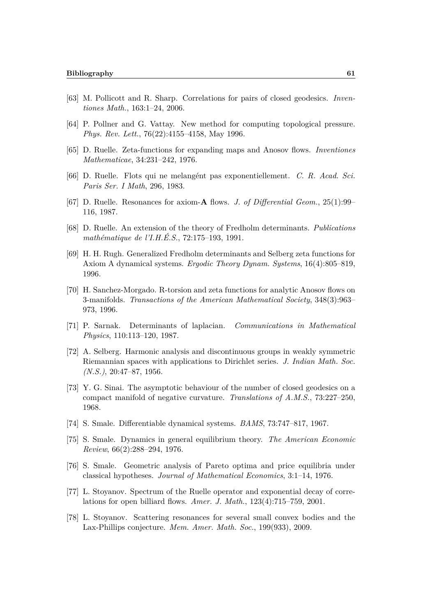- [63] M. Pollicott and R. Sharp. Correlations for pairs of closed geodesics. *Inventiones Math.*, 163:1–24, 2006.
- [64] P. Pollner and G. Vattay. New method for computing topological pressure. *Phys. Rev. Lett.*, 76(22):4155–4158, May 1996.
- [65] D. Ruelle. Zeta-functions for expanding maps and Anosov flows. *Inventiones Mathematicae*, 34:231–242, 1976.
- [66] D. Ruelle. Flots qui ne melangént pas exponentiellement. *C. R. Acad. Sci. Paris Ser. I Math*, 296, 1983.
- [67] D. Ruelle. Resonances for axiom-**A** flows. *J. of Differential Geom.*, 25(1):99– 116, 1987.
- [68] D. Ruelle. An extension of the theory of Fredholm determinants. *Publications mathématique de l'I.H.É.S.*, 72:175–193, 1991.
- [69] H. H. Rugh. Generalized Fredholm determinants and Selberg zeta functions for Axiom A dynamical systems. *Ergodic Theory Dynam. Systems*, 16(4):805–819, 1996.
- [70] H. Sanchez-Morgado. R-torsion and zeta functions for analytic Anosov flows on 3-manifolds. *Transactions of the American Mathematical Society*, 348(3):963– 973, 1996.
- [71] P. Sarnak. Determinants of laplacian. *Communications in Mathematical Physics*, 110:113–120, 1987.
- [72] A. Selberg. Harmonic analysis and discontinuous groups in weakly symmetric Riemannian spaces with applications to Dirichlet series. *J. Indian Math. Soc. (N.S.)*, 20:47–87, 1956.
- [73] Y. G. Sinai. The asymptotic behaviour of the number of closed geodesics on a compact manifold of negative curvature. *Translations of A.M.S.*, 73:227–250, 1968.
- [74] S. Smale. Differentiable dynamical systems. *BAMS*, 73:747–817, 1967.
- [75] S. Smale. Dynamics in general equilibrium theory. *The American Economic Review*, 66(2):288–294, 1976.
- [76] S. Smale. Geometric analysis of Pareto optima and price equilibria under classical hypotheses. *Journal of Mathematical Economics*, 3:1–14, 1976.
- [77] L. Stoyanov. Spectrum of the Ruelle operator and exponential decay of correlations for open billiard flows. *Amer. J. Math.*, 123(4):715–759, 2001.
- [78] L. Stoyanov. Scattering resonances for several small convex bodies and the Lax-Phillips conjecture. *Mem. Amer. Math. Soc.*, 199(933), 2009.